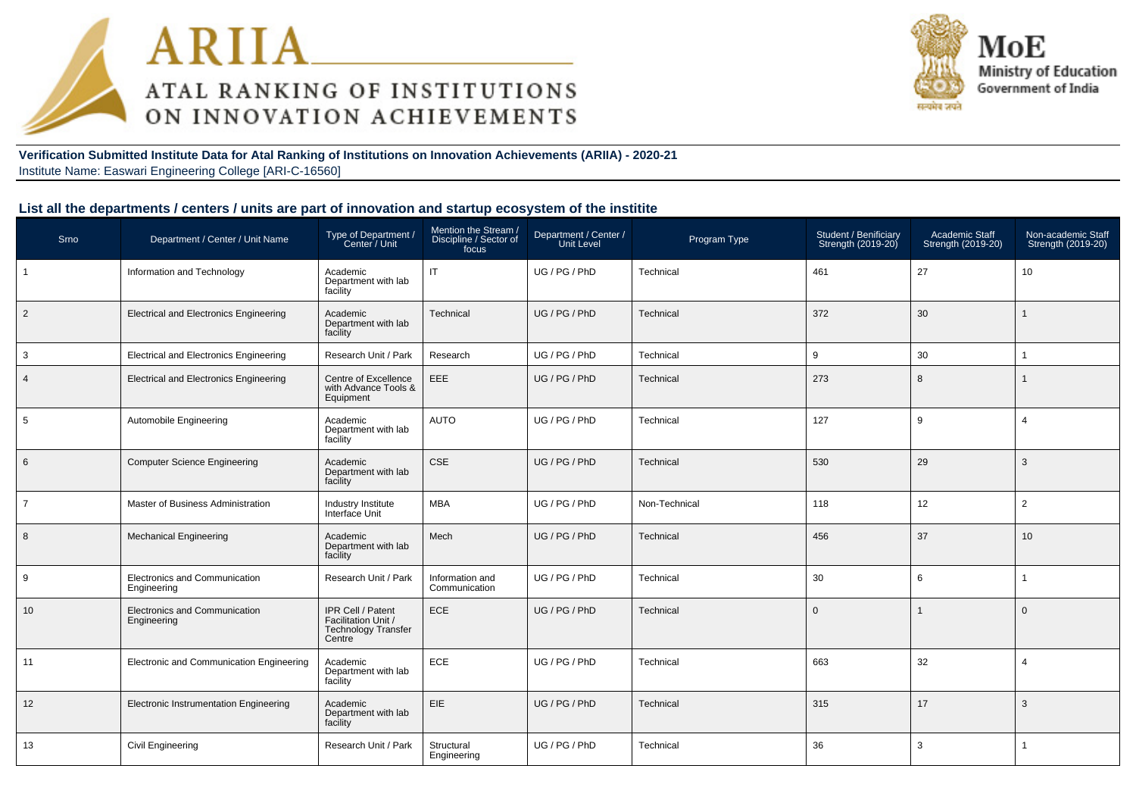



**Verification Submitted Institute Data for Atal Ranking of Institutions on Innovation Achievements (ARIIA) - 2020-21**Institute Name: Easwari Engineering College [ARI-C-16560]

#### **List all the departments / centers / units are part of innovation and startup ecosystem of the institite**

| Srno           | Department / Center / Unit Name               | Type of Department /<br>Center / Unit                                            | Mention the Stream /<br>Discipline / Sector of<br>focus | Department / Center /<br>Unit Level | Program Type  | Student / Benificiary<br>Strength (2019-20) | Academic Staff<br>Strength (2019-20) | Non-academic Staff<br>Strength (2019-20) |
|----------------|-----------------------------------------------|----------------------------------------------------------------------------------|---------------------------------------------------------|-------------------------------------|---------------|---------------------------------------------|--------------------------------------|------------------------------------------|
| $\overline{1}$ | Information and Technology                    | Academic<br>Department with lab<br>facility                                      | IT                                                      | UG / PG / PhD                       | Technical     | 461                                         | 27                                   | 10                                       |
| $\overline{2}$ | <b>Electrical and Electronics Engineering</b> | Academic<br>Department with lab<br>facility                                      | Technical                                               | UG / PG / PhD                       | Technical     | 372                                         | 30                                   | $\mathbf{1}$                             |
| $\mathbf{3}$   | <b>Electrical and Electronics Engineering</b> | Research Unit / Park                                                             | Research                                                | UG / PG / PhD                       | Technical     | 9                                           | 30                                   |                                          |
| $\overline{4}$ | <b>Electrical and Electronics Engineering</b> | Centre of Excellence<br>with Advance Tools &<br>Equipment                        | EEE                                                     | UG / PG / PhD                       | Technical     | 273                                         | 8                                    | 1                                        |
| 5              | Automobile Engineering                        | Academic<br>Department with lab<br>facility                                      | AUTO                                                    | UG / PG / PhD                       | Technical     | 127                                         | 9                                    | $\overline{4}$                           |
| 6              | <b>Computer Science Engineering</b>           | Academic<br>Department with lab<br>facility                                      | CSE                                                     | UG / PG / PhD                       | Technical     | 530                                         | 29                                   | 3                                        |
| $\overline{7}$ | Master of Business Administration             | Industry Institute<br>Interface Unit                                             | MBA                                                     | UG / PG / PhD                       | Non-Technical | 118                                         | 12                                   | $\overline{2}$                           |
| 8              | <b>Mechanical Engineering</b>                 | Academic<br>Department with lab<br>facility                                      | Mech                                                    | UG / PG / PhD                       | Technical     | 456                                         | 37                                   | 10                                       |
| 9              | Electronics and Communication<br>Engineering  | Research Unit / Park                                                             | Information and<br>Communication                        | UG / PG / PhD                       | Technical     | 30                                          | 6                                    |                                          |
| 10             | Electronics and Communication<br>Engineering  | IPR Cell / Patent<br>Facilitation Unit /<br><b>Technology Transfer</b><br>Centre | ECE                                                     | UG / PG / PhD                       | Technical     | $\Omega$                                    | $\mathbf{1}$                         | $\Omega$                                 |
| 11             | Electronic and Communication Engineering      | Academic<br>Department with lab<br>facility                                      | ECE                                                     | UG / PG / PhD                       | Technical     | 663                                         | 32                                   | $\overline{4}$                           |
| 12             | Electronic Instrumentation Engineering        | Academic<br>Department with lab<br>facility                                      | EIE                                                     | UG / PG / PhD                       | Technical     | 315                                         | 17                                   | 3                                        |
| 13             | Civil Engineering                             | Research Unit / Park                                                             | Structural<br>Engineering                               | UG / PG / PhD                       | Technical     | 36                                          | 3                                    |                                          |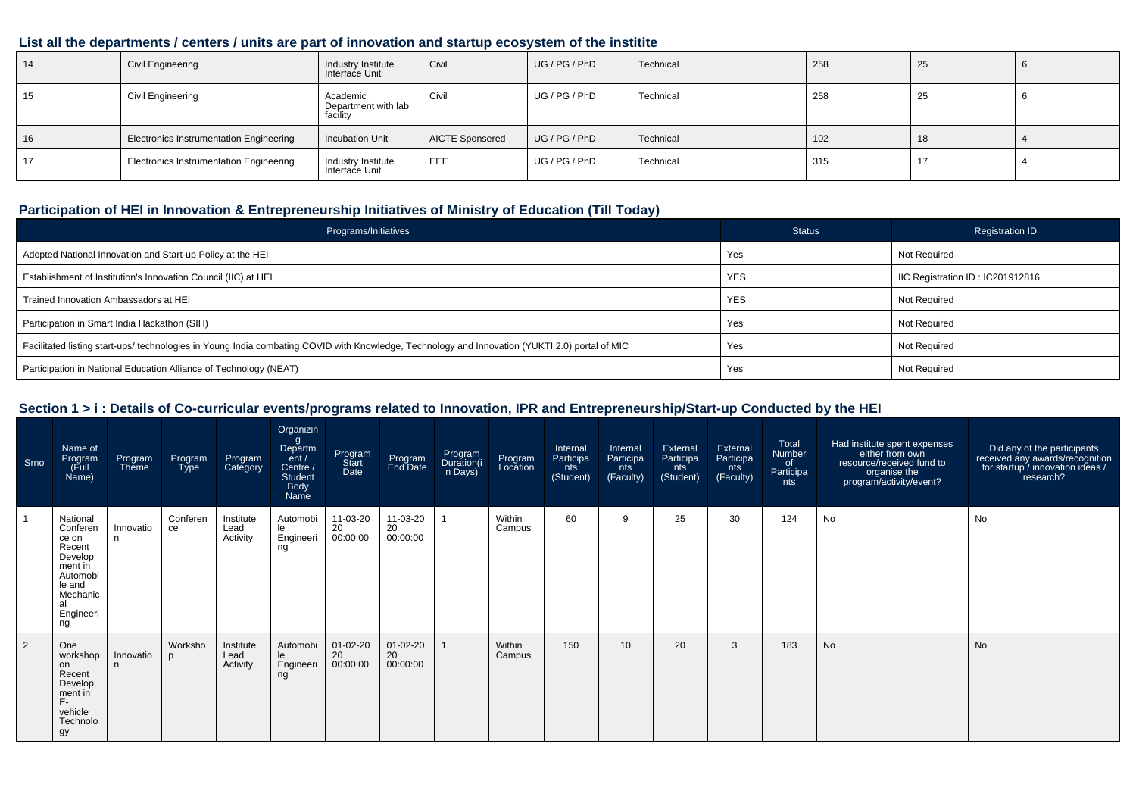#### **List all the departments / centers / units are part of innovation and startup ecosystem of the institite**

| 14 | <b>Civil Engineering</b>                       | Industry Institute<br>Interface Unit        | Civil                  | UG/PG/PhD     | Technical | 258 | 25 |  |
|----|------------------------------------------------|---------------------------------------------|------------------------|---------------|-----------|-----|----|--|
| 15 | Civil Engineering                              | Academic<br>Department with lab<br>facility | Civil                  | UG / PG / PhD | Technical | 258 | 25 |  |
| 16 | <b>Electronics Instrumentation Engineering</b> | <b>Incubation Unit</b>                      | <b>AICTE Sponsered</b> | UG / PG / PhD | Technical | 102 | 18 |  |
|    | <b>Electronics Instrumentation Engineering</b> | Industry Institute<br>Interface Unit        | EEE                    | UG / PG / PhD | Technical | 315 | 17 |  |

### **Participation of HEI in Innovation & Entrepreneurship Initiatives of Ministry of Education (Till Today)**

| Programs/Initiatives                                                                                                                           | Status     | <b>Registration ID</b>           |
|------------------------------------------------------------------------------------------------------------------------------------------------|------------|----------------------------------|
| Adopted National Innovation and Start-up Policy at the HEI                                                                                     | Yes        | Not Required                     |
| Establishment of Institution's Innovation Council (IIC) at HEI                                                                                 | <b>YES</b> | IIC Registration ID: IC201912816 |
| Trained Innovation Ambassadors at HEI                                                                                                          | <b>YES</b> | Not Required                     |
| Participation in Smart India Hackathon (SIH)                                                                                                   | Yes        | <b>Not Required</b>              |
| Facilitated listing start-ups/ technologies in Young India combating COVID with Knowledge, Technology and Innovation (YUKTI 2.0) portal of MIC | Yes        | Not Required                     |
| Participation in National Education Alliance of Technology (NEAT)                                                                              | Yes        | Not Required                     |

### **Section 1 > i : Details of Co-curricular events/programs related to Innovation, IPR and Entrepreneurship/Start-up Conducted by the HEI**

| Srno | Name of<br>Program<br>Full)<br>Name)                                                                                     | Program<br>Theme | Program<br><b>Type</b> | Program<br>Category           | Organizin<br>g<br>Departm<br>ent /<br>Centre /<br>Student<br><b>Body</b><br>Name | Program<br>Start<br>Date   | Program<br>End Date        | Program<br>Duration(i<br>n Days) | Program<br>Location | Internal<br>Participa<br>nts<br>(Student) | Internal<br>Participa<br>nts<br>(Faculty) | External<br>Participa<br>nts<br>(Student) | External<br>Participa<br>nts<br>(Faculty) | Total<br>Number<br>of<br>Participa<br>nts | Had institute spent expenses<br>either from own<br>resource/received fund to<br>organise the<br>program/activity/event? | Did any of the participants<br>received any awards/recognition<br>for startup / innovation ideas /<br>research? |
|------|--------------------------------------------------------------------------------------------------------------------------|------------------|------------------------|-------------------------------|----------------------------------------------------------------------------------|----------------------------|----------------------------|----------------------------------|---------------------|-------------------------------------------|-------------------------------------------|-------------------------------------------|-------------------------------------------|-------------------------------------------|-------------------------------------------------------------------------------------------------------------------------|-----------------------------------------------------------------------------------------------------------------|
|      | National<br>Conferen<br>ce on<br>Recent<br>Develop<br>ment in<br>Automobi<br>le and<br>Mechanic<br>al<br>Engineeri<br>ng | Innovatio<br>n.  | Conferen<br>ce         | Institute<br>Lead<br>Activity | Automobi<br>le<br>Engineeri<br>ng                                                | 11-03-20<br>20<br>00:00:00 | 11-03-20<br>20<br>00:00:00 |                                  | Within<br>Campus    | 60                                        | 9                                         | 25                                        | 30                                        | 124                                       | No                                                                                                                      | <b>No</b>                                                                                                       |
| 2    | One<br>workshop<br>on<br>Recent<br>Develop<br>ment in<br>E-<br>vehicle<br>Technolo<br>gy                                 | Innovatio<br>n   | Worksho<br>p           | Institute<br>Lead<br>Activity | Automobi<br>le<br>Engineeri<br>ng                                                | 01-02-20<br>20<br>00:00:00 | 01-02-20<br>20<br>00:00:00 |                                  | Within<br>Campus    | 150                                       | 10                                        | 20                                        | 3                                         | 183                                       | <b>No</b>                                                                                                               | <b>No</b>                                                                                                       |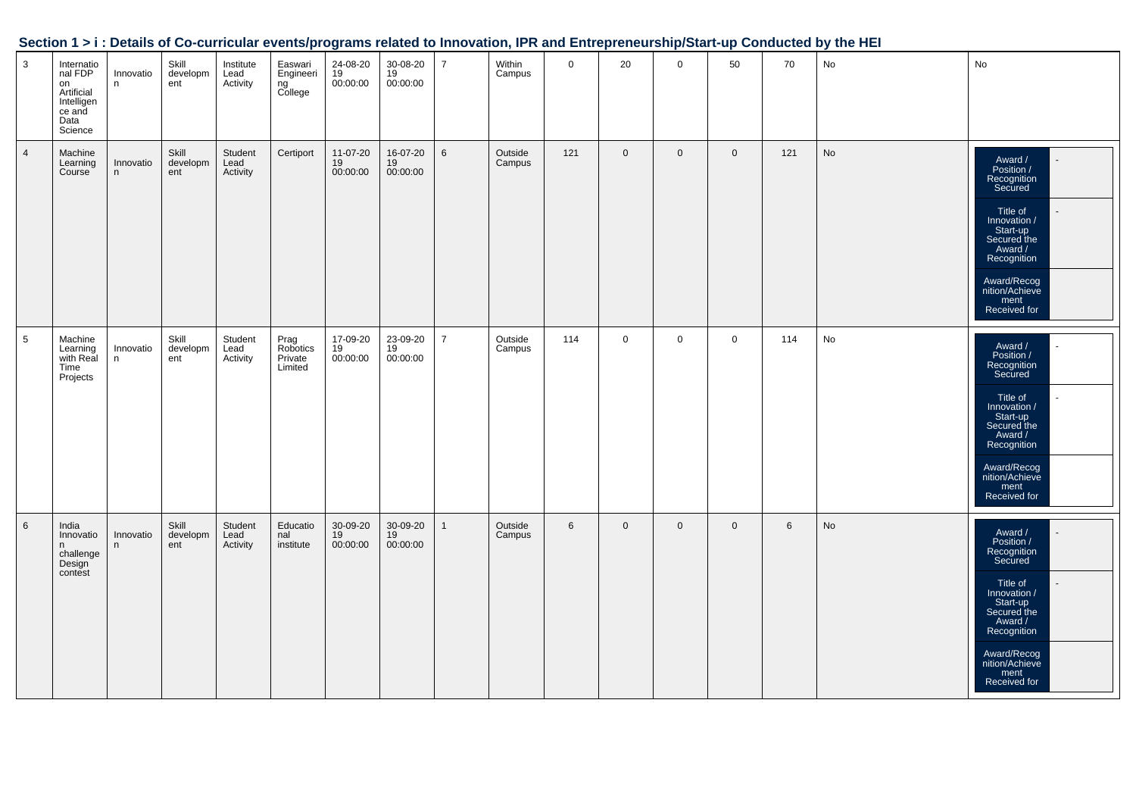|                           |                                                                                      |                |                          |                               |                                        |                            |                            |                |                   |             |                |              |                |                 | <b>Comment For Political Constitution</b> Comment Constitution Control Comment Comment Charles Comment up Conduction by the HET |                                                                                                                                                                                                           |
|---------------------------|--------------------------------------------------------------------------------------|----------------|--------------------------|-------------------------------|----------------------------------------|----------------------------|----------------------------|----------------|-------------------|-------------|----------------|--------------|----------------|-----------------|---------------------------------------------------------------------------------------------------------------------------------|-----------------------------------------------------------------------------------------------------------------------------------------------------------------------------------------------------------|
| $\ensuremath{\mathsf{3}}$ | Internatio<br>nal FDP<br>on<br>Artificial<br>Intelligen<br>ce and<br>Data<br>Science | Innovatio<br>n | Skill<br>developm<br>ent | Institute<br>Lead<br>Activity | Easwari<br>Engineeri<br>ng<br>College  | 24-08-20<br>19<br>00:00:00 | 30-08-20<br>19<br>00:00:00 | $\overline{7}$ | Within<br>Campus  | $\mathbf 0$ | 20             | $\mathsf 0$  | 50             | 70              | No                                                                                                                              | $\operatorname{\mathsf{No}}$                                                                                                                                                                              |
| $\overline{4}$            | Machine<br>Learning<br>Course                                                        | Innovatio<br>n | Skill<br>developm<br>ent | Student<br>Lead<br>Activity   | Certiport                              | 11-07-20<br>19<br>00:00:00 | 16-07-20<br>19<br>00:00:00 | $\,6\,$        | Outside<br>Campus | 121         | $\mathbf 0$    | $\mathbf{0}$ | $\mathbf 0$    | 121             | $\operatorname{\mathsf{No}}$                                                                                                    | Award /<br>Position /<br>Recognition<br>Secured<br>Title of<br>Innovation /<br>Start-up<br>Secured the<br>Award /<br>Recognition<br>Award/Recog<br>nition/Achieve<br>ment<br>Received for                 |
| $\sqrt{5}$                | Machine<br>Learning<br>with Real<br>Time<br>Projects                                 | Innovatio<br>n | Skill<br>developm<br>ent | Student<br>Lead<br>Activity   | Prag<br>Robotics<br>Private<br>Limited | 17-09-20<br>19<br>00:00:00 | 23-09-20<br>19<br>00:00:00 | $\overline{7}$ | Outside<br>Campus | 114         | $\mathbf 0$    | $\mathbf 0$  | $\mathbf 0$    | 114             | No                                                                                                                              | Award /<br>Position /<br>Recognition<br>Secured<br>Title of<br>Innovation /<br>$\mathbf{r}$<br>Start-up<br>Secured the<br>Award /<br>Recognition<br>Award/Recog<br>nition/Achieve<br>ment<br>Received for |
| $\,6\,$                   | India<br>Innovatio<br>n<br>challenge<br>Design<br>contest                            | Innovatio<br>n | Skill<br>developm<br>ent | Student<br>Lead<br>Activity   | Educatio<br>nal<br>institute           | 30-09-20<br>19<br>00:00:00 | 30-09-20<br>19<br>00:00:00 | $\overline{1}$ | Outside<br>Campus | $\,6\,$     | $\overline{0}$ | $\mathbf 0$  | $\overline{0}$ | $6\phantom{.}6$ | $\operatorname{\mathsf{No}}$                                                                                                    | Award /<br>Position /<br>Recognition<br>Secured<br>Title of<br>Innovation /<br>Start-up<br>Secured the<br>Award /<br>Recognition<br>Award/Recog<br>nition/Achieve<br>ment<br>Received for                 |

#### **Section 1 > i : Details of Co-curricular events/programs related to Innovation, IPR and Entrepreneurship/Start-up Conducted by the HEI**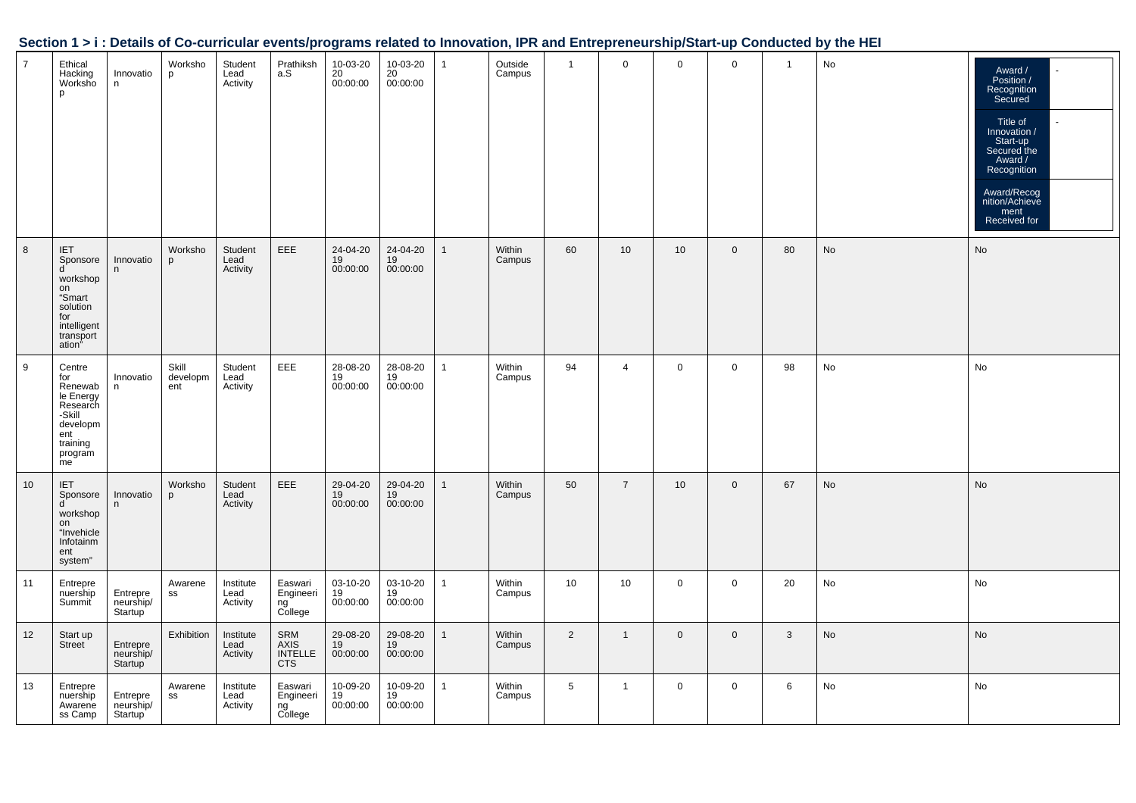|  | Section 1 > i : Details of Co-curricular events/programs related to Innovation, IPR and Entrepreneurship/Start-up Conducted by the HEI |  |
|--|----------------------------------------------------------------------------------------------------------------------------------------|--|
|  |                                                                                                                                        |  |

| 7  | Ethical<br>Hacking<br>Worksho<br>p                                                                          | Innovatio<br>n                                | Worksho<br>p             | Student<br>Lead<br>Activity   | Prathiksh<br>a.S                            | 10-03-20<br>$20$<br>00:00:00 | 10-03-20<br>20<br>00:00:00 | -1 | Outside<br>Campus | $\mathbf{1}$   | $\mathbf 0$    | $\mathbf 0$     | $\mathbf 0$  | $\overline{1}$ | No | Award /<br>Position /<br>Recognition<br>Secured<br>$\mathbb{Z}^2$<br>Title of<br>Innovation /<br>Start-up<br>Secured the<br>Award /<br>Recognition<br>Award/Recog<br>nition/Achieve<br>ment<br>Received for |
|----|-------------------------------------------------------------------------------------------------------------|-----------------------------------------------|--------------------------|-------------------------------|---------------------------------------------|------------------------------|----------------------------|----|-------------------|----------------|----------------|-----------------|--------------|----------------|----|-------------------------------------------------------------------------------------------------------------------------------------------------------------------------------------------------------------|
| 8  | IET<br>Sponsore<br>d<br>workshop<br>on<br>"Smart<br>solution<br>for<br>intelligent<br>transport<br>ation"   | Innovatio<br>n                                | Worksho<br>p             | Student<br>Lead<br>Activity   | EEE                                         | 24-04-20<br>19<br>00:00:00   | 24-04-20<br>19<br>00:00:00 |    | Within<br>Campus  | 60             | 10             | 10 <sup>°</sup> | $\mathbf{0}$ | 80             | No | No                                                                                                                                                                                                          |
| 9  | Centre<br>for<br>Renewab<br>le Energy<br>Research<br>-Skill<br>developm<br>ent<br>training<br>program<br>me | Innovatio<br>n                                | Skill<br>developm<br>ent | Student<br>Lead<br>Activity   | <b>EEE</b>                                  | 28-08-20<br>19<br>00:00:00   | 28-08-20<br>19<br>00:00:00 | 1  | Within<br>Campus  | 94             | $\overline{4}$ | $\mathbf{0}$    | $\mathbf 0$  | 98             | No | No                                                                                                                                                                                                          |
| 10 | <b>IET</b><br>Sponsore<br>d<br>workshop<br>on<br>"Invehicle<br>Infotainm<br>ent<br>system"                  | Innovatio<br>n.                               | Worksho<br>$\mathbf{D}$  | Student<br>Lead<br>Activity   | <b>EEE</b>                                  | 29-04-20<br>19<br>00:00:00   | 29-04-20<br>19<br>00:00:00 |    | Within<br>Campus  | 50             | $\overline{7}$ | 10              | $\mathbf 0$  | 67             | No | <b>No</b>                                                                                                                                                                                                   |
| 11 | Entrepre<br>nuership<br>Summit                                                                              | Entrepre<br>neurship/<br>Startup <sup>'</sup> | Awarene<br>SS            | Institute<br>Lead<br>Activity | Easwari<br>Engineeri<br>ng<br>College       | 03-10-20<br>19<br>00:00:00   | 03-10-20<br>19<br>00:00:00 |    | Within<br>Campus  | 10             | 10             | $\mathbf 0$     | $\mathbf 0$  | 20             | No | No                                                                                                                                                                                                          |
| 12 | Start up<br>Street                                                                                          | Entrepre<br>neurship/<br>Startup              | Exhibition               | Institute<br>Lead<br>Activity | SRM<br>AXIS<br><b>INTELLE</b><br><b>CTS</b> | 29-08-20<br>19<br>00:00:00   | 29-08-20<br>19<br>00:00:00 |    | Within<br>Campus  | $\overline{2}$ | $\mathbf{1}$   | $\mathbf 0$     | $\mathbf 0$  | $\mathbf{3}$   | No | No                                                                                                                                                                                                          |
| 13 | Entrepre<br>nuership<br>Awarene<br>ss Camp                                                                  | Entrepre<br>neurship/<br>Startup              | Awarene<br>SS            | Institute<br>Lead<br>Activity | Easwari<br>Engineeri<br>ng<br>College       | 10-09-20<br>19<br>00:00:00   | 10-09-20<br>19<br>00:00:00 | 1  | Within<br>Campus  | 5              | $\mathbf{1}$   | $\mathbf 0$     | $\mathbf 0$  | 6              | No | No                                                                                                                                                                                                          |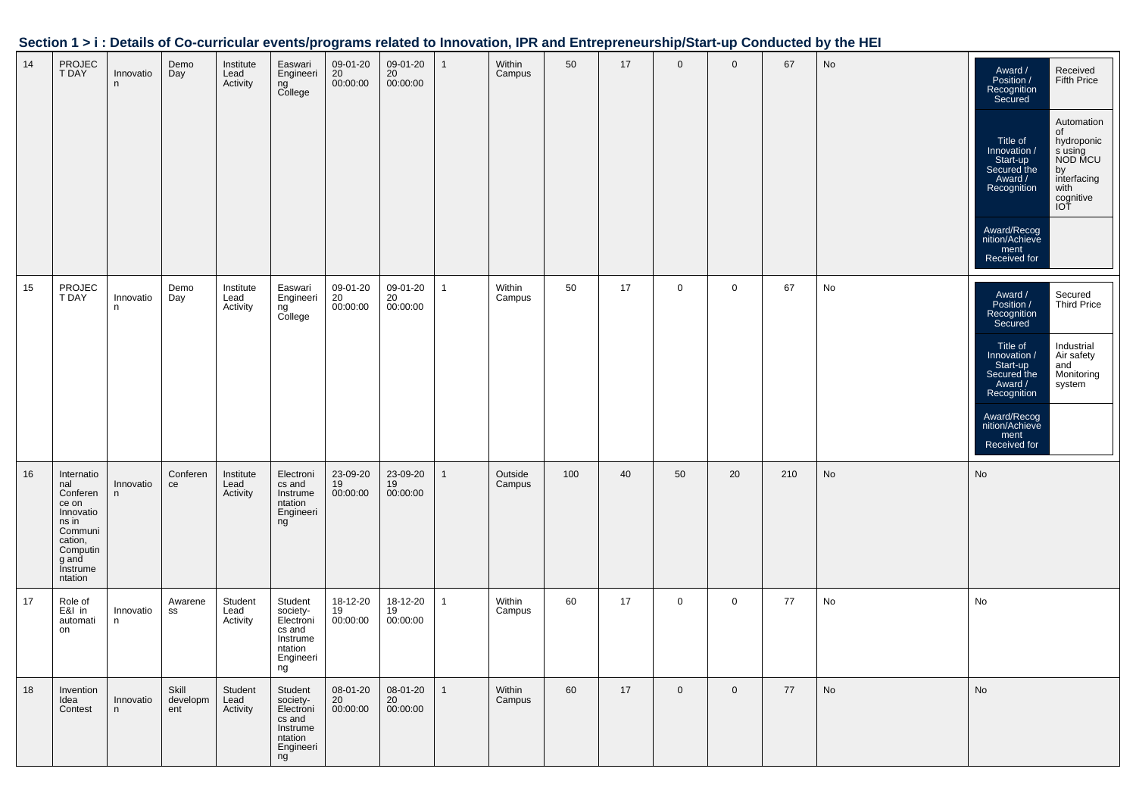| Section 1 > i : Details of Co-curricular events/programs related to Innovation, IPR and Entrepreneurship/Start-up Conducted by the HEI |  |
|----------------------------------------------------------------------------------------------------------------------------------------|--|
|                                                                                                                                        |  |

| 14 | PROJEC<br><b>T DAY</b>                                                                                                         | Innovatio<br>n  | Demo<br>Day              | Institute<br>Lead<br>Activity | Easwari<br>Engineeri<br>ng<br>College                                                | 09-01-20<br>20<br>00:00:00 | 09-01-20<br>20<br>00:00:00 |              | Within<br>Campus  | 50  | 17 | $\mathbf 0$    | $\mathbf 0$ | 67  | No | Award /<br>Position /<br>Received<br>Fifth Price<br>Recognition<br>Secured<br>Automation<br>of<br>Title of<br>hydroponic<br>Innovation /<br>s using<br>NOD MCU<br>Start-up<br>Secured the<br>by<br>interfacing<br>Award /<br>Recognition<br>with<br>cognitive<br>IOT<br>Award/Recog<br>nition/Achieve<br>ment<br>Received for |
|----|--------------------------------------------------------------------------------------------------------------------------------|-----------------|--------------------------|-------------------------------|--------------------------------------------------------------------------------------|----------------------------|----------------------------|--------------|-------------------|-----|----|----------------|-------------|-----|----|-------------------------------------------------------------------------------------------------------------------------------------------------------------------------------------------------------------------------------------------------------------------------------------------------------------------------------|
| 15 | PROJEC<br><b>T DAY</b>                                                                                                         | Innovatio<br>n  | Demo<br>Day              | Institute<br>Lead<br>Activity | Easwari<br>Engineeri<br>ng<br>College                                                | 09-01-20<br>20<br>00:00:00 | 09-01-20<br>20<br>00:00:00 | 1            | Within<br>Campus  | 50  | 17 | $\mathbf 0$    | $\mathbf 0$ | 67  | No | Secured<br>Award /<br>Position /<br><b>Third Price</b><br>Recognition<br>Secured<br>Title of<br>Industrial<br>Air safety<br>Innovation /<br>and<br>Start-up<br>Secured the<br>Monitoring<br>Award /<br>system<br>Recognition<br>Award/Recog<br>nition/Achieve<br>ment<br>Received for                                         |
| 16 | Internatio<br>nal<br>Conferen<br>ce on<br>Innovatio<br>ns in<br>Communi<br>cation,<br>Computin<br>g and<br>Instrume<br>ntation | Innovatio<br>n. | Conferen<br>ce           | Institute<br>Lead<br>Activity | Electroni<br>cs and<br>Instrume<br>ntation<br>Engineeri<br>ng                        | 23-09-20<br>19<br>00:00:00 | 23-09-20<br>19<br>00:00:00 | 1            | Outside<br>Campus | 100 | 40 | 50             | 20          | 210 | No | No                                                                                                                                                                                                                                                                                                                            |
| 17 | Role of<br>E&I in<br>automati<br>on                                                                                            | Innovatio<br>n  | Awarene<br>SS            | Student<br>Lead<br>Activity   | Student<br>society-<br>Electroni<br>cs and<br>Instrume<br>ntation<br>Engineeri<br>ng | 18-12-20<br>19<br>00:00:00 | 18-12-20<br>19<br>00:00:00 |              | Within<br>Campus  | 60  | 17 | $\mathbf 0$    | $\mathbf 0$ | 77  | No | No                                                                                                                                                                                                                                                                                                                            |
| 18 | Invention<br>Idea<br>Contest                                                                                                   | Innovatio<br>n  | Skill<br>developm<br>ent | Student<br>Lead<br>Activity   | Student<br>society-<br>Electroni<br>cs and<br>Instrume<br>ntation<br>Engineeri<br>ng | 08-01-20<br>20<br>00:00:00 | 08-01-20<br>20<br>00:00:00 | $\mathbf{1}$ | Within<br>Campus  | 60  | 17 | $\overline{0}$ | $\mathbf 0$ | 77  | No | No                                                                                                                                                                                                                                                                                                                            |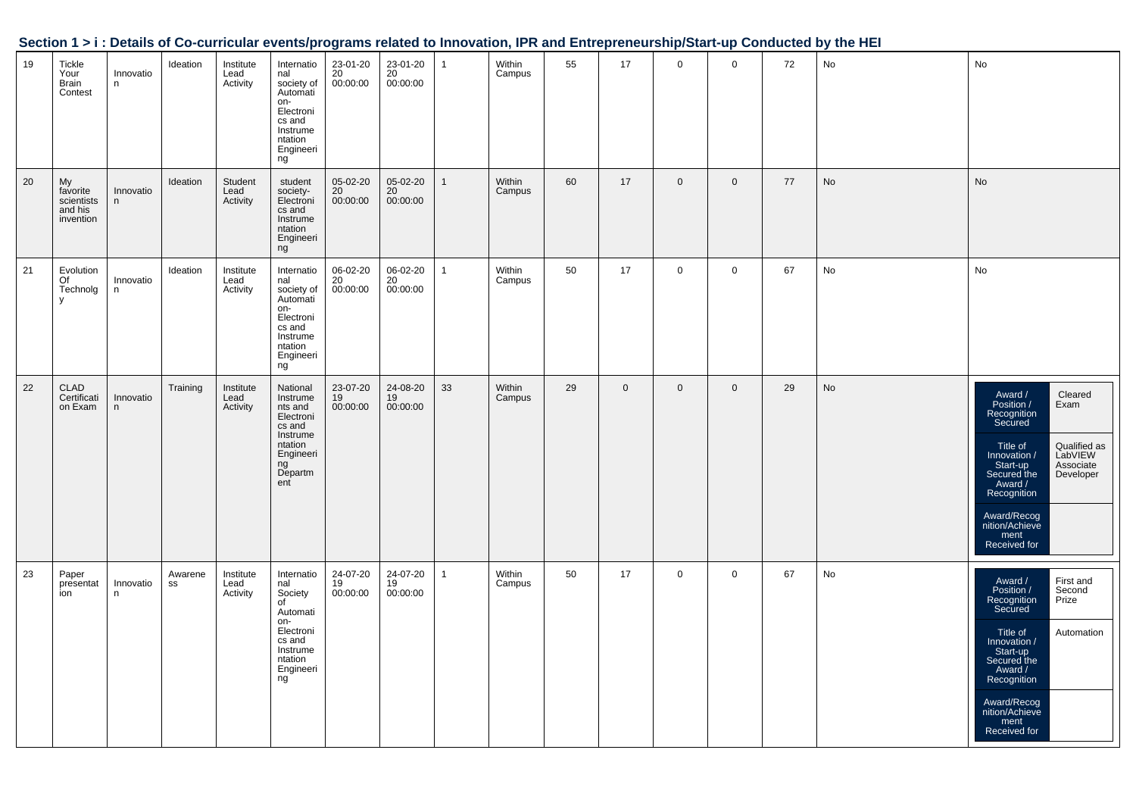|    |                                                      |                |               |                               |                                                                                                                        |                                         |                            |              |                  |    |             |                |             |    | Section 1 > i : Details of Co-curricular events/programs related to Innovation, IPR and Entrepreneurship/Start-up Conducted by the HEI |                                                                                                                                                                                                                                                                   |
|----|------------------------------------------------------|----------------|---------------|-------------------------------|------------------------------------------------------------------------------------------------------------------------|-----------------------------------------|----------------------------|--------------|------------------|----|-------------|----------------|-------------|----|----------------------------------------------------------------------------------------------------------------------------------------|-------------------------------------------------------------------------------------------------------------------------------------------------------------------------------------------------------------------------------------------------------------------|
| 19 | Tickle<br>Your<br>Brain<br>Contest                   | Innovatio<br>n | Ideation      | Institute<br>Lead<br>Activity | Internatio<br>nal<br>society of<br>Automati<br>on-<br>Electroni<br>cs and<br>Instrume<br>ntation<br>Engineeri<br>ng    | 23-01-20<br>$\frac{20}{20}$<br>00:00:00 | 23-01-20<br>20<br>00:00:00 | $\mathbf{1}$ | Within<br>Campus | 55 | 17          | $\overline{0}$ | $\mathbf 0$ | 72 | No                                                                                                                                     | No                                                                                                                                                                                                                                                                |
| 20 | My<br>favorite<br>scientists<br>and his<br>invention | Innovatio<br>n | Ideation      | Student<br>Lead<br>Activity   | student<br>society-<br>Electroni<br>cs and<br>Instrume<br>ntation<br>Engineeri<br>ng                                   | 05-02-20<br>20<br>00:00:00              | 05-02-20<br>20<br>00:00:00 | $\mathbf{1}$ | Within<br>Campus | 60 | 17          | $\overline{0}$ | $\mathbf 0$ | 77 | No                                                                                                                                     | No                                                                                                                                                                                                                                                                |
| 21 | Evolution<br>Of<br>Technolg<br>y                     | Innovatio<br>n | Ideation      | Institute<br>Lead<br>Activity | Internatio<br>nal<br>society of<br>Automati<br>on-<br>Electroni<br>cs and<br>Instrume<br>ntation<br>Engineeri<br>ng    | 06-02-20<br>$\frac{20}{20}$ 00:00:00    | 06-02-20<br>20<br>00:00:00 | $\mathbf{1}$ | Within<br>Campus | 50 | 17          | $\mathbf 0$    | $\mathbf 0$ | 67 | No                                                                                                                                     | No                                                                                                                                                                                                                                                                |
| 22 | CLAD<br>Certificati<br>on Exam                       | Innovatio<br>n | Training      | Institute<br>Lead<br>Activity | National<br>Instrume<br>nts and<br>Electroni<br>cs and<br>Instrume<br>ntation<br>Engineeri<br>ng<br>Departm<br>ent     | 23-07-20<br>19<br>00:00:00              | 24-08-20<br>19<br>00:00:00 | 33           | Within<br>Campus | 29 | $\mathbf 0$ | $\overline{0}$ | $\mathbf 0$ | 29 | No                                                                                                                                     | Award /<br>Position /<br>Recognition<br>Cleared<br>Exam<br>Secured<br>Qualified as<br>LabVIEW<br>Associate<br>Developer<br>Title of<br>Innovation /<br>Start-up<br>Secured the<br>Award /<br>Recognition<br>Award/Recog<br>nition/Achieve<br>ment<br>Received for |
| 23 | Paper<br>presentat<br>ion                            | Innovatio<br>n | Awarene<br>SS | Institute<br>Lead<br>Activity | Internatio<br>nal<br>Society<br>of<br>Automati<br>on-<br>Electroni<br>cs and<br>Instrume<br>ntation<br>Engineeri<br>ng | 24-07-20<br>19<br>00:00:00              | 24-07-20<br>19<br>00:00:00 | $\mathbf{1}$ | Within<br>Campus | 50 | 17          | $\mathbf{0}$   | $\mathbf 0$ | 67 | No                                                                                                                                     | Award /<br>Position /<br>Recognition<br>First and<br>Second<br>Prize<br>Secured<br>Title of<br>Automation<br>Innovation /<br>Start-up<br>Secured the<br>Award /<br>Recognition<br>Award/Recog<br>nition/Achieve<br>ment<br>Received for                           |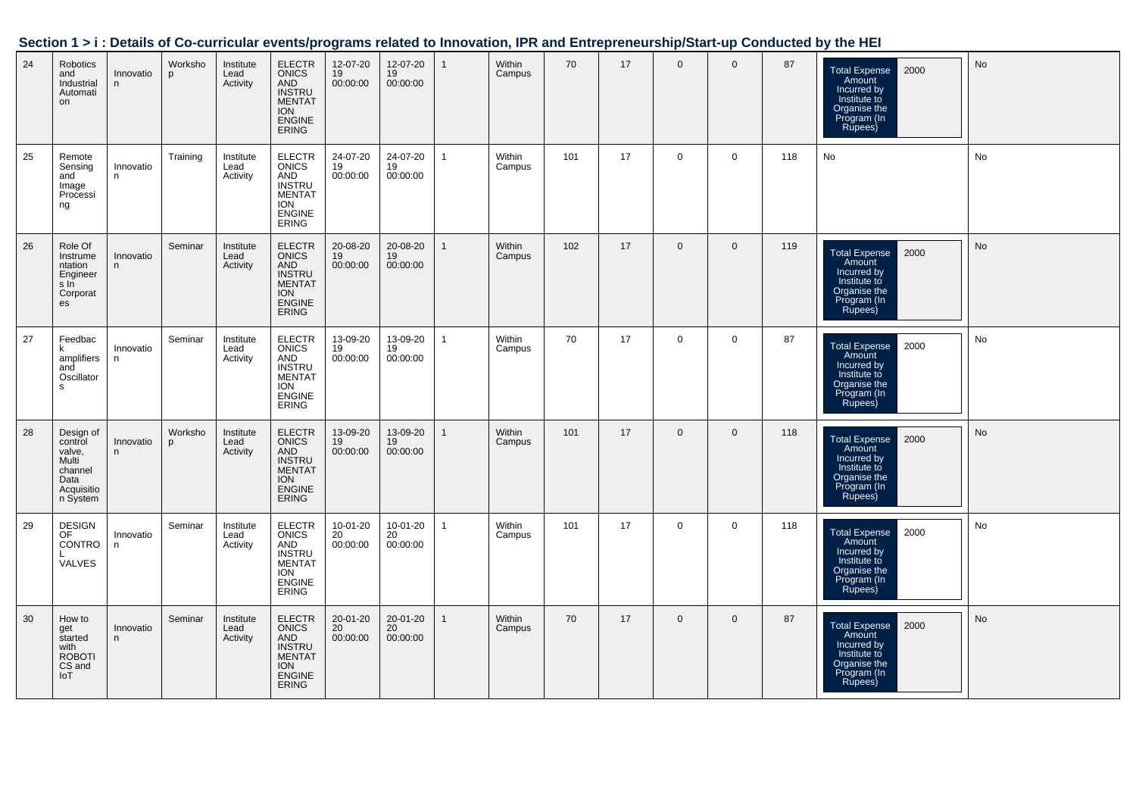|  | Section 1 > i : Details of Co-curricular events/programs related to Innovation, IPR and Entrepreneurship/Start-up Conducted by the HEI |
|--|----------------------------------------------------------------------------------------------------------------------------------------|
|  |                                                                                                                                        |

| 24 | Robotics<br>and<br>Industrial<br>Automati<br>on                                      | Innovatio<br>n. | Worksho<br>p | Institute<br>Lead<br>Activity | <b>ELECTR</b><br>ONICS<br>AND<br><b>INSTRU</b><br>MENTAT<br><b>ION</b><br><b>ENGINE</b><br><b>ERING</b>               | 12-07-20<br>19<br>00:00:00 | 12-07-20<br>19<br>00:00:00              | $\mathbf{1}$ | Within<br>Campus | 70  | 17 | $\mathbf 0$  | $\mathbf 0$  | 87  | 2000<br><b>Total Expense</b><br>Amount<br>Incurred by<br>Institute to<br>Organise the<br>Program (In<br>Rupees) | No |
|----|--------------------------------------------------------------------------------------|-----------------|--------------|-------------------------------|-----------------------------------------------------------------------------------------------------------------------|----------------------------|-----------------------------------------|--------------|------------------|-----|----|--------------|--------------|-----|-----------------------------------------------------------------------------------------------------------------|----|
| 25 | Remote<br>Sensing<br>and<br>Image<br>Processi<br>ng                                  | Innovatio<br>n  | Training     | Institute<br>Lead<br>Activity | ELECTR<br>ONICS<br>AND<br>INSTRU<br>MENTAT<br><b>ION</b><br><b>ENGINE</b><br><b>ERING</b>                             | 24-07-20<br>19<br>00:00:00 | 24-07-20<br>$\overline{19}$<br>00:00:00 | $\mathbf{1}$ | Within<br>Campus | 101 | 17 | $\mathbf 0$  | $\mathbf 0$  | 118 | No                                                                                                              | No |
| 26 | Role Of<br>Instrume<br>ntation<br>Engineer<br>sin<br>Corporat<br>es                  | Innovatio<br>n. | Seminar      | Institute<br>Lead<br>Activity | <b>ELECTR</b><br><b>ONICS</b><br>AND<br><b>INSTRU</b><br><b>MENTAT</b><br><b>ION</b><br><b>ENGINE</b><br><b>ERING</b> | 20-08-20<br>19<br>00:00:00 | 20-08-20<br>19<br>00:00:00              | $\mathbf{1}$ | Within<br>Campus | 102 | 17 | $\mathbf{0}$ | $\mathbf{0}$ | 119 | 2000<br><b>Total Expense</b><br>Amount<br>Incurred by<br>Institute to<br>Organise the<br>Program (In<br>Rupees) | No |
| 27 | Feedbac<br>k<br>amplifiers<br>and<br>Oscillator<br>s                                 | Innovatio<br>n  | Seminar      | Institute<br>Lead<br>Activity | ELECTR<br>ONICS<br><b>AND</b><br><b>INSTRU</b><br><b>MENTAT</b><br><b>ION</b><br><b>ENGINE</b><br><b>ERING</b>        | 13-09-20<br>19<br>00:00:00 | 13-09-20<br>19<br>00:00:00              | $\mathbf{1}$ | Within<br>Campus | 70  | 17 | $\mathbf 0$  | $\mathbf 0$  | 87  | <b>Total Expense</b><br>2000<br>Amount<br>Incurred by<br>Institute to<br>Organise the<br>Program (In<br>Rupees) | No |
| 28 | Design of<br>control<br>valve,<br>Multi<br>channel<br>Data<br>Acquisitio<br>n System | Innovatio<br>n  | Worksho<br>p | Institute<br>Lead<br>Activity | ELECTR<br>ONICS<br>AND<br><b>INSTRU</b><br><b>MENTAT</b><br><b>ION</b><br><b>ENGINE</b><br><b>ERING</b>               | 13-09-20<br>19<br>00:00:00 | 13-09-20<br>19<br>00:00:00              |              | Within<br>Campus | 101 | 17 | $\mathbf{0}$ | $\Omega$     | 118 | <b>Total Expense</b><br>2000<br>Amount<br>Incurred by<br>Institute to<br>Organise the<br>Program (In<br>Rupees) | No |
| 29 | <b>DESIGN</b><br>OF<br><b>CONTRO</b><br><b>VALVES</b>                                | Innovatio<br>n  | Seminar      | Institute<br>Lead<br>Activity | ELECTR<br><b>ONICS</b><br>AND<br><b>INSTRU</b><br><b>MENTAT</b><br><b>ION</b><br><b>ENGINE</b><br><b>ERING</b>        | 10-01-20<br>20<br>00:00:00 | 10-01-20<br>20<br>00:00:00              | $\mathbf{1}$ | Within<br>Campus | 101 | 17 | $\mathbf 0$  | 0            | 118 | 2000<br><b>Total Expense</b><br>Amount<br>ncurred by<br>Institute to<br>Organise the<br>Program (In<br>Rupees)  | No |
| 30 | How to<br>get<br>started<br>with<br><b>ROBOTI</b><br>CS and<br>IoT                   | Innovatio<br>n. | Seminar      | Institute<br>Lead<br>Activity | ELECTR<br><b>ONICS</b><br>AND<br><b>INSTRU</b><br><b>MENTAT</b><br><b>ION</b><br><b>ENGINE</b><br><b>ERING</b>        | 20-01-20<br>20<br>00:00:00 | 20-01-20<br>20<br>00:00:00              | $\mathbf{1}$ | Within<br>Campus | 70  | 17 | $\mathbf 0$  | $\mathbf 0$  | 87  | 2000<br><b>Total Expense</b><br>Amount<br>Incurred by<br>Institute to<br>Organise the<br>Program (In<br>Rupees) | No |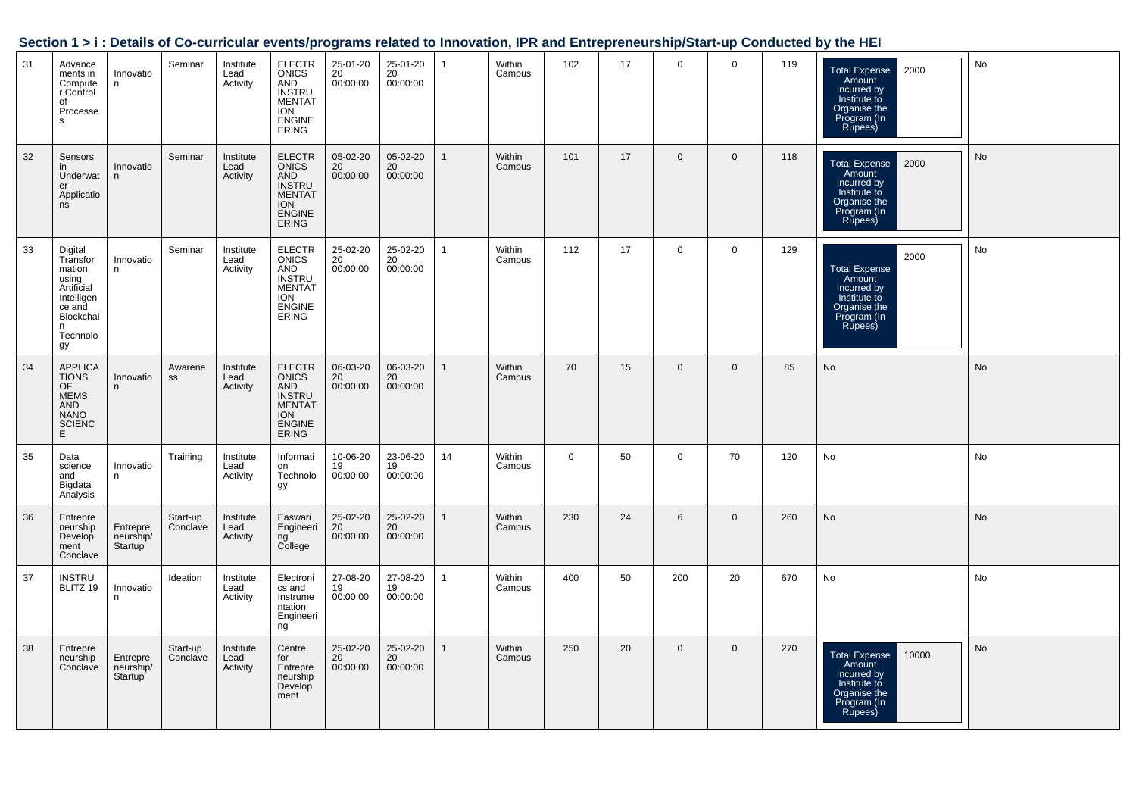| Section 1 > i : Details of Co-curricular events/programs related to Innovation, IPR and Entrepreneurship/Start-up Conducted by the HEI |  |
|----------------------------------------------------------------------------------------------------------------------------------------|--|
|                                                                                                                                        |  |

| 31 | Advance<br>ments in<br>Compute<br>r Control<br>of<br>Processe<br><b>S</b>                                        | Innovatio<br>n                                | Seminar              | Institute<br>Lead<br>Activity | <b>ELECTR</b><br><b>ONICS</b><br>AND<br><b>INSTRU</b><br><b>MENTAT</b><br><b>ION</b><br><b>ENGINE</b><br><b>ERING</b> | $25-01-20$<br>$20$<br>00:00:00 | 25-01-20<br>20<br>00:00:00 | $\mathbf{1}$ | Within<br>Campus | 102         | 17 | $\mathbf 0$  | $\mathbf 0$  | 119 | 2000<br><b>Total Expense</b><br>Amount<br>Incurred by<br>Institute to<br>Organise the<br>Program (In<br>Rupees)  | No        |
|----|------------------------------------------------------------------------------------------------------------------|-----------------------------------------------|----------------------|-------------------------------|-----------------------------------------------------------------------------------------------------------------------|--------------------------------|----------------------------|--------------|------------------|-------------|----|--------------|--------------|-----|------------------------------------------------------------------------------------------------------------------|-----------|
| 32 | Sensors<br>in.<br>Underwat<br>er<br>Applicatio<br>ns                                                             | Innovatio<br>n                                | Seminar              | Institute<br>Lead<br>Activity | <b>ELECTR</b><br><b>ONICS</b><br>AND<br><b>INSTRU</b><br><b>MENTAT</b><br><b>ION</b><br><b>ENGINE</b><br><b>ERING</b> | 05-02-20<br>20<br>00:00:00     | 05-02-20<br>20<br>00:00:00 | $\mathbf{1}$ | Within<br>Campus | 101         | 17 | $\mathbf{0}$ | $\mathbf 0$  | 118 | 2000<br><b>Total Expense</b><br>Amount<br>Incurred by<br>Institute to<br>Organise the<br>Program (In<br>Rupees)  | <b>No</b> |
| 33 | Digital<br>Transfor<br>mation<br>using<br>Artificial<br>Intelligen<br>ce and<br>Blockchai<br>n<br>Technolo<br>gy | Innovatio<br>n                                | Seminar              | Institute<br>Lead<br>Activity | <b>ELECTR</b><br><b>ONICS</b><br>AND<br><b>INSTRU</b><br><b>MENTAT</b><br><b>ION</b><br><b>ENGINE</b><br><b>ERING</b> | 25-02-20<br>20<br>00:00:00     | 25-02-20<br>20<br>00:00:00 | $\mathbf{1}$ | Within<br>Campus | 112         | 17 | $\mathbf{0}$ | $\mathbf 0$  | 129 | 2000<br><b>Total Expense</b><br>Amount<br>Incurred by<br>Institute to<br>Organise the<br>Program (In<br>Rupees)  | No        |
| 34 | <b>APPLICA</b><br><b>TIONS</b><br>OF<br><b>MEMS</b><br><b>AND</b><br><b>NANO</b><br><b>SCIENC</b><br>E           | Innovatio<br>n.                               | Awarene<br>SS        | Institute<br>Lead<br>Activity | <b>ELECTR</b><br><b>ONICS</b><br>AND<br><b>INSTRU</b><br><b>MENTAT</b><br><b>ION</b><br><b>ENGINE</b><br><b>ERING</b> | 06-03-20<br>20<br>00:00:00     | 06-03-20<br>20<br>00:00:00 | $\mathbf{1}$ | Within<br>Campus | 70          | 15 | $\mathbf{0}$ | $\mathbf{0}$ | 85  | No                                                                                                               | No        |
| 35 | Data<br>science<br>and<br>Bigdata<br>Analysis                                                                    | Innovatio<br>n                                | Training             | Institute<br>Lead<br>Activity | Informati<br>on<br>Technolo<br>gу                                                                                     | 10-06-20<br>19<br>00:00:00     | 23-06-20<br>19<br>00:00:00 | 14           | Within<br>Campus | $\mathbf 0$ | 50 | $\mathbf{0}$ | 70           | 120 | No                                                                                                               | No        |
| 36 | Entrepre<br>neurship<br>Develop<br>ment<br>Conclave                                                              | Entrepre<br>neurship/<br>Startup              | Start-up<br>Conclave | Institute<br>Lead<br>Activity | Easwari<br>Engineeri<br>ng<br>College                                                                                 | 25-02-20<br>20<br>00:00:00     | 25-02-20<br>20<br>00:00:00 | $\mathbf{1}$ | Within<br>Campus | 230         | 24 | 6            | $\mathbf{0}$ | 260 | No                                                                                                               | No        |
| 37 | <b>INSTRU</b><br>BLITZ 19                                                                                        | Innovatio<br>n.                               | Ideation             | Institute<br>Lead<br>Activity | Electroni<br>cs and<br>Instrume<br>ntation<br>Engineeri<br>ng                                                         | 27-08-20<br>19<br>00:00:00     | 27-08-20<br>19<br>00:00:00 | $\mathbf{1}$ | Within<br>Campus | 400         | 50 | 200          | 20           | 670 | No                                                                                                               | No        |
| 38 | Entrepre<br>neurship<br>Conclave                                                                                 | Entrepre<br>neurship/<br>Startup <sup>1</sup> | Start-up<br>Conclave | Institute<br>Lead<br>Activity | Centre<br>for<br>Entrepre<br>neurship<br>Develop<br>ment                                                              | 25-02-20<br>20<br>00:00:00     | 25-02-20<br>20<br>00:00:00 | $\mathbf{1}$ | Within<br>Campus | 250         | 20 | $\mathbf{0}$ | $\mathbf 0$  | 270 | <b>Total Expense</b><br>10000<br>Amount<br>Incurred by<br>Institute to<br>Organise the<br>Program (In<br>Rupees) | No        |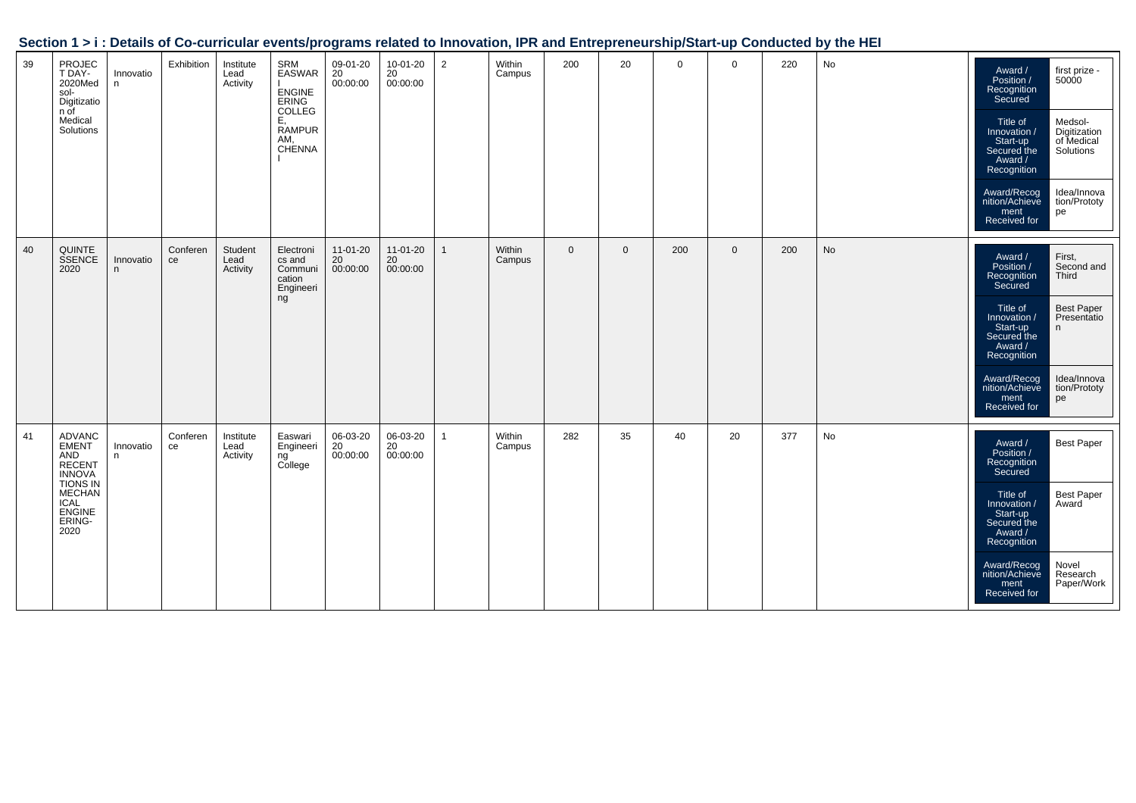|    |                                                                                                                                         |                |                |                               |                                                                                           | - <del>.</del>             |                            |                |                  |              |              |             |              |     |    |                                                                                                                                                                                                                                                                                                                |
|----|-----------------------------------------------------------------------------------------------------------------------------------------|----------------|----------------|-------------------------------|-------------------------------------------------------------------------------------------|----------------------------|----------------------------|----------------|------------------|--------------|--------------|-------------|--------------|-----|----|----------------------------------------------------------------------------------------------------------------------------------------------------------------------------------------------------------------------------------------------------------------------------------------------------------------|
| 39 | PROJEC<br>T DAY-<br>2020Med<br>sol-<br>Digitizatio<br>n of<br>Medical<br>Solutions                                                      | Innovatio<br>n | Exhibition     | Institute<br>Lead<br>Activity | SRM<br>EASWAR<br><b>ENGINE</b><br>ERING<br>COLLEG<br>Ε.<br><b>RAMPUR</b><br>AM,<br>CHÉNNA | 09-01-20<br>20<br>00:00:00 | 10-01-20<br>20<br>00:00:00 | $\overline{2}$ | Within<br>Campus | 200          | 20           | $\mathbf 0$ | $\mathbf 0$  | 220 | No | Award /<br>first prize -<br>Position /<br>50000<br>Recognition<br>Secured<br>Title of<br>Medsol-<br>Digitization<br>of Medical<br>Innovation /<br>Start-up<br>Secured the<br>Solutions<br>Award /<br>Recognition<br>Idea/Innova<br>Award/Recog<br>nition/Achieve<br>tion/Prototy<br>ment<br>pe<br>Received for |
| 40 | <b>QUINTE</b><br>SSENCE<br>2020                                                                                                         | Innovatio<br>n | Conferen<br>ce | Student<br>Lead<br>Activity   | Electroni<br>cs and<br>Communi<br>cation<br>Engineeri<br>ng                               | 11-01-20<br>20<br>00:00:00 | 11-01-20<br>20<br>00:00:00 | $\mathbf{1}$   | Within<br>Campus | $\mathbf{0}$ | $\mathbf{0}$ | 200         | $\mathbf{0}$ | 200 | No | First,<br>Second and<br>Award /<br>Position /<br>Third<br>Recognition<br>Secured<br>Title of<br><b>Best Paper</b><br>Presentatio<br>Innovation /<br>Start-up<br>n<br>Secured the<br>Award /<br>Recognition<br>Idea/Innova<br>Award/Recog<br>nition/Achieve<br>tion/Prototy<br>ment<br>pe<br>Received for       |
| 41 | <b>ADVANC</b><br><b>EMENT</b><br>AND<br>RECENT<br>INNOVA<br><b>TIONS IN</b><br><b>MECHAN</b><br><b>ICAL</b><br>ENGINE<br>ERING-<br>2020 | Innovatio<br>n | Conferen<br>ce | Institute<br>Lead<br>Activity | Easwari<br>Engineeri<br>ng<br>College                                                     | 06-03-20<br>20<br>00:00:00 | 06-03-20<br>20<br>00:00:00 | $\mathbf{1}$   | Within<br>Campus | 282          | 35           | 40          | 20           | 377 | No | <b>Best Paper</b><br>Award /<br>Position /<br>Recognition<br>Secured<br>Title of<br><b>Best Paper</b><br>Award<br>Innovation /<br>Start-up<br>Secured the<br>Award /<br>Recognition<br>Novel<br>Award/Recog<br>nition/Achieve<br>Research<br>Paper/Work<br>ment<br>Received for                                |

### **Section 1 > i : Details of Co-curricular events/programs related to Innovation, IPR and Entrepreneurship/Start-up Conducted by the HEI**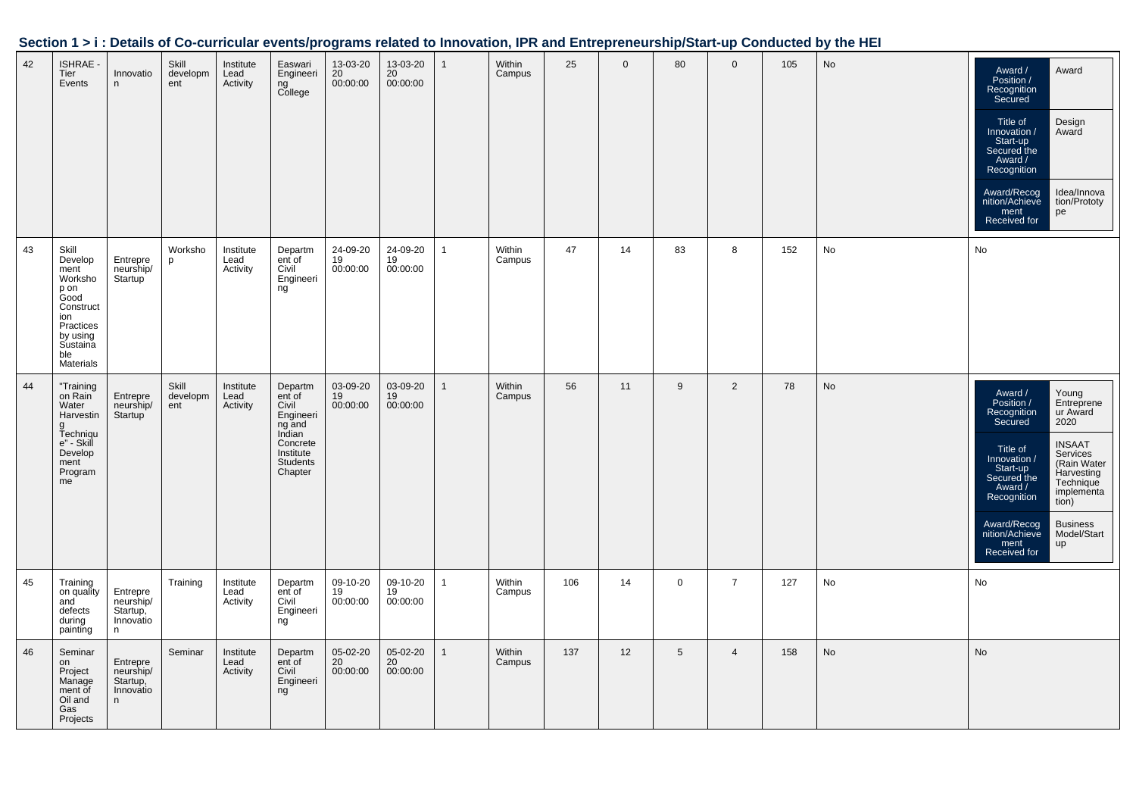|  | Section 1 > i : Details of Co-curricular events/programs related to Innovation, IPR and Entrepreneurship/Start-up Conducted by the HEI |  |
|--|----------------------------------------------------------------------------------------------------------------------------------------|--|
|  |                                                                                                                                        |  |

| 42 | <b>ISHRAE -</b><br>Tier<br>Events                                                                                                | Innovatio<br>n                                      | Skill<br>developm<br>ent | Institute<br>Lead<br>Activity | Easwari<br>Engineeri<br>ng<br>College                                                                       | 13-03-20<br>20<br>00:00:00 | 13-03-20<br>20<br>00:00:00 |              | Within<br>Campus | 25  | $\Omega$ | 80             | $\mathbf{0}$   | 105 | No | Award /<br>Position /<br>Recognition<br>Secured<br>Title of<br>Innovation /<br>Start-up<br>Secured the<br>Award /<br>Recognition<br>Award/Recog<br>nition/Achieve<br>ment<br>Received for | Award<br>Design<br>Award<br>Idea/Innova<br>tion/Prototy<br>pe                                                                                                                 |
|----|----------------------------------------------------------------------------------------------------------------------------------|-----------------------------------------------------|--------------------------|-------------------------------|-------------------------------------------------------------------------------------------------------------|----------------------------|----------------------------|--------------|------------------|-----|----------|----------------|----------------|-----|----|-------------------------------------------------------------------------------------------------------------------------------------------------------------------------------------------|-------------------------------------------------------------------------------------------------------------------------------------------------------------------------------|
| 43 | Skill<br>Develop<br>ment<br>Worksho<br>p on<br>Good<br>Construct<br>ion<br>Practices<br>by using<br>Sustaina<br>ble<br>Materials | Entrepre<br>neurship/<br>Startup <sup>'</sup>       | Worksho<br>p             | Institute<br>Lead<br>Activity | Departm<br>ent of<br>Civil<br>Engineeri<br>ng                                                               | 24-09-20<br>19<br>00:00:00 | 24-09-20<br>19<br>00:00:00 | 1            | Within<br>Campus | 47  | 14       | 83             | 8              | 152 | No | No                                                                                                                                                                                        |                                                                                                                                                                               |
| 44 | "Training<br>on Rain<br>Water<br>Harvestin<br>g<br>Techniqu<br>e" - Skill<br>Develop<br>ment<br>Program<br>me                    | Entrepre<br>neurship/<br>Startup                    | Skill<br>developm<br>ent | Institute<br>Lead<br>Activity | Departm<br>ent of<br>Civil<br>Engineeri<br>ng and<br>Indian<br>Concrete<br>Institute<br>Students<br>Chapter | 03-09-20<br>19<br>00:00:00 | 03-09-20<br>19<br>00:00:00 | $\mathbf 1$  | Within<br>Campus | 56  | 11       | 9              | 2              | 78  | No | Award /<br>Position /<br>Recognition<br>Secured<br>Title of<br>Innovation /<br>Start-up<br>Secured the<br>Award /<br>Recognition<br>Award/Recog<br>nition/Achieve<br>ment<br>Received for | Young<br>Entreprene<br>ur Award<br>2020<br><b>INSAAT</b><br>Services<br>(Rain Water<br>Harvesting<br>Technique<br>implementa<br>tion)<br><b>Business</b><br>Model/Start<br>up |
| 45 | Training<br>on quality<br>and<br>defects<br>during<br>painting                                                                   | Entrepre<br>neurship/<br>Startup,<br>Innovatio<br>n | Training                 | Institute<br>Lead<br>Activity | Departm<br>ent of<br>Civil<br>Engineeri<br>ng                                                               | 09-10-20<br>19<br>00:00:00 | 09-10-20<br>19<br>00:00:00 | $\mathbf{1}$ | Within<br>Campus | 106 | 14       | $\mathbf 0$    | $\overline{7}$ | 127 | No | No                                                                                                                                                                                        |                                                                                                                                                                               |
| 46 | Seminar<br>on<br>Project<br>Manage<br>ment of<br>Oil and<br>Gas<br>Projects                                                      | Entrepre<br>neurship/<br>Startup,<br>Innovatio<br>n | Seminar                  | Institute<br>Lead<br>Activity | Departm<br>ent of<br>Civil<br>Engineeri<br>ng                                                               | 05-02-20<br>20<br>00:00:00 | 05-02-20<br>20<br>00:00:00 | 1            | Within<br>Campus | 137 | 12       | 5 <sup>5</sup> | $\overline{4}$ | 158 | No | No                                                                                                                                                                                        |                                                                                                                                                                               |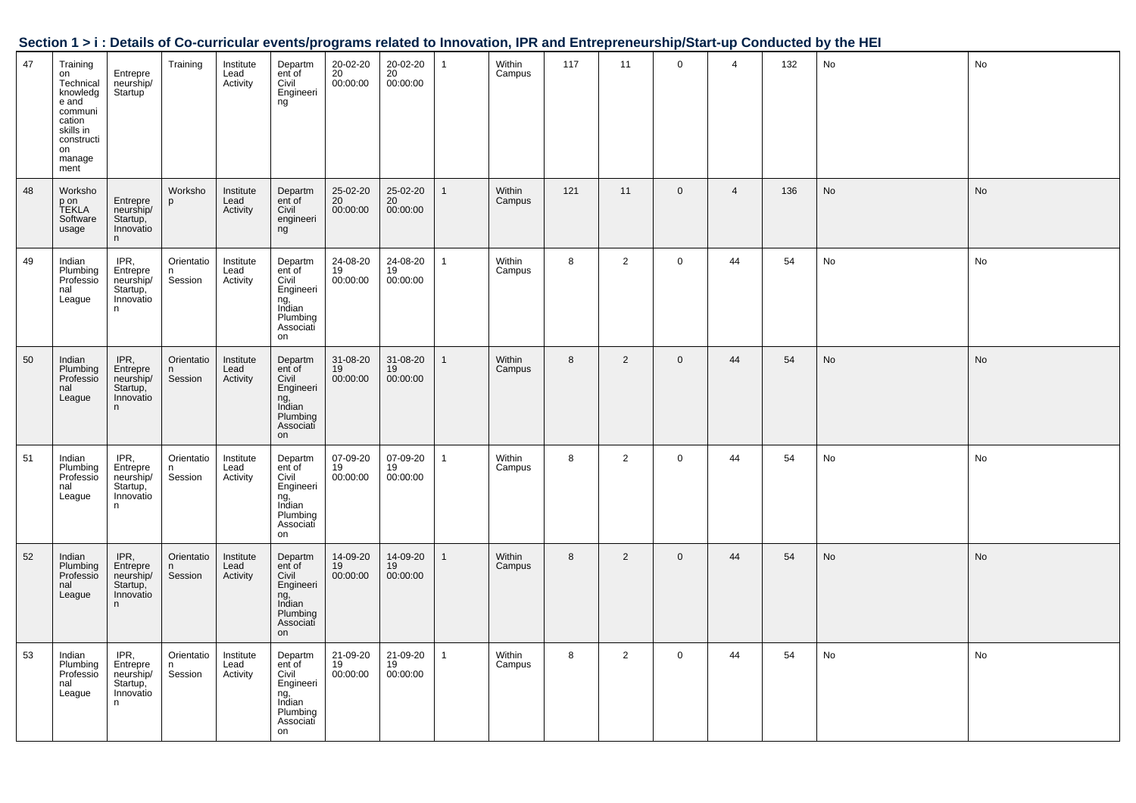|  |  | Section 1 > i : Details of Co-curricular events/programs related to Innovation, IPR and Entrepreneurship/Start-up Conducted by the HEI |
|--|--|----------------------------------------------------------------------------------------------------------------------------------------|
|  |  |                                                                                                                                        |

| 47 | Training<br>on<br>Technical<br>knowledg<br>e and<br>communi<br>cation<br>skills in<br>constructi<br>on<br>manage<br>ment | Entrepre<br>neurship/<br>Startup <sup>1</sup>               | Training                   | Institute<br>Lead<br>Activity | Departm<br>ent of<br>Civil<br>Engineeri<br>ng                                           | 20-02-20<br>20<br>00:00:00 | 20-02-20<br>20<br>00:00:00 | $\mathbf{1}$ | Within<br>Campus | 117 | 11             | $\mathbf 0$    | $\overline{4}$ | 132 | No        | No        |
|----|--------------------------------------------------------------------------------------------------------------------------|-------------------------------------------------------------|----------------------------|-------------------------------|-----------------------------------------------------------------------------------------|----------------------------|----------------------------|--------------|------------------|-----|----------------|----------------|----------------|-----|-----------|-----------|
| 48 | Worksho<br>p on<br>TEKLA<br>Software<br>usage                                                                            | Entrepre<br>neurship/<br>Startup,<br>Innovatio<br>n.        | Worksho<br>p               | Institute<br>Lead<br>Activity | Departm<br>ent of<br>Civil<br>engineeri<br>ng                                           | 25-02-20<br>20<br>00:00:00 | 25-02-20<br>20<br>00:00:00 | $\mathbf{1}$ | Within<br>Campus | 121 | 11             | $\mathbf 0$    | $\overline{4}$ | 136 | <b>No</b> | <b>No</b> |
| 49 | Indian<br>Plumbing<br>Professio<br>nal<br>League                                                                         | IPR,<br>Entrepre<br>neurship/<br>Startup,<br>Innovatio<br>n | Orientatio<br>n<br>Session | Institute<br>Lead<br>Activity | Departm<br>ent of<br>Civil<br>Engineeri<br>ng,<br>Indian<br>Plumbing<br>Associati<br>on | 24-08-20<br>19<br>00:00:00 | 24-08-20<br>19<br>00:00:00 | $\mathbf{1}$ | Within<br>Campus | 8   | $\overline{2}$ | $\mathbf{0}$   | 44             | 54  | No        | No        |
| 50 | Indian<br>Plumbing<br>Professio<br>nal<br>League                                                                         | IPR,<br>Entrepre<br>neurship/<br>Startup,<br>Innovatio<br>n | Orientatio<br>n<br>Session | Institute<br>Lead<br>Activity | Departm<br>ent of<br>Civil<br>Engineeri<br>ng,<br>Indian<br>Plumbing<br>Associati<br>on | 31-08-20<br>19<br>00:00:00 | 31-08-20<br>19<br>00:00:00 | $\mathbf{1}$ | Within<br>Campus | 8   | $\overline{2}$ | $\mathbf 0$    | 44             | 54  | No        | <b>No</b> |
| 51 | Indian<br>Plumbing<br>Professio<br>nal<br>League                                                                         | IPR,<br>Entrepre<br>neurship/<br>Startup,<br>Innovatio<br>n | Orientatio<br>n<br>Session | Institute<br>Lead<br>Activity | Departm<br>ent of<br>Civil<br>Engineeri<br>ng,<br>Indian<br>Plumbing<br>Associati<br>on | 07-09-20<br>19<br>00:00:00 | 07-09-20<br>19<br>00:00:00 | $\mathbf{1}$ | Within<br>Campus | 8   | $\overline{2}$ | $\mathbf 0$    | 44             | 54  | No        | No        |
| 52 | Indian<br>Plumbing<br>Professio<br>nal<br>League                                                                         | IPR,<br>Entrepre<br>neurship/<br>Startup,<br>Innovatio<br>n | Orientatio<br>n<br>Session | Institute<br>Lead<br>Activity | Departm<br>ent of<br>Civil<br>Engineeri<br>ng,<br>Indian<br>Plumbing<br>Associati<br>on | 14-09-20<br>19<br>00:00:00 | 14-09-20<br>19<br>00:00:00 | $\mathbf{1}$ | Within<br>Campus | 8   | $\overline{2}$ | $\overline{0}$ | 44             | 54  | No        | No        |
| 53 | Indian<br>Plumbing<br>Professio<br>nal<br>League                                                                         | IPR.<br>Entrepre<br>neurship/<br>Startup,<br>Innovatio<br>n | Orientatio<br>n<br>Session | Institute<br>Lead<br>Activity | Departm<br>ent of<br>Civil<br>Engineeri<br>ng,<br>Indian<br>Plumbing<br>Associati<br>on | 21-09-20<br>19<br>00:00:00 | 21-09-20<br>19<br>00:00:00 | $\mathbf{1}$ | Within<br>Campus | 8   | $\overline{2}$ | $\mathbf{0}$   | 44             | 54  | No        | No        |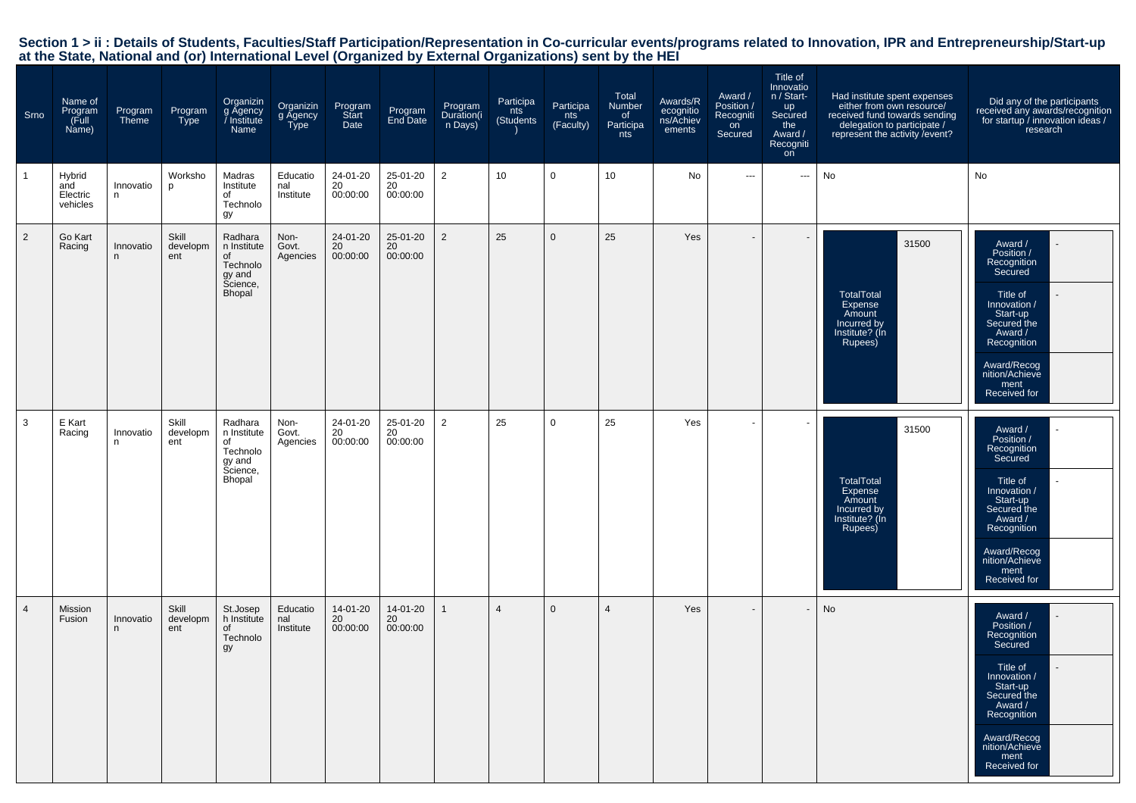| Srno           | Name of<br>Program<br>(Full<br>Name)  | Program<br>Theme | Program<br>Type          | Organizin<br>g Agency<br>/ Institute<br>Name                             | Organizin<br>g Agency<br>Type | Program<br>Start<br>Date   | Program<br>End Date        | Program<br>Duration(i<br>n Days) | Participa<br>nts<br>(Students | Participa<br>nts<br>(Faculty) | Total<br><b>Number</b><br>of<br>Participa<br>nts | Awards/R<br>ecognitio<br>ns/Achiev<br>ements | Award /<br>Position /<br>Recogniti<br>on<br>Secured | Title of<br>Innovatio<br>n / Start-<br><b>up</b><br>Secured<br>the<br>Award /<br>Recogniti<br>on | Had institute spent expenses<br>either from own resource/<br>received fund towards sending<br>delegation to participate /<br>represent the activity / event? | Did any of the participants<br>received any awards/recognition<br>for startup / innovation ideas /<br>research                                                                            |
|----------------|---------------------------------------|------------------|--------------------------|--------------------------------------------------------------------------|-------------------------------|----------------------------|----------------------------|----------------------------------|-------------------------------|-------------------------------|--------------------------------------------------|----------------------------------------------|-----------------------------------------------------|--------------------------------------------------------------------------------------------------|--------------------------------------------------------------------------------------------------------------------------------------------------------------|-------------------------------------------------------------------------------------------------------------------------------------------------------------------------------------------|
|                | Hybrid<br>and<br>Electric<br>vehicles | Innovatio<br>n   | Worksho<br>p             | Madras<br>Institute<br>of<br>Technolo<br>gy                              | Educatio<br>nal<br>Institute  | 24-01-20<br>20<br>00:00:00 | 25-01-20<br>20<br>00:00:00 | $\overline{2}$                   | 10                            | 0                             | 10                                               | No                                           | $\qquad \qquad \cdots$                              | ---                                                                                              | No                                                                                                                                                           | No                                                                                                                                                                                        |
| 2              | Go Kart<br>Racing                     | Innovatio<br>n   | Skill<br>developm<br>ent | Radhara<br>n Institute<br>of<br>Technolo<br>gy and<br>Science,<br>Bhopal | Non-<br>Govt.<br>Agencies     | 24-01-20<br>20<br>00:00:00 | 25-01-20<br>20<br>00:00:00 | 2                                | 25                            | $\mathbf 0$                   | 25                                               | Yes                                          | $\overline{\phantom{a}}$                            |                                                                                                  | 31500<br>TotalTotal<br>Expense<br>Amount<br>Incurred by<br>Institute? (In<br>Rupees)                                                                         | Award /<br>Position /<br>Recognition<br>Secured<br>Title of<br>Innovation /<br>Start-up<br>Secured the<br>Award /<br>Recognition<br>Award/Recog<br>nition/Achieve<br>ment<br>Received for |
| 3              | E Kart<br>Racing                      | Innovatio<br>n   | Skill<br>developm<br>ent | Radhara<br>n Institute<br>of<br>Technolo<br>gy and<br>Science,<br>Bhopal | Non-<br>Govt.<br>Agencies     | 24-01-20<br>20<br>00:00:00 | 25-01-20<br>20<br>00:00:00 | $\overline{2}$                   | 25                            | 0                             | 25                                               | Yes                                          |                                                     |                                                                                                  | 31500<br><b>TotalTotal</b><br>Expense<br>Amount<br>Incurred by<br>Institute? (Ín<br>Rupees)                                                                  | Award /<br>Position /<br>Recognition<br>Secured<br>Title of<br>Innovation /<br>Start-up<br>Secured the<br>Award /<br>Recognition<br>Award/Recog<br>nition/Achieve<br>ment<br>Received for |
| $\overline{4}$ | Mission<br>Fusion                     | Innovatio<br>n   | Skill<br>developm<br>ent | St.Josep<br>h Institute<br>of<br>Technolo<br>gy                          | Educatio<br>nal<br>Institute  | 14-01-20<br>20<br>00:00:00 | 14-01-20<br>20<br>00:00:00 | $\mathbf{1}$                     | $\overline{4}$                | $\mathbf 0$                   | $\overline{4}$                                   | Yes                                          | $\overline{\phantom{a}}$                            |                                                                                                  | No                                                                                                                                                           | Award /<br>Position /<br>Recognition<br>Secured<br>Title of<br>Innovation /<br>Start-up<br>Secured the<br>Award /<br>Recognition<br>Award/Recog<br>nition/Achieve<br>ment<br>Received for |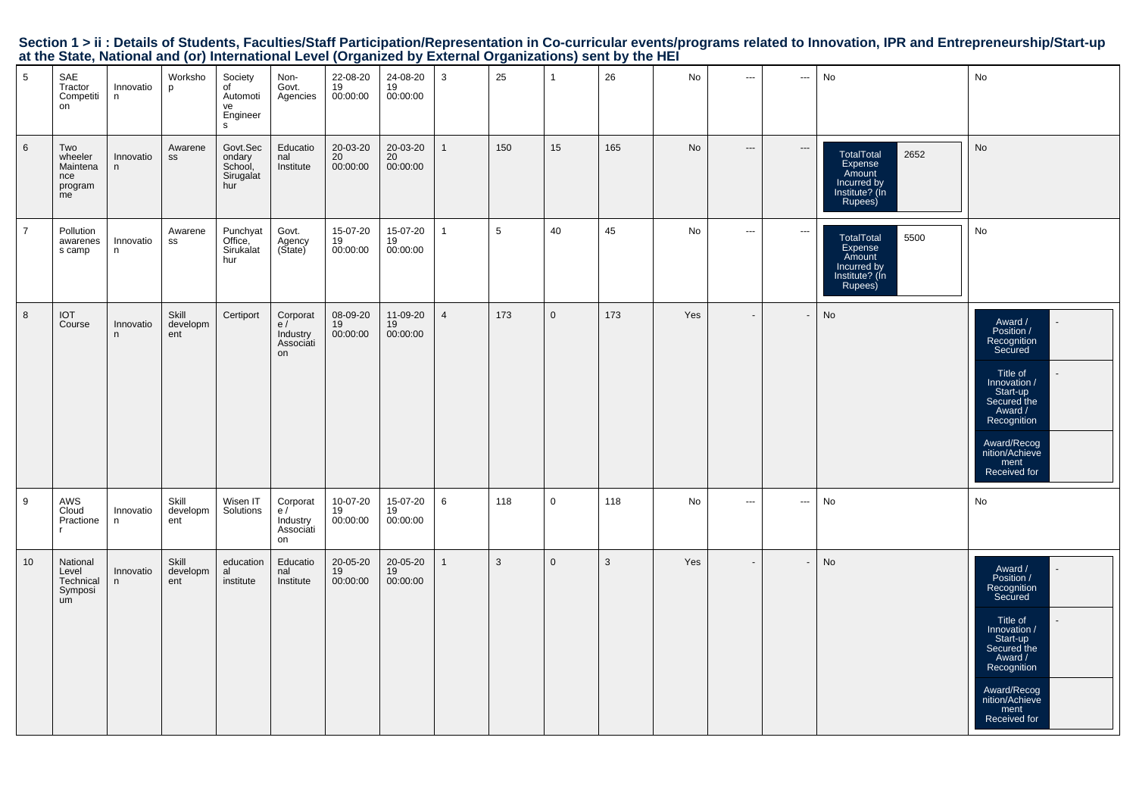|                 |                                                    |                | $\cdots$                 |                                                   |                                               |                            |                                |                | ັ   |              |              |           |                          |                          |                                                                                     |                                                                                                                                                                                           |
|-----------------|----------------------------------------------------|----------------|--------------------------|---------------------------------------------------|-----------------------------------------------|----------------------------|--------------------------------|----------------|-----|--------------|--------------|-----------|--------------------------|--------------------------|-------------------------------------------------------------------------------------|-------------------------------------------------------------------------------------------------------------------------------------------------------------------------------------------|
| 5               | SAE<br>Tractor<br>Competiti<br>on                  | Innovatio<br>n | Worksho<br>p             | Society<br>of<br>Automoti<br>ve<br>Engineer<br>s  | Non-<br>Govt.<br>Agencies                     | 22-08-20<br>19<br>00:00:00 | 24-08-20<br>19<br>00:00:00     | 3              | 25  | $\mathbf{1}$ | 26           | No        | $\sim$ $\sim$            | $\sim$ $\sim$            | No                                                                                  | No                                                                                                                                                                                        |
| $6\phantom{.}6$ | Two<br>wheeler<br>Maintena<br>nce<br>program<br>me | Innovatio<br>n | Awarene<br>$\texttt{SS}$ | Govt.Sec<br>ondary<br>School,<br>Sirugalat<br>hur | Educatio<br>nal<br>Institute                  | 20-03-20<br>20<br>00:00:00 | 20-03-20<br>20<br>00:00:00     | $\mathbf{1}$   | 150 | 15           | 165          | <b>No</b> | $\cdots$                 | $\hspace{0.05cm} \cdots$ | TotalTotal<br>2652<br>Expense<br>Amount<br>Incurred by<br>Institute? (In<br>Rupees) | No                                                                                                                                                                                        |
| $\overline{7}$  | Pollution<br>awarenes<br>s camp                    | Innovatio<br>n | Awarene<br>SS            | Punchyat<br>Office,<br>Sirukalat<br>hur           | Govt.<br>Agency<br>(State)                    | 15-07-20<br>19<br>00:00:00 | $15-07-20$<br>$19$<br>00:00:00 | $\mathbf{1}$   | 5   | 40           | 45           | No        | $\sim$                   | $\sim$                   | 5500<br>TotalTotal<br>Expense<br>Amount<br>Incurred by<br>Institute? (In<br>Rupees) | No                                                                                                                                                                                        |
| 8               | <b>TOI</b><br>Course                               | Innovatio<br>n | Skill<br>developm<br>ent | Certiport                                         | Corporat<br>e/<br>Industry<br>Associáti<br>on | 08-09-20<br>19<br>00:00:00 | 11-09-20<br>19<br>00:00:00     | $\overline{4}$ | 173 | $\mathbf 0$  | 173          | Yes       | $\overline{\phantom{a}}$ |                          | No                                                                                  | Award /<br>Position /<br>Recognition<br>Secured<br>Title of<br>/ Innovation<br>Start-up<br>Secured the<br>Award /<br>Recognition<br>Award/Recog<br>nition/Achieve<br>ment<br>Received for |
| 9               | AWS<br>Cloud<br>Practione                          | Innovatio<br>n | Skill<br>developm<br>ent | Wisen IT<br>Solutions                             | Corporat<br>e/<br>Industry<br>Associati<br>on | 10-07-20<br>19<br>00:00:00 | 15-07-20<br>19<br>00:00:00     | 6              | 118 | $\mathbf 0$  | 118          | No        | $\cdots$                 | $\hspace{0.05cm} \ldots$ | No                                                                                  | No                                                                                                                                                                                        |
| 10              | National<br>Level<br>Technical<br>Symposi<br>um    | Innovatio<br>n | Skill<br>developm<br>ent | education<br>al<br>institute                      | Educatio<br>nal<br>Institute                  | 20-05-20<br>19<br>00:00:00 | 20-05-20<br>19<br>00:00:00     | $\mathbf{1}$   | 3   | $\mathbf{0}$ | $\mathbf{3}$ | Yes       | $\overline{\phantom{a}}$ | $\overline{\phantom{a}}$ | No                                                                                  | Award /<br>Position /<br>Recognition<br>Secured<br>Title of<br>/ Innovation<br>Start-up<br>Secured the<br>Award /<br>Recognition<br>Award/Recog<br>nition/Achieve<br>ment<br>Received for |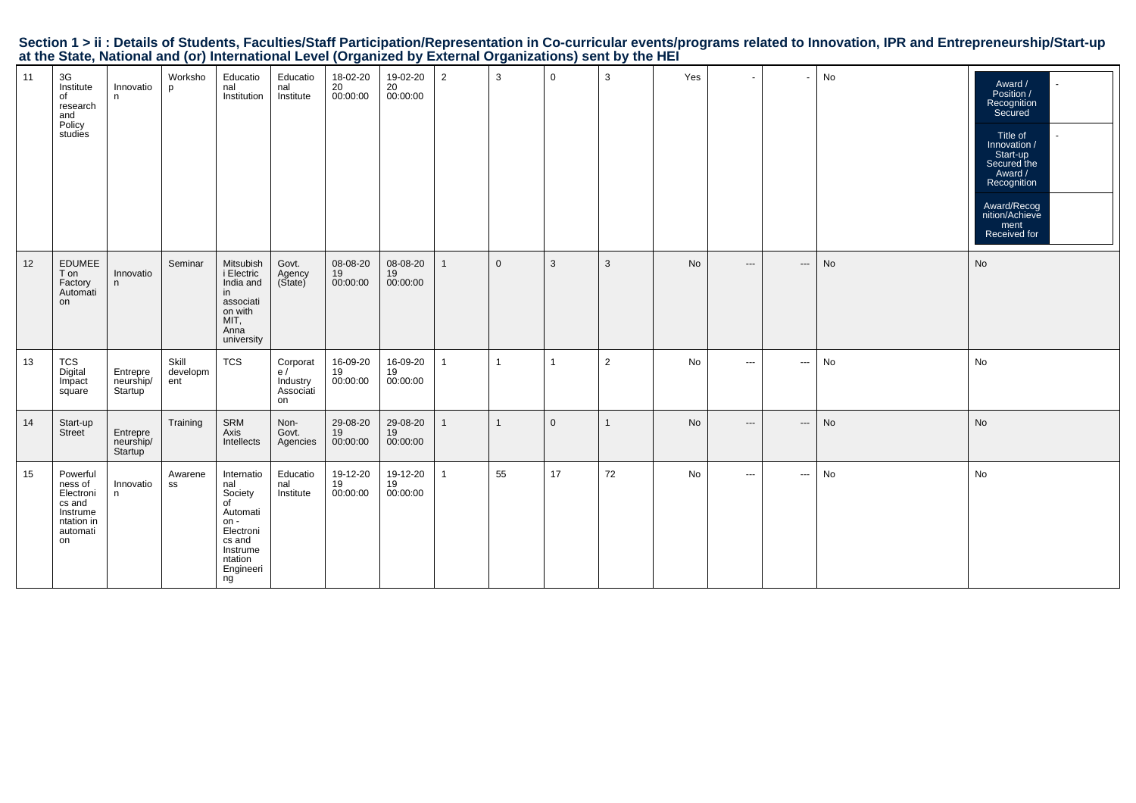|                                                                                                           |  |  | Section 1 > ii : Details of Students, Faculties/Staff Participation/Representation in Co-curricular events/programs related to Innovation, IPR and Entrepreneurship/Start-up |  |
|-----------------------------------------------------------------------------------------------------------|--|--|------------------------------------------------------------------------------------------------------------------------------------------------------------------------------|--|
| at the State, National and (or) International Level (Organized by External Organizations) sent by the HEI |  |  |                                                                                                                                                                              |  |

| 11 | 3G<br>Institute<br>of<br>research<br>and<br>Policy<br>studies                          | Innovatio<br>n                          | Worksho<br>D             | Educatio<br>nal<br>Institution                                                                                            | Educatio<br>nal<br>Institute                  | 18-02-20<br>$20 - 1000000$ | 19-02-20<br>20 <sup>2</sup><br>00:00:00 | $\overline{2}$ | 3              | $\mathbf 0$ | 3              | Yes | $\blacksquare$ | $\overline{\phantom{a}}$ | No | Award /<br>Position /<br>Recognition<br>Secured<br>Title of<br>Innovation /<br>Start-up<br>Secured the<br>Award /<br>Recognition<br>Award/Recog<br>nition/Achieve<br>ment<br>Received for |
|----|----------------------------------------------------------------------------------------|-----------------------------------------|--------------------------|---------------------------------------------------------------------------------------------------------------------------|-----------------------------------------------|----------------------------|-----------------------------------------|----------------|----------------|-------------|----------------|-----|----------------|--------------------------|----|-------------------------------------------------------------------------------------------------------------------------------------------------------------------------------------------|
| 12 | <b>EDUMEE</b><br>T on<br>Factory<br>Automati<br>on                                     | Innovatio<br>n                          | Seminar                  | Mitsubish<br>i Electric<br>India and<br>in<br>associati<br>on with<br>MIT,<br>Anna<br>university                          | Govt.<br>Agency<br>(State)                    | 08-08-20<br>19<br>00:00:00 | 08-08-20<br>19<br>00:00:00              | $\mathbf{1}$   | $\mathbf{0}$   | 3           | 3              | No  | $---$          | $\hspace{0.05cm} \ldots$ | No | No                                                                                                                                                                                        |
| 13 | <b>TCS</b><br>Digital<br>Impact<br>square                                              | Entrepre<br>neurship/<br>Startup        | Skill<br>developm<br>ent | TCS                                                                                                                       | Corporat<br>e/<br>Industry<br>Associati<br>on | 16-09-20<br>19<br>00:00:00 | 16-09-20<br>19<br>00:00:00              | 1              | $\overline{1}$ | -1          | $\overline{2}$ | No  | $\sim$ $\sim$  | $\cdots$                 | No | No                                                                                                                                                                                        |
| 14 | Start-up<br>Street                                                                     | Entrepre<br>neurship/<br><b>Startup</b> | Training                 | SRM<br>Axis<br>Intellects                                                                                                 | Non-<br>Govt.<br>Agencies                     | 29-08-20<br>19<br>00:00:00 | 29-08-20<br>19<br>00:00:00              | $\mathbf{1}$   | $\mathbf{1}$   | $\mathbf 0$ | $\mathbf{1}$   | No  | $---$          | $\hspace{0.05cm} \cdots$ | No | No                                                                                                                                                                                        |
| 15 | Powerful<br>ness of<br>Electroni<br>cs and<br>Instrume<br>ntation in<br>automati<br>on | Innovatio<br>n                          | Awarene<br>SS            | Internatio<br>nal<br>Society<br>of<br>Automati<br>$on -$<br>Electroni<br>cs and<br>Instrume<br>ntation<br>Engineeri<br>ng | Educatio<br>nal<br>Institute                  | 19-12-20<br>19<br>00:00:00 | 19-12-20<br>19<br>00:00:00              | $\mathbf{1}$   | 55             | 17          | 72             | No  | $\sim$ $\sim$  | $\cdots$                 | No | No                                                                                                                                                                                        |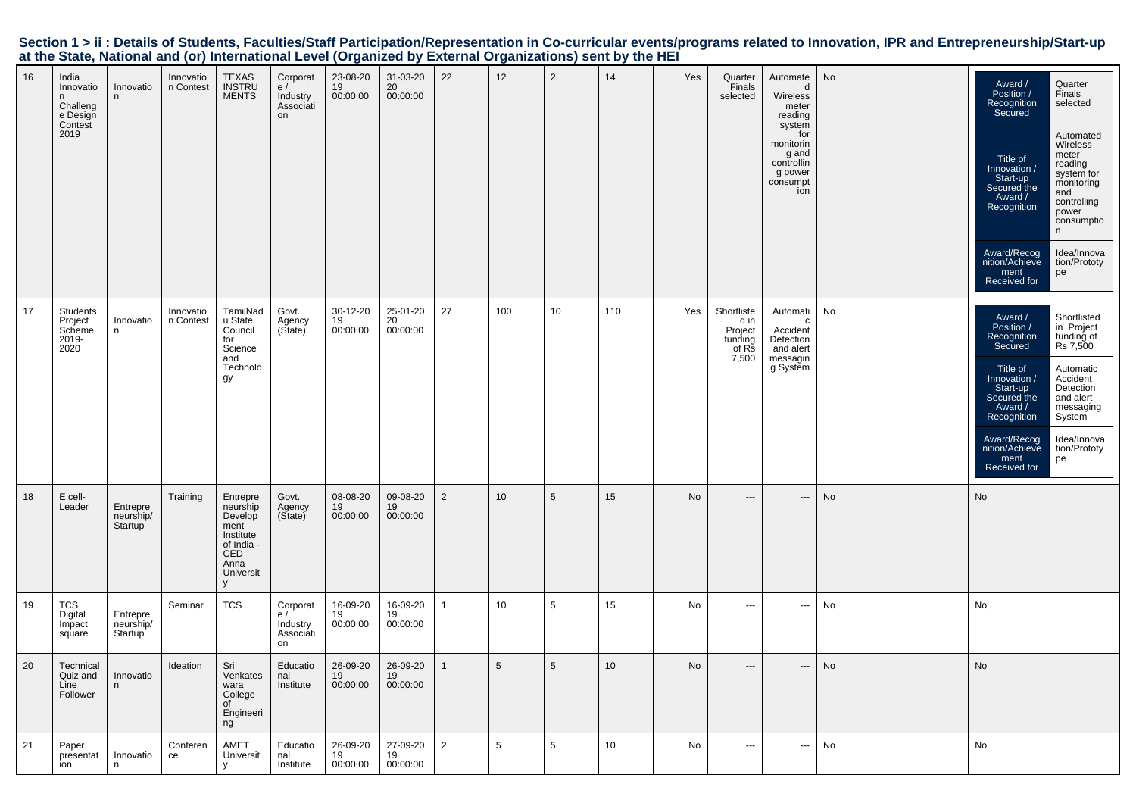|    |                                                                     |                                  |                        |                                                                                                     | $\frac{1}{2}$                                 |                            |                            |                |                 |                 | $\frac{1}{2}$ |     |                                                            |                                                                                                                                  |                              |                                                                                                                                                                                                                                                                                                                                                                                            |
|----|---------------------------------------------------------------------|----------------------------------|------------------------|-----------------------------------------------------------------------------------------------------|-----------------------------------------------|----------------------------|----------------------------|----------------|-----------------|-----------------|---------------|-----|------------------------------------------------------------|----------------------------------------------------------------------------------------------------------------------------------|------------------------------|--------------------------------------------------------------------------------------------------------------------------------------------------------------------------------------------------------------------------------------------------------------------------------------------------------------------------------------------------------------------------------------------|
| 16 | India<br>Innovatio<br>n.<br>Challeng<br>e Design<br>Contest<br>2019 | Innovatio<br>n                   | Innovatio<br>n Contest | TEXAS<br>INSTRU<br>MENTS                                                                            | Corporat<br>e/<br>Industry<br>Associati<br>on | 23-08-20<br>19<br>00:00:00 | 31-03-20<br>20<br>00:00:00 | 22             | 12              | $\overline{2}$  | 14            | Yes | Quarter<br>Finals<br>selected                              | Automate<br>d<br>Wireless<br>meter<br>reading<br>system<br>for<br>monitorin<br>g and<br>controllin<br>g power<br>consumpt<br>ion | No                           | Quarter<br>Award /<br>Position /<br>Finals<br>Recognition<br>Secured<br>selected<br>Automated<br>Wireless<br>meter<br>Title of<br>reading<br>Innovation /<br>system for<br>Start-up<br>Secured the<br>monitoring<br>and<br>Award /<br>controlling<br>Recognition<br>power<br>consumptio<br>n<br>Idea/Innova<br>Award/Recog<br>nition/Achieve<br>tion/Prototy<br>ment<br>pe<br>Received for |
| 17 | Students<br>Project<br>Scheme<br>2019-<br>2020                      | Innovatio<br>n                   | Innovatio<br>n Contest | TamilNad<br>u State<br>Council<br>for<br>Science<br>and<br>Technolo<br>gу                           | Govt.<br>Agency<br>(State)                    | 30-12-20<br>19<br>00:00:00 | 25-01-20<br>20<br>00:00:00 | 27             | 100             | 10              | 110           | Yes | Shortliste<br>d in<br>Project<br>funding<br>of Rs<br>7,500 | Automati<br>c<br>Accident<br>Detection<br>and alert<br>messagin<br>g System                                                      | No                           | Shortlisted<br>in Project<br>funding of<br>Rs 7,500<br>Award /<br>Position /<br>Recognition<br>Secured<br>Title of<br>Automatic<br>Accident<br>Innovation /<br>Detection<br>Start-up<br>Secured the<br>and alert<br>Award /<br>messaging<br>Recognition<br>System<br>Idea/Innova<br>Award/Recog<br>nition/Achieve<br>tion/Prototy<br>ment<br>pe<br>Received for                            |
| 18 | E cell-<br>Leader                                                   | Entrepre<br>neurship/<br>Startup | Training               | Entrepre<br>neurship<br>Develop<br>ment<br>Institute<br>of India -<br>CED<br>Anna<br>Universit<br>У | Govt.<br>Agency<br>(State)                    | 08-08-20<br>19<br>00:00:00 | 09-08-20<br>19<br>00:00:00 | $\overline{2}$ | 10 <sup>1</sup> | 5               | 15            | No  | $---$                                                      | $\hspace{0.05cm} \cdots$                                                                                                         | No                           | No                                                                                                                                                                                                                                                                                                                                                                                         |
| 19 | TCS<br>Digital<br>Impact<br>square                                  | Entrepre<br>neurship/<br>Startup | Seminar                | <b>TCS</b>                                                                                          | Corporat<br>e/<br>Industry<br>Associati<br>on | 16-09-20<br>19<br>00:00:00 | 16-09-20<br>19<br>00:00:00 | $\mathbf{1}$   | 10              | 5               | 15            | No  | $\hspace{0.05cm} \ldots$                                   | $\hspace{0.05cm} \cdots$                                                                                                         | No                           | No                                                                                                                                                                                                                                                                                                                                                                                         |
| 20 | Technical<br>Quiz and<br>Line<br>Follower                           | Innovatio<br>n                   | Ideation               | Sri<br>Venkates  <br>wara<br>College<br>of<br>Engineeri<br>ng                                       | Educatio<br>nal<br>Institute                  | 26-09-20<br>19<br>00:00:00 | 26-09-20<br>19<br>00:00:00 | 1              | $5^{\circ}$     | $5\overline{)}$ | 10            | No  |                                                            |                                                                                                                                  | $\operatorname{\mathsf{No}}$ | $\operatorname{\mathsf{No}}$                                                                                                                                                                                                                                                                                                                                                               |
| 21 | Paper<br>presentat<br>ion                                           | Innovatio<br>n                   | Conferen<br>ce         | AMET<br>Universit<br>$\mathsf{V}$                                                                   | Educatio<br>nal<br>Institute                  | 26-09-20<br>19<br>00:00:00 | 27-09-20<br>19<br>00:00:00 | $\overline{2}$ | $5\overline{5}$ | $5\overline{5}$ | 10            | No  | $\sim$ $\sim$ $\sim$                                       | $\hspace{0.05cm} \cdots$                                                                                                         | No                           | No                                                                                                                                                                                                                                                                                                                                                                                         |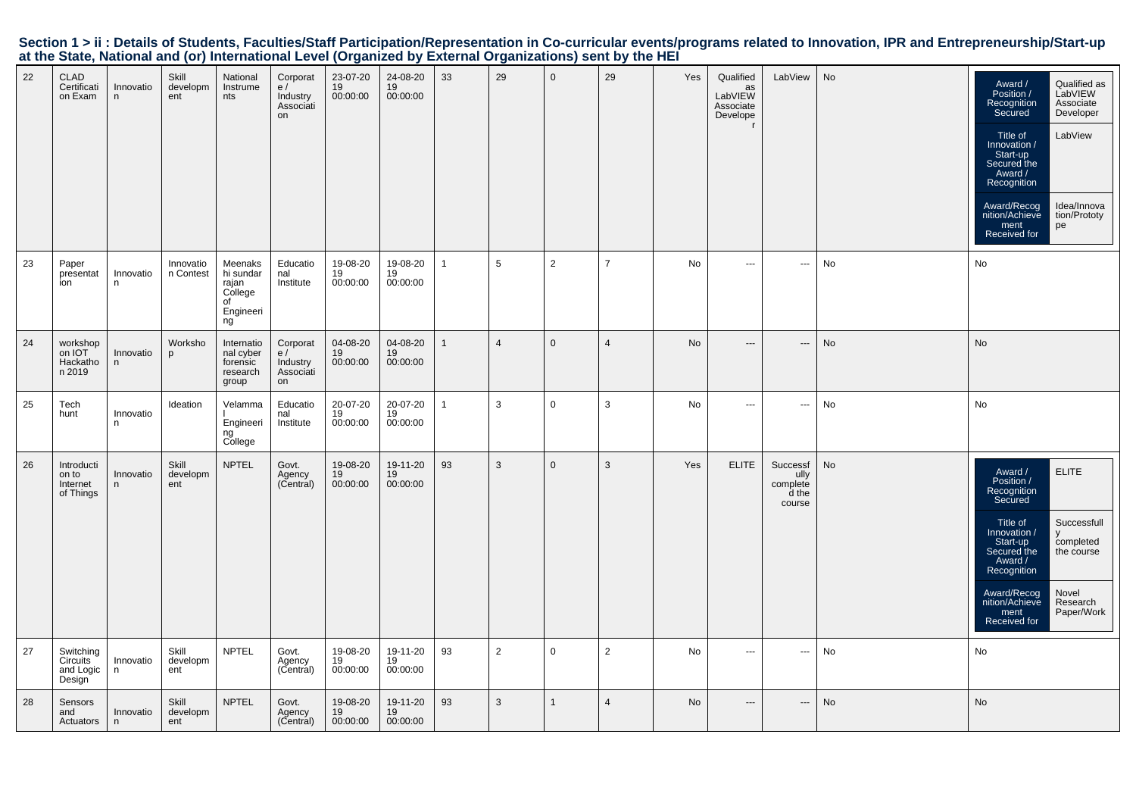| Section 1 > ii : Details of Students, Faculties/Staff Participation/Representation in Co-curricular events/programs related to Innovation, IPR and Entrepreneurship/Start-up |  |  |
|------------------------------------------------------------------------------------------------------------------------------------------------------------------------------|--|--|
| at the State, National and (or) International Level (Organized by External Organizations) sent by the HEI                                                                    |  |  |

| 22 | <b>CLAD</b><br>Certificati<br>on Exam        | Innovatio<br>n  | Skill<br>developm<br>ent | National<br>Instrume<br>nts                                       | Corporat<br>e/<br>Industry<br>Associati<br>on | 23-07-20<br>19<br>00:00:00 | 24-08-20<br>19<br>00:00:00 | 33           | 29              | $\mathbf 0$    | 29             | Yes       | Qualified<br>as<br>LabVIEW<br>Associate<br>Develope<br>$\mathsf{r}$ | LabView                                         | No        | Qualified as<br>Award /<br>LabVIEW<br>Position /<br>Associate<br>Recognition<br>Developer<br>Secured<br>LabView<br>Title of<br>Innovation /<br>Start-up<br>Secured the<br>Award /<br>Recognition<br>Award/Recog<br>Idea/Innova<br>nition/Achieve<br>tion/Prototy<br>ment<br>pe<br>Received for |
|----|----------------------------------------------|-----------------|--------------------------|-------------------------------------------------------------------|-----------------------------------------------|----------------------------|----------------------------|--------------|-----------------|----------------|----------------|-----------|---------------------------------------------------------------------|-------------------------------------------------|-----------|------------------------------------------------------------------------------------------------------------------------------------------------------------------------------------------------------------------------------------------------------------------------------------------------|
| 23 | Paper<br>presentat<br>ion                    | Innovatio<br>n  | Innovatio<br>n Contest   | Meenaks<br>hi sundar<br>rajan<br>College<br>of<br>Engineeri<br>ng | Educatio<br>nal<br>Institute                  | 19-08-20<br>19<br>00:00:00 | 19-08-20<br>19<br>00:00:00 | -1           | $5\phantom{.0}$ | $\overline{2}$ | $\overline{7}$ | No        | $\sim$ $\sim$                                                       | $\overline{\phantom{a}}$                        | No        | No                                                                                                                                                                                                                                                                                             |
| 24 | workshop<br>on IOT<br>Hackatho<br>n 2019     | Innovatio<br>n  | Worksho<br>p             | Internatio<br>nal cyber<br>forensic<br>research<br>group          | Corporat<br>e/<br>Industry<br>Associati<br>on | 04-08-20<br>19<br>00:00:00 | 04-08-20<br>19<br>00:00:00 |              | $\overline{4}$  | $\Omega$       | $\overline{4}$ | <b>No</b> | $---$                                                               | $\hspace{0.05cm} \ldots$                        | <b>No</b> | <b>No</b>                                                                                                                                                                                                                                                                                      |
| 25 | Tech<br>hunt                                 | Innovatio<br>n  | Ideation                 | Velamma<br>Engineeri<br>ng<br>College                             | Educatio<br>nal<br>Institute                  | 20-07-20<br>19<br>00:00:00 | 20-07-20<br>19<br>00:00:00 | $\mathbf{1}$ | $\mathbf{3}$    | $\mathbf 0$    | 3              | No        | $\overline{\phantom{a}}$                                            | ---                                             | No        | No                                                                                                                                                                                                                                                                                             |
| 26 | Introducti<br>on to<br>Internet<br>of Things | Innovatio<br>n. | Skill<br>developm<br>ent | <b>NPTEL</b>                                                      | Govt.<br>Agency<br>(Central)                  | 19-08-20<br>19<br>00:00:00 | 19-11-20<br>19<br>00:00:00 | 93           | 3               | $\mathbf{0}$   | 3              | Yes       | <b>ELITE</b>                                                        | Successf<br>ully<br>complete<br>d the<br>course | No        | <b>ELITE</b><br>Award /<br>Position /<br>Recognition<br>Secured<br>Successfull<br>Title of<br>Innovation /<br>V<br>Start-up<br>completed<br>Secured the<br>the course<br>Award /<br>Recognition<br>Award/Recog<br>Novel<br>nition/Achieve<br>Research<br>Paper/Work<br>ment<br>Received for    |
| 27 | Switching<br>Circuits<br>and Logic<br>Design | Innovatio<br>n  | Skill<br>developm<br>ent | <b>NPTEL</b>                                                      | Govt.<br>Agency<br>(Central)                  | 19-08-20<br>19<br>00:00:00 | 19-11-20<br>19<br>00:00:00 | 93           | $\overline{2}$  | $\mathbf 0$    | $\overline{2}$ | No        | $\sim$ $\sim$                                                       | $\cdots$                                        | No        | No                                                                                                                                                                                                                                                                                             |
| 28 | Sensors<br>and<br>Actuators                  | Innovatio<br>n. | Skill<br>developm<br>ent | <b>NPTEL</b>                                                      | Govt.<br>Agency<br>(Central)                  | 19-08-20<br>19<br>00:00:00 | 19-11-20<br>19<br>00:00:00 | 93           | 3               | 1              | $\overline{4}$ | <b>No</b> | $---$                                                               | $\hspace{0.05cm} \ldots$                        | No        | No                                                                                                                                                                                                                                                                                             |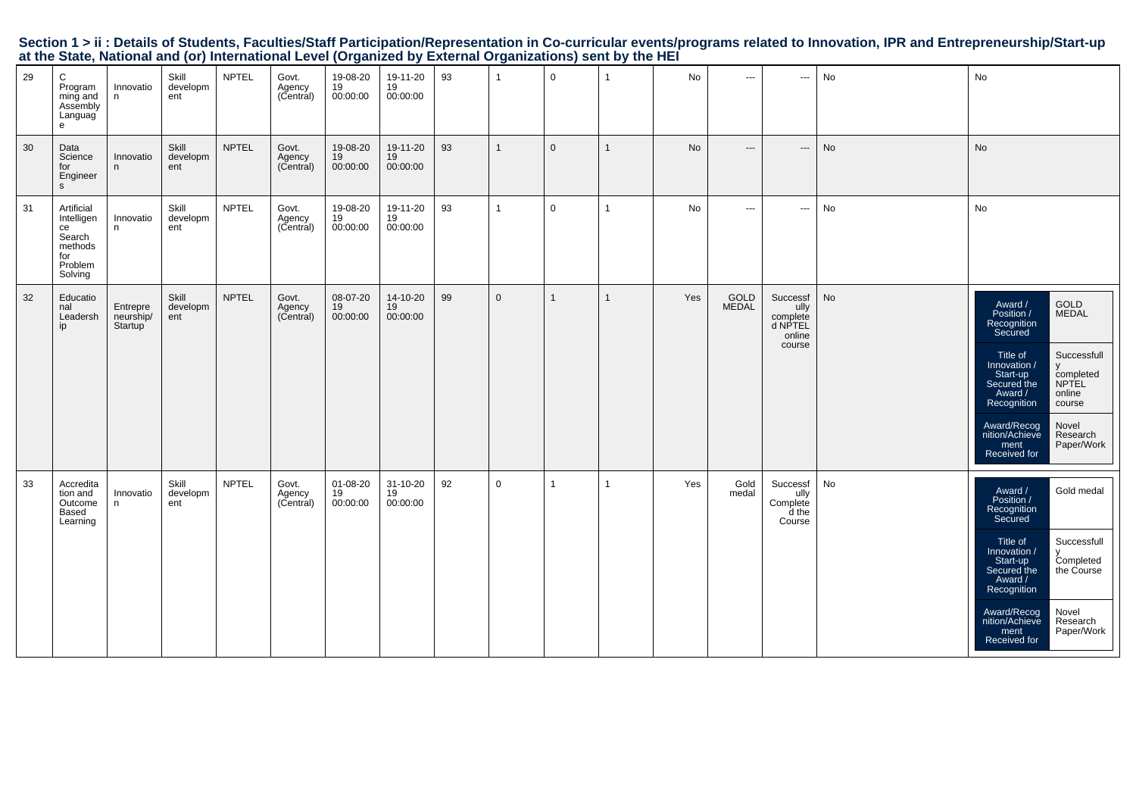|    |                                                                                  |                                  | at the State, National and (or) international Level (Organized by External Organizations) sent by the HEI |              |                                       |                              |                            |    |                |                |              |     |                                                                                                                                                                                                                                                                                                                                                                                                                                                                            |                                                             |    |                                                                                                                                                                                                                                                                                                             |
|----|----------------------------------------------------------------------------------|----------------------------------|-----------------------------------------------------------------------------------------------------------|--------------|---------------------------------------|------------------------------|----------------------------|----|----------------|----------------|--------------|-----|----------------------------------------------------------------------------------------------------------------------------------------------------------------------------------------------------------------------------------------------------------------------------------------------------------------------------------------------------------------------------------------------------------------------------------------------------------------------------|-------------------------------------------------------------|----|-------------------------------------------------------------------------------------------------------------------------------------------------------------------------------------------------------------------------------------------------------------------------------------------------------------|
| 29 | C<br>Program<br>ming and<br>Assembly<br>Languag<br>e                             | Innovatio<br>n                   | Skill<br>developm<br>ent                                                                                  | <b>NPTEL</b> | Govt.<br>Agency<br>(Central)          | 19-08-20<br>19<br>00:00:00   | 19-11-20<br>19<br>00:00:00 | 93 | $\overline{1}$ | $\mathbf 0$    | $\mathbf{1}$ | No  | $\sim$ $\sim$                                                                                                                                                                                                                                                                                                                                                                                                                                                              | $\hspace{0.05cm} \ldots$                                    | No | No                                                                                                                                                                                                                                                                                                          |
| 30 | Data<br>Science<br>for<br>Engineer<br>s                                          | Innovatio<br>n                   | Skill<br>developm<br>ent                                                                                  | <b>NPTEL</b> | Govt.<br>Agency<br>(Central)          | 19-08-20<br>19<br>00:00:00   | 19-11-20<br>19<br>00:00:00 | 93 | $\mathbf{1}$   | $\mathbf 0$    | $\mathbf{1}$ | No  | $\cdots$                                                                                                                                                                                                                                                                                                                                                                                                                                                                   | $\hspace{0.05cm} \cdots$                                    | No | No                                                                                                                                                                                                                                                                                                          |
| 31 | Artificial<br>Intelligen<br>ce<br>Search<br>methods<br>for<br>Problem<br>Solving | Innovatio<br>n.                  | Skill<br>developm<br>ent                                                                                  | <b>NPTEL</b> | Govt.<br>Sovi:<br>Agency<br>(Central) | 19-08-20<br>19<br>00:00:00   | 19-11-20<br>19<br>00:00:00 | 93 | $\overline{1}$ | $\overline{0}$ | $\mathbf{1}$ | No  | $\frac{1}{2} \left( \frac{1}{2} \right) \left( \frac{1}{2} \right) \left( \frac{1}{2} \right) \left( \frac{1}{2} \right) \left( \frac{1}{2} \right) \left( \frac{1}{2} \right) \left( \frac{1}{2} \right) \left( \frac{1}{2} \right) \left( \frac{1}{2} \right) \left( \frac{1}{2} \right) \left( \frac{1}{2} \right) \left( \frac{1}{2} \right) \left( \frac{1}{2} \right) \left( \frac{1}{2} \right) \left( \frac{1}{2} \right) \left( \frac{1}{2} \right) \left( \frac$ | $\sim$                                                      | No | No                                                                                                                                                                                                                                                                                                          |
| 32 | Educatio<br>nal<br>Leadersh<br>ip                                                | Entrepre<br>neurship/<br>Startup | Skill<br>developm<br>ent                                                                                  | <b>NPTEL</b> | Govt.<br>Agency<br>(Central)          | 08-07-20<br>19<br>00:00:00   | 14-10-20<br>19<br>00:00:00 | 99 | $\mathbf{0}$   |                | $\mathbf{1}$ | Yes | GOLD<br>MEDAL                                                                                                                                                                                                                                                                                                                                                                                                                                                              | Successf<br>ully<br>complete<br>d NPTEL<br>online<br>course | No | GOLD<br>MEDAL<br>Award /<br>Position /<br>Recognition<br>Secured<br>Title of<br>Innovation /<br>Successfull<br>У<br>Start-up<br>Secured the<br>completed<br>NPTEL<br>online<br>Award /<br>Recognition<br>course<br>Novel<br>Award/Recog<br>nition/Achieve<br>Research<br>Paper/Work<br>ment<br>Received for |
| 33 | Accredita<br>tion and<br>Outcome<br>Based<br>Learning                            | Innovatio<br>n                   | Skill<br>developm<br>ent                                                                                  | <b>NPTEL</b> | Govt.<br>Agency<br>(Central)          | 01-08-20<br>$19$<br>00:00:00 | 31-10-20<br>19<br>00:00:00 | 92 | $\mathsf 0$    |                | $\mathbf{1}$ | Yes | Gold<br>medal                                                                                                                                                                                                                                                                                                                                                                                                                                                              | Successf<br>ully<br>Complete<br>d the<br>Course             | No | Gold medal<br>Award /<br>Position /<br>Recognition<br>Secured<br>Successfull<br>Title of<br>Innovation /<br>Start-up<br>Secured the<br>Completed<br>the Course<br>Award /<br>Recognition<br>Novel<br>Research<br>Award/Recog<br>nition/Achieve<br>Paper/Work<br>ment<br>Received for                        |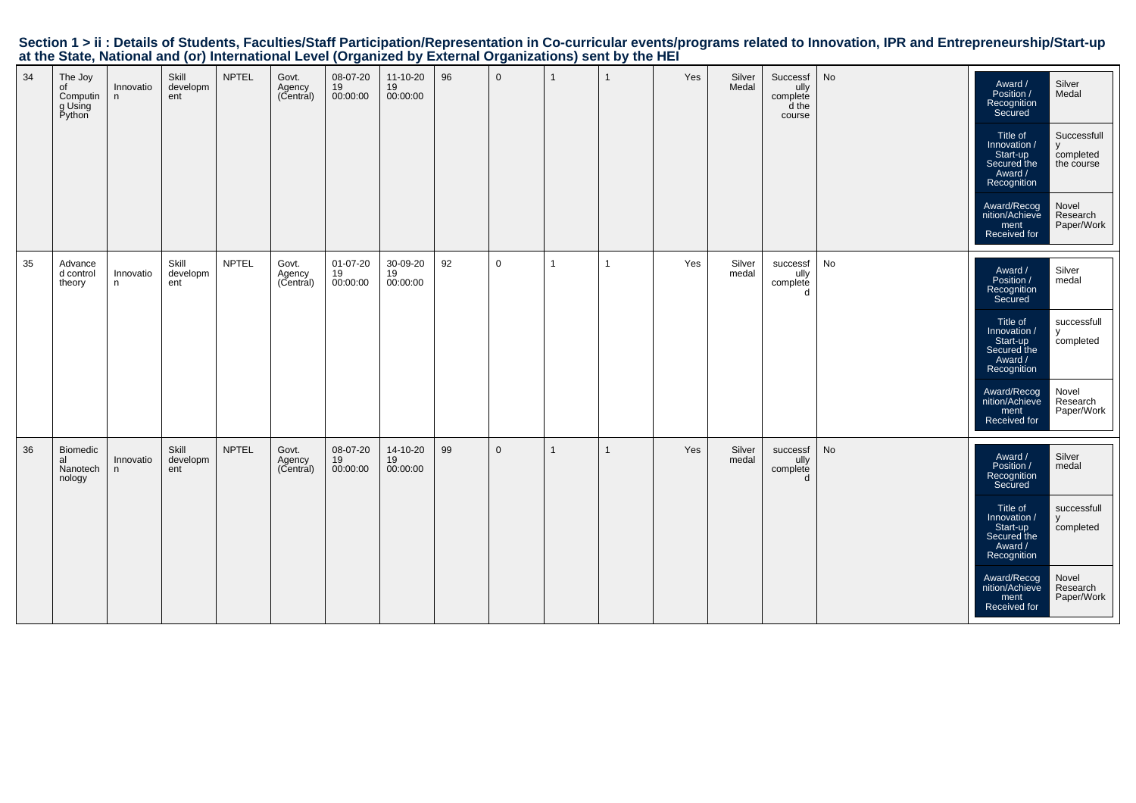|    | at the etato) national and (er) international Ecron (erganized by External erganizations) com by the rizh |                 |                          |              |                              |                            |                            |    |              |                |              |     |                 |                                                 |               |                                                                                                                                                                                           |                                                                                              |
|----|-----------------------------------------------------------------------------------------------------------|-----------------|--------------------------|--------------|------------------------------|----------------------------|----------------------------|----|--------------|----------------|--------------|-----|-----------------|-------------------------------------------------|---------------|-------------------------------------------------------------------------------------------------------------------------------------------------------------------------------------------|----------------------------------------------------------------------------------------------|
| 34 | The Joy<br>of<br>Computin<br>g Using<br>Python                                                            | Innovatio<br>n  | Skill<br>developm<br>ent | <b>NPTEL</b> | Govt.<br>Agency<br>(Central) | 08-07-20<br>19<br>00:00:00 | 11-10-20<br>19<br>00:00:00 | 96 | $\mathbf{0}$ |                | $\mathbf{1}$ | Yes | Silver<br>Medal | Successf<br>ully<br>complete<br>d the<br>course | No            | Award /<br>Position /<br>Recognition<br>Secured<br>Title of<br>/ Innovation<br>Start-up<br>Secured the<br>Award /<br>Recognition<br>Award/Recog<br>nition/Achieve<br>ment<br>Received for | Silver<br>Medal<br>Successfull<br>completed<br>the course<br>Novel<br>Research<br>Paper/Work |
|    |                                                                                                           |                 |                          |              |                              |                            |                            |    |              |                |              |     |                 |                                                 |               |                                                                                                                                                                                           |                                                                                              |
| 35 | Advance<br>d control<br>theory                                                                            | Innovatio<br>n. | Skill<br>developm<br>ent | <b>NPTEL</b> | Govt.<br>Agency<br>(Central) | 01-07-20<br>19<br>00:00:00 | 30-09-20<br>19<br>00:00:00 | 92 | $\mathbf 0$  | $\overline{1}$ | $\mathbf{1}$ | Yes | Silver<br>medal | successf<br>caseses<br>complete<br>d            | No            | Award /<br>Position /<br>Recognition<br>Secured                                                                                                                                           | Silver<br>medal                                                                              |
|    |                                                                                                           |                 |                          |              |                              |                            |                            |    |              |                |              |     |                 |                                                 |               | Title of<br>/ Innovation<br>Start-up<br>Start-up<br>Secured the<br>Award /<br>Recognition                                                                                                 | successfull<br>$\mathsf{v}$<br>completed                                                     |
|    |                                                                                                           |                 |                          |              |                              |                            |                            |    |              |                |              |     |                 |                                                 |               | Award/Recog<br>nition/Achieve<br>ment<br>Received for                                                                                                                                     | Novel<br>Research<br>Paper/Work                                                              |
| 36 | Biomedic<br>al<br>Nanotech<br>nology                                                                      | Innovatio<br>n  | Skill<br>developm<br>ent | <b>NPTEL</b> | Govt.<br>Agency<br>(Central) | 08-07-20<br>19<br>00:00:00 | 14-10-20<br>19<br>00:00:00 | 99 | $\mathbf 0$  |                | $\mathbf{1}$ | Yes | Silver<br>medal | successf<br>ully<br>complete<br>d               | $\mathsf{No}$ | Award /<br>Position /<br>Recognition<br>Secured                                                                                                                                           | Silver<br>medal                                                                              |
|    |                                                                                                           |                 |                          |              |                              |                            |                            |    |              |                |              |     |                 |                                                 |               | Title of<br>Innovation /<br>Start-up<br>Secured the<br>Award /<br>Recognition                                                                                                             | successfull<br>y<br>completed                                                                |
|    |                                                                                                           |                 |                          |              |                              |                            |                            |    |              |                |              |     |                 |                                                 |               | Award/Recog<br>nition/Achieve<br>ment<br>Received for                                                                                                                                     | Novel<br>Research<br>Paper/Work                                                              |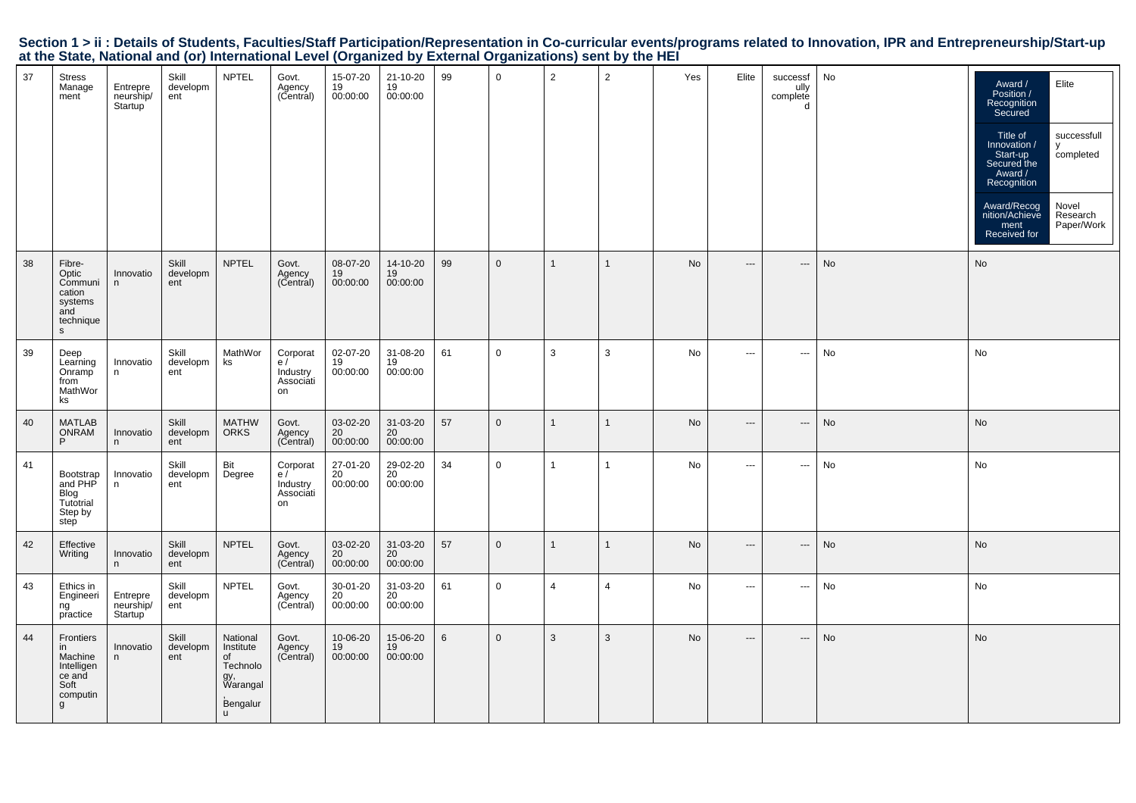|  |                                                                                                           |  |  | Section 1 > ii : Details of Students, Faculties/Staff Participation/Representation in Co-curricular events/programs related to Innovation, IPR and Entrepreneurship/Start-up |  |
|--|-----------------------------------------------------------------------------------------------------------|--|--|------------------------------------------------------------------------------------------------------------------------------------------------------------------------------|--|
|  | at the State, National and (or) International Level (Organized by External Organizations) sent by the HEI |  |  |                                                                                                                                                                              |  |

| 37 | <b>Stress</b><br>Manage<br>ment                                             | Entrepre<br>neurship/<br>Startup | Skill<br>developm<br>ent | <b>NPTEL</b>                                                                       | Govt.<br>Agency<br>(Central)                  | 15-07-20<br>19<br>00:00:00              | 21-10-20<br>19<br>00:00:00 | 99 | $\mathbf 0$    | $\overline{2}$ | $\overline{2}$ | Yes | Elite                    | successf<br>ully<br>complete<br>d | No | Elite<br>Award /<br>Position /<br>Recognition<br>Secured<br>Title of<br>successfull<br>Innovation /<br>y<br>Start-up<br>completed<br>Secured the<br>Award /<br>Recognition<br>Novel<br>Award/Recog<br>Research<br>nition/Achieve<br>Paper/Work<br>ment<br>Received for |
|----|-----------------------------------------------------------------------------|----------------------------------|--------------------------|------------------------------------------------------------------------------------|-----------------------------------------------|-----------------------------------------|----------------------------|----|----------------|----------------|----------------|-----|--------------------------|-----------------------------------|----|------------------------------------------------------------------------------------------------------------------------------------------------------------------------------------------------------------------------------------------------------------------------|
| 38 | Fibre-<br>Optic<br>Communi<br>cation<br>systems<br>and<br>technique<br>s.   | Innovatio<br>n.                  | Skill<br>developm<br>ent | <b>NPTEL</b>                                                                       | Govt.<br>Agency<br>(Central)                  | 08-07-20<br>19<br>00:00:00              | 14-10-20<br>19<br>00:00:00 | 99 | $\mathbf 0$    | $\mathbf{1}$   | $\mathbf{1}$   | No  | $---$                    | $---$                             | No | No                                                                                                                                                                                                                                                                     |
| 39 | Deep<br>Learning<br>Onramp<br>from<br>MathWor<br>ks                         | Innovatio<br>n                   | Skill<br>developm<br>ent | MathWor<br>ks                                                                      | Corporat<br>e/<br>Industry<br>Associati<br>on | 02-07-20<br>19<br>00:00:00              | 31-08-20<br>19<br>00:00:00 | 61 | $\mathbf 0$    | 3              | 3              | No  | $\hspace{0.05cm} \ldots$ | $\cdots$                          | No | No                                                                                                                                                                                                                                                                     |
| 40 | <b>MATLAB</b><br><b>ONRAM</b><br>P                                          | Innovatio<br>n                   | Skill<br>developm<br>ent | <b>MATHW</b><br><b>ORKS</b>                                                        | Govt.<br>Agency<br>(Central)                  | 03-02-20<br>20<br>00:00:00              | 31-03-20<br>20<br>00:00:00 | 57 | $\mathbf 0$    | $\overline{1}$ | $\mathbf{1}$   | No  | $---$                    | ---                               | No | No                                                                                                                                                                                                                                                                     |
| 41 | Bootstrap<br>and PHP<br>Blog<br>Tutotrial<br>Step by<br>step                | Innovatio<br>n                   | Skill<br>developm<br>ent | Bit<br>Degree                                                                      | Corporat<br>e/<br>Industry<br>Associati<br>on | 27-01-20<br>20<br>00:00:00              | 29-02-20<br>20<br>00:00:00 | 34 | $\mathsf 0$    | $\mathbf{1}$   | 1              | No  | $\cdots$                 | $\cdots$                          | No | No                                                                                                                                                                                                                                                                     |
| 42 | Effective<br>Writing                                                        | Innovatio<br>n                   | Skill<br>developm<br>ent | <b>NPTEL</b>                                                                       | Govt.<br>Agency<br>(Central)                  | 03-02-20<br>$\frac{20}{20}$<br>00:00:00 | 31-03-20<br>20<br>00:00:00 | 57 | $\mathbf 0$    | $\overline{1}$ | $\mathbf{1}$   | No  | $---$                    | ---                               | No | No                                                                                                                                                                                                                                                                     |
| 43 | Ethics in<br>Engineeri<br>ng<br>practice                                    | Entrepre<br>neurship/<br>Startup | Skill<br>developm<br>ent | <b>NPTEL</b>                                                                       | Govt.<br>Agency<br>(Central)                  | 30-01-20<br>20<br>00:00:00              | 31-03-20<br>20<br>00:00:00 | 61 | $\mathbf 0$    | $\overline{4}$ | $\overline{4}$ | No  | $\hspace{0.05cm} \ldots$ | ---                               | No | No                                                                                                                                                                                                                                                                     |
| 44 | Frontiers<br>in<br>Machine<br>Intelligen<br>ce and<br>Soft<br>computin<br>g | Innovatio<br>n.                  | Skill<br>developm<br>ent | National<br>Institute<br>of<br>Technolo<br>gy,<br>Warangal<br>Bengalur<br><b>u</b> | Govt.<br>Agency<br>(Central)                  | 10-06-20<br>19<br>00:00:00              | 15-06-20<br>19<br>00:00:00 | 6  | $\overline{0}$ | 3              | 3              | No  | $---$                    | $\cdots$                          | No | No                                                                                                                                                                                                                                                                     |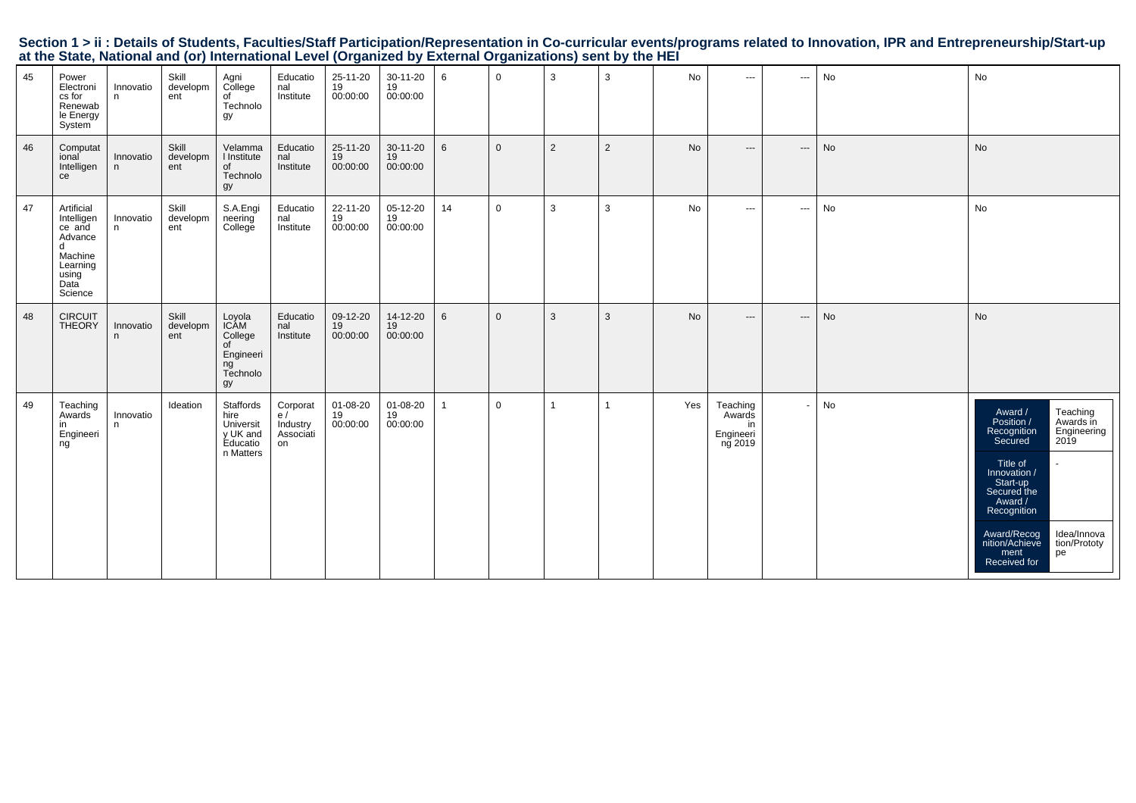|                                                                                                           |  |  | Section 1 > ii : Details of Students, Faculties/Staff Participation/Representation in Co-curricular events/programs related to Innovation, IPR and Entrepreneurship/Start-up |  |
|-----------------------------------------------------------------------------------------------------------|--|--|------------------------------------------------------------------------------------------------------------------------------------------------------------------------------|--|
| at the State, National and (or) International Level (Organized by External Organizations) sent by the HEI |  |  |                                                                                                                                                                              |  |

| 45 | Power<br>Electroni<br>cs for<br>Renewab<br>le Energy<br>System                                        | Innovatio<br>n. | Skill<br>developm<br>ent | Agni<br>College<br>of<br>Technolo<br>gy                                     | Educatio<br>nal<br>Institute                  | 25-11-20<br>19<br>00:00:00 | 30-11-20<br>19<br>00:00:00 | 6              | $\mathbf{0}$   | 3              | 3            | No        | $\cdots$                                         | $\scriptstyle\cdots$     | No | No                                                                                                                                                                                                                                                                             |
|----|-------------------------------------------------------------------------------------------------------|-----------------|--------------------------|-----------------------------------------------------------------------------|-----------------------------------------------|----------------------------|----------------------------|----------------|----------------|----------------|--------------|-----------|--------------------------------------------------|--------------------------|----|--------------------------------------------------------------------------------------------------------------------------------------------------------------------------------------------------------------------------------------------------------------------------------|
| 46 | Computat<br>ional<br>Intelligen<br>ce                                                                 | Innovatio<br>n  | Skill<br>developm<br>ent | Velamma<br>I Institute<br>of<br>Technolo<br>gy                              | Educatio<br>nal<br>Institute                  | 25-11-20<br>19<br>00:00:00 | 30-11-20<br>19<br>00:00:00 | 6              | $\overline{0}$ | $\overline{2}$ | 2            | <b>No</b> | $\qquad \qquad - -$                              | $\hspace{0.05cm} \ldots$ | No | No                                                                                                                                                                                                                                                                             |
| 47 | Artificial<br>Intelligen<br>ce and<br>Advance<br>d<br>Machine<br>Learning<br>using<br>Data<br>Science | Innovatio<br>n  | Skill<br>developm<br>ent | S.A.Engi<br>neering<br>College                                              | Educatio<br>nal<br>Institute                  | 22-11-20<br>19<br>00:00:00 | 05-12-20<br>19<br>00:00:00 | 14             | 0              | $\mathbf{3}$   | 3            | No        | $\cdots$                                         | $\overline{\phantom{a}}$ | No | No                                                                                                                                                                                                                                                                             |
| 48 | <b>CIRCUIT</b><br><b>THEORY</b>                                                                       | Innovatio<br>n  | Skill<br>developm<br>ent | Loyola<br><b>ICAM</b><br>College<br>of<br>Engineeri<br>ng<br>Technolo<br>gy | Educatio<br>nal<br>Institute                  | 09-12-20<br>19<br>00:00:00 | 14-12-20<br>19<br>00:00:00 | 6              | $\mathbf{0}$   | 3              | 3            | No        | $\cdots$                                         | ---                      | No | <b>No</b>                                                                                                                                                                                                                                                                      |
| 49 | Teaching<br>Awards<br>in<br>Engineeri<br>ng                                                           | Innovatio<br>n  | Ideation                 | Staffords<br>hire<br>Universit<br>y UK and<br>Educatio<br>n Matters         | Corporat<br>e/<br>Industry<br>Associáti<br>on | 01-08-20<br>19<br>00:00:00 | 01-08-20<br>19<br>00:00:00 | $\overline{1}$ | $\mathbf 0$    | $\overline{1}$ | $\mathbf{1}$ | Yes       | Teaching<br>Awards<br>in<br>Engineeri<br>ng 2019 |                          | No | Teaching<br>Award /<br>Position /<br>Awards in<br>Engineering<br>Recognition<br>2019<br>Secured<br>Title of<br>Innovation /<br>Start-up<br>Secured the<br>Award /<br>Recognition<br>Idea/Innova<br>Award/Recog<br>nition/Achieve<br>tion/Prototy<br>pe<br>ment<br>Received for |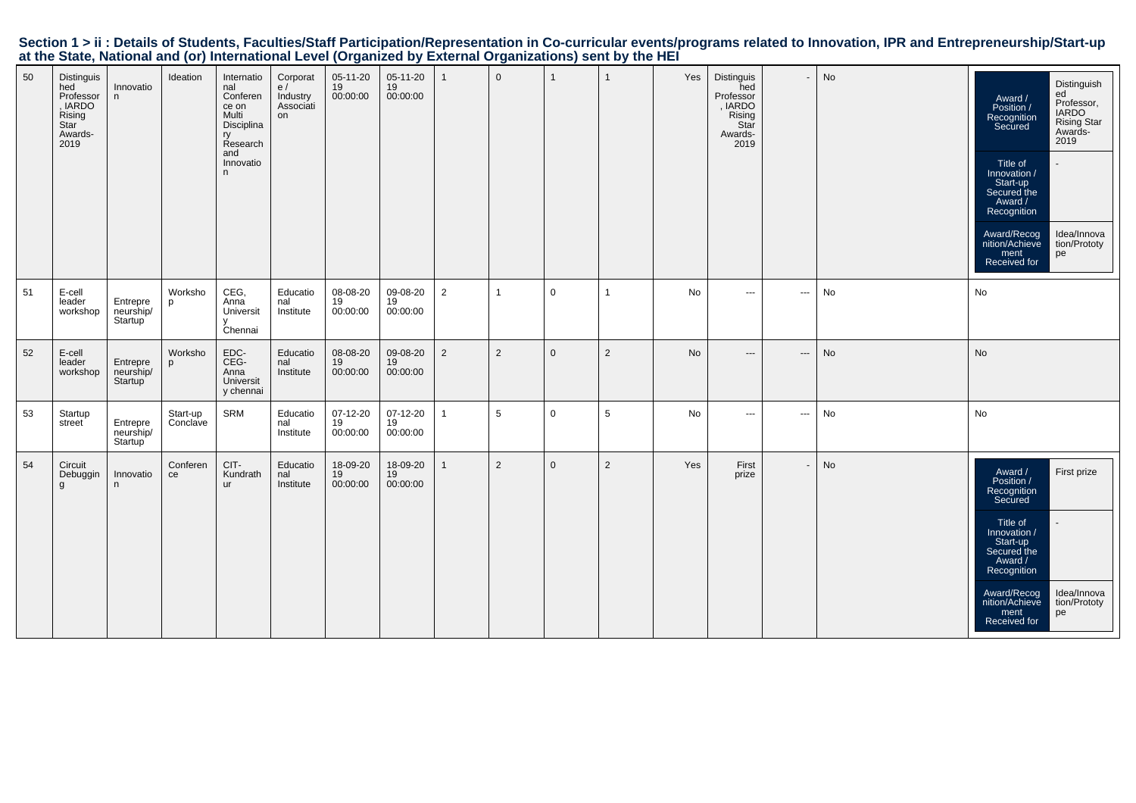|                                                                                                           |  |  | Section 1 > ii : Details of Students, Faculties/Staff Participation/Representation in Co-curricular events/programs related to Innovation, IPR and Entrepreneurship/Start-up |  |
|-----------------------------------------------------------------------------------------------------------|--|--|------------------------------------------------------------------------------------------------------------------------------------------------------------------------------|--|
| at the State, National and (or) International Level (Organized by External Organizations) sent by the HEI |  |  |                                                                                                                                                                              |  |

| 50 | Distinguis<br>hed<br>Professor<br>, IARDO<br>Rising<br>Star<br>Awards-<br>2019 | Innovatio<br>n                                | Ideation             | Internatio<br>nal<br>Conferen<br>ce on<br>Multi<br>Disciplina<br>Research<br>and<br>Innovatio<br>n. | Corporat<br>e/<br>Industry<br>Associati<br>on | 05-11-20<br>19<br>00:00:00 | 05-11-20<br>19<br>00:00:00   | $\overline{1}$ | $\mathbf{0}$   |              |                | Yes | Distinguis<br>hed<br>Professor<br>, IARDO<br>Rising<br>Star<br>Awards-<br>2019 |                          | No | Distinguish<br>ed<br>Award /<br>Professor,<br>Position /<br><b>IARDO</b><br>Recognition<br>Secured<br><b>Rising Star</b><br>Awards-<br>2019<br>Title of<br>Innovation /<br>Start-up<br>Secured the<br>Award /<br>Recognition<br>Idea/Innova<br>Award/Recog<br>nition/Achieve<br>tion/Prototy<br>ment<br>pe<br>Received for |
|----|--------------------------------------------------------------------------------|-----------------------------------------------|----------------------|-----------------------------------------------------------------------------------------------------|-----------------------------------------------|----------------------------|------------------------------|----------------|----------------|--------------|----------------|-----|--------------------------------------------------------------------------------|--------------------------|----|----------------------------------------------------------------------------------------------------------------------------------------------------------------------------------------------------------------------------------------------------------------------------------------------------------------------------|
| 51 | E-cell<br>leader<br>workshop                                                   | Entrepre<br>neurship/<br>Startup              | Worksho<br>p         | CEG,<br>Anna<br>Universit<br>Chennai                                                                | Educatio<br>nal<br>Institute                  | 08-08-20<br>19<br>00:00:00 | 09-08-20<br>$19$<br>00:00:00 | $\overline{2}$ | -1             | $\mathbf 0$  | -1             | No  | $\cdots$                                                                       | ---                      | No | No                                                                                                                                                                                                                                                                                                                         |
| 52 | E-cell<br>leader<br>workshop                                                   | Entrepre<br>neurship/<br>Startup              | Worksho<br>p         | EDC-<br>CEG-<br>Anna<br>Universit<br>y chennai                                                      | Educatio<br>nal<br>Institute                  | 08-08-20<br>19<br>00:00:00 | 09-08-20<br>19<br>00:00:00   | $\overline{2}$ | 2              | $\mathbf 0$  | $\overline{2}$ | No  | $\qquad \qquad - -$                                                            | ---                      | No | No                                                                                                                                                                                                                                                                                                                         |
| 53 | Startup<br>street                                                              | Entrepre<br>neurship/<br>Startup <sup>1</sup> | Start-up<br>Conclave | SRM                                                                                                 | Educatio<br>nal<br>Institute                  | 07-12-20<br>19<br>00:00:00 | 07-12-20<br>19<br>00:00:00   | $\mathbf{1}$   | 5              | $\mathsf{O}$ | 5              | No  | $\cdots$                                                                       | $\hspace{0.05cm} \ldots$ | No | No                                                                                                                                                                                                                                                                                                                         |
| 54 | Circuit<br>Debuggin<br>g                                                       | Innovatio<br>n                                | Conferen<br>ce       | CIT-<br>Kundrath<br>ur                                                                              | Educatio<br>nal<br>Institute                  | 18-09-20<br>19<br>00:00:00 | 18-09-20<br>19<br>00:00:00   | $\overline{1}$ | $\overline{2}$ | $\mathbf 0$  | $\overline{2}$ | Yes | First<br>prize                                                                 |                          | No | First prize<br>Award /<br>Position /<br>Recognition<br>Secured<br>Title of<br>Innovation /<br>Start-up<br>Secured the<br>Award /<br>Recognition<br>Award/Recog<br>Idea/Innova<br>nition/Achieve<br>tion/Prototy<br>ment<br>pe<br>Received for                                                                              |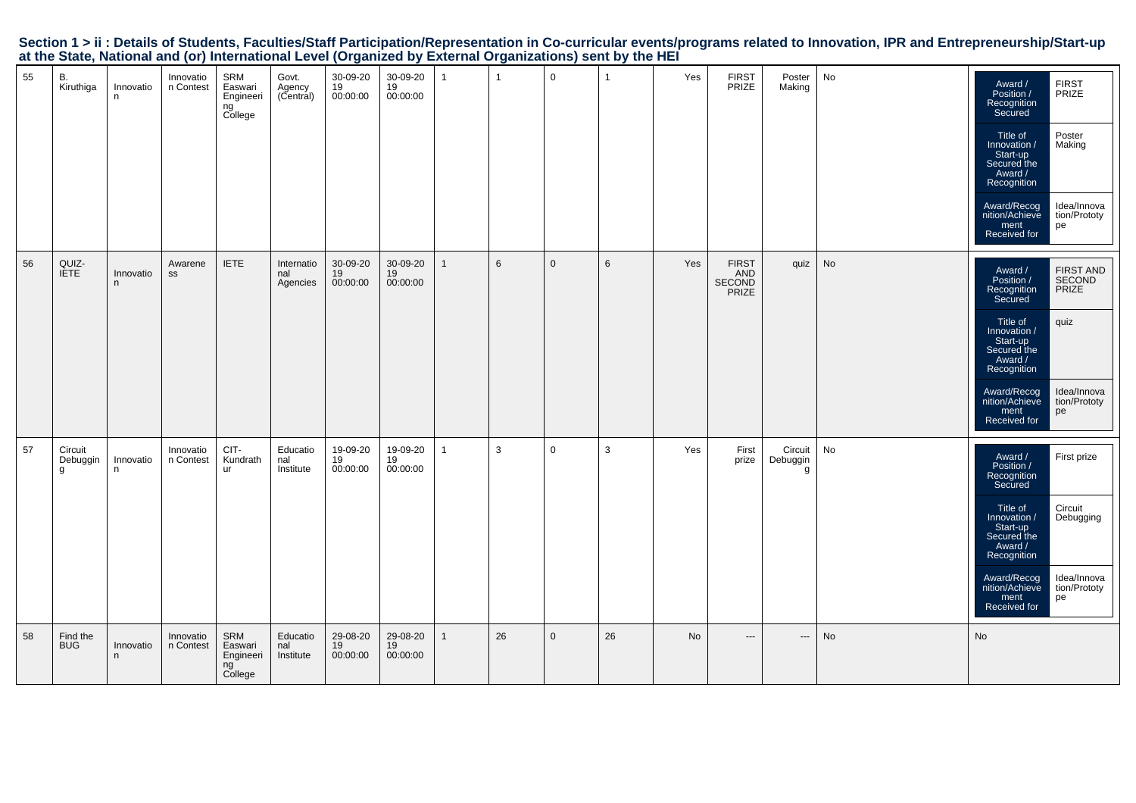| at the other, national and (or) international Ecver (organized by External organizations) some by the rizh |                 |                        |                                              |                               |                                |                            |                |              |              |                 |     |                                        |                          |    |                                                                                                                                                                                           |                                                                           |
|------------------------------------------------------------------------------------------------------------|-----------------|------------------------|----------------------------------------------|-------------------------------|--------------------------------|----------------------------|----------------|--------------|--------------|-----------------|-----|----------------------------------------|--------------------------|----|-------------------------------------------------------------------------------------------------------------------------------------------------------------------------------------------|---------------------------------------------------------------------------|
| 55<br>В.<br>Kiruthiga                                                                                      | Innovatio<br>n  | Innovatio<br>n Contest | SRM<br>Easwari<br>Engineeri<br>ng<br>College | Govt.<br>Agency<br>(Central)  | $30-09-20$<br>$19$<br>00:00:00 | 30-09-20<br>19<br>00:00:00 | $\overline{1}$ | $\mathbf{1}$ | $\mathbf{0}$ | $\overline{1}$  | Yes | FIRST<br>PRIZE                         | Poster<br>Making         | No | Award /<br>Position /<br>Recognition<br>Secured<br>Title of<br>/ Innovation<br>Start-up<br>Secured the<br>Award /<br>Recognition<br>Award/Recog<br>nition/Achieve<br>ment<br>Received for | FIRST<br>PRIZE<br>Poster<br>Making<br>Idea/Innova<br>tion/Prototy<br>pe   |
| 56<br>QUIZ-<br>IETE                                                                                        | Innovatio<br>n. | Awarene<br>SS          | <b>IETE</b>                                  | Internatio<br>nal<br>Agencies | 30-09-20<br>19<br>00:00:00     | 30-09-20<br>19<br>00:00:00 | $\mathbf{1}$   | 6            | $\mathbf 0$  | $6\phantom{.}6$ | Yes | <b>FIRST</b><br>AND<br>SECOND<br>PRIZE | quiz                     | No | Award /<br>Position /<br>Recognition<br>Secured<br>Title of<br>Innovation /<br>Start-up<br>Secured the<br>Award /<br>Recognition<br>Award/Recog<br>nition/Achieve<br>ment<br>Received for | FIRST AND<br>SECOND<br>PRIZE<br>quiz<br>Idea/Innova<br>tion/Prototy<br>pe |
| 57<br>Circuit<br>Debuggin<br>g                                                                             | Innovatio<br>n  | Innovatio<br>n Contest | CIT-<br>Kundrath<br>ur                       | Educatio<br>nal<br>Institute  | 19-09-20<br>19<br>00:00:00     | 19-09-20<br>19<br>00:00:00 | $\overline{1}$ | 3            | $\mathbf 0$  | 3               | Yes | First<br>prize                         | Circuit<br>Debuggin<br>g | No | Award /<br>Position /<br>Recognition<br>Secured<br>Title of<br>Innovation /<br>Start-up<br>Secured the<br>Award /<br>Recognition<br>Award/Recog<br>nition/Achieve<br>ment<br>Received for | First prize<br>Circuit<br>Debugging<br>Idea/Innova<br>tion/Prototy<br>pe  |

<sup>26</sup> <sup>0</sup> <sup>26</sup> No --- --- No No

58

8 Find the<br>BUG

 Innovatio n

Innovation Contest

SRM Easwari Engineeri ng College

EducationalInstitute

29-08-2019 00:00:00

29-08-20 19 00:00:00

1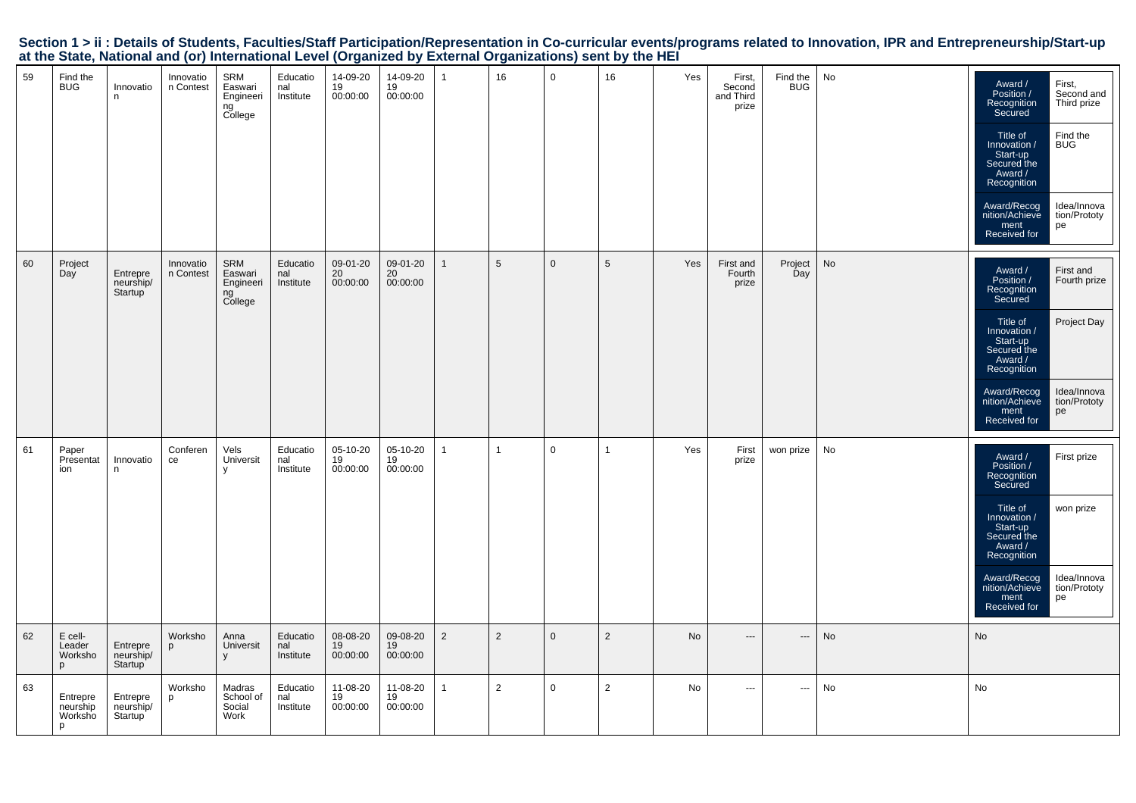| Section 1 > ii : Details of Students, Faculties/Staff Participation/Representation in Co-curricular events/programs related to Innovation, IPR and Entrepreneurship/Start-up |  |
|------------------------------------------------------------------------------------------------------------------------------------------------------------------------------|--|
| at the State, National and (or) International Level (Organized by External Organizations) sent by the HEI                                                                    |  |

| 59 | Find the<br><b>BUG</b>               | Innovatio<br>n                   | Innovatio<br>n Contest | SRM<br>Easwari<br>Engineeri<br>ng<br>College | Educatio<br>nal<br>Institute | 14-09-20<br>19<br>00:00:00 | 14-09-20<br>19<br>00:00:00 | $\overline{1}$ | 16             | $\mathbf 0$  | 16              | Yes | First,<br>Second<br>and Third<br>prize | Find the<br><b>BUG</b> | No | Award /<br>Position /<br>Recognition<br>Secured<br>Title of<br>Innovation /<br>Start-up<br>Secured the<br>Award /<br>Recognition<br>Award/Recog<br>nition/Achieve<br>ment<br>Received for | First,<br>Second and<br>Third prize<br>Find the<br><b>BUG</b><br>Idea/Innova<br>tion/Prototy<br>pe |
|----|--------------------------------------|----------------------------------|------------------------|----------------------------------------------|------------------------------|----------------------------|----------------------------|----------------|----------------|--------------|-----------------|-----|----------------------------------------|------------------------|----|-------------------------------------------------------------------------------------------------------------------------------------------------------------------------------------------|----------------------------------------------------------------------------------------------------|
| 60 | Project<br>Day                       | Entrepre<br>neurship/<br>Startup | Innovatio<br>n Contest | SRM<br>Easwari<br>Engineeri<br>ng<br>College | Educatio<br>nal<br>Institute | 09-01-20<br>20<br>00:00:00 | 09-01-20<br>20<br>00:00:00 | $\mathbf{1}$   | 5              | $\mathbf 0$  | $5\phantom{.0}$ | Yes | First and<br>Fourth<br>prize           | Project<br>Day         | No | Award /<br>Position /<br>Recognition<br>Secured<br>Title of<br>Innovation /<br>Start-up<br>Secured the<br>Award /<br>Recognition<br>Award/Recog<br>nition/Achieve<br>ment<br>Received for | First and<br>Fourth prize<br>Project Day<br>Idea/Innova<br>tion/Prototy<br>pe                      |
| 61 | Paper<br>Presentat<br>ion            | Innovatio<br>n                   | Conferen<br>ce         | Vels<br>Universit<br>y                       | Educatio<br>nal<br>Institute | 05-10-20<br>19<br>00:00:00 | 05-10-20<br>19<br>00:00:00 | $\mathbf{1}$   | $\overline{1}$ | $\mathsf{O}$ | $\mathbf{1}$    | Yes | First<br>prize                         | won prize              | No | Award /<br>Position /<br>Recognition<br>Secured<br>Title of<br>Innovation /<br>Start-up<br>Secured the<br>Award /<br>Recognition<br>Award/Recog<br>nition/Achieve<br>ment<br>Received for | First prize<br>won prize<br>Idea/Innova<br>tion/Prototy<br>pe                                      |
| 62 | E cell-<br>Leader<br>Worksho<br>D    | Entrepre<br>neurship/<br>Startup | Worksho<br>p           | Anna<br>Universit<br>y                       | Educatio<br>nal<br>Institute | 08-08-20<br>19<br>00:00:00 | 09-08-20<br>19<br>00:00:00 | $\overline{2}$ | 2              | $\mathbf 0$  | $\overline{2}$  | No  | $\hspace{0.05cm} \ldots$               | ---                    | No | No                                                                                                                                                                                        |                                                                                                    |
| 63 | Entrepre<br>neurship<br>Worksho<br>p | Entrepre<br>neurship/<br>Startup | Worksho<br>p           | Madras<br>School of<br>Social<br>Work        | Educatio<br>nal<br>Institute | 11-08-20<br>19<br>00:00:00 | 11-08-20<br>19<br>00:00:00 | $\mathbf{1}$   | $\overline{2}$ | $\mathsf{O}$ | $\overline{2}$  | No  | $\sim$ $\sim$                          | ---                    | No | No                                                                                                                                                                                        |                                                                                                    |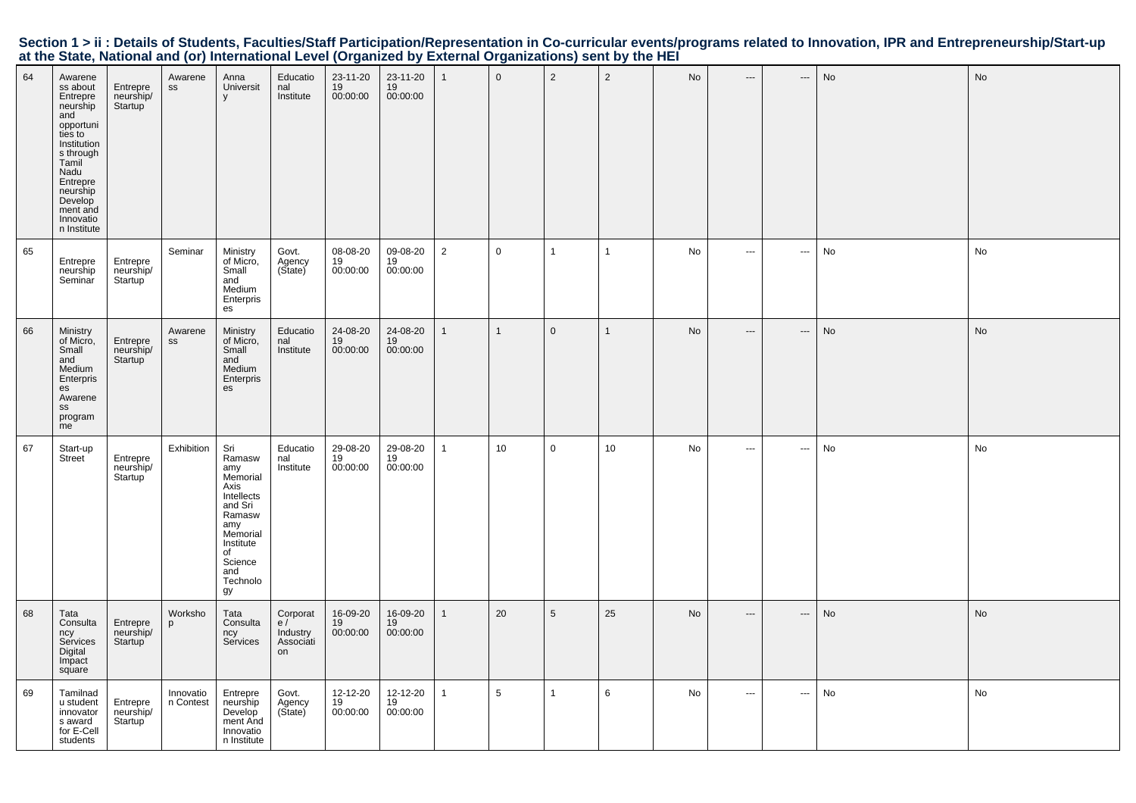|  | Section 1 > ii : Details of Students, Faculties/Staff Participation/Representation in Co-curricular events/programs related to Innovation, IPR and Entrepreneurship/Start-up |  |  |  |
|--|------------------------------------------------------------------------------------------------------------------------------------------------------------------------------|--|--|--|
|  | at the State, National and (or) International Level (Organized by External Organizations) sent by the HEI                                                                    |  |  |  |

| 64 | Awarene<br>ss about<br>Entrepre<br>neurship<br>and<br>opportuni<br>ties to<br>Institution<br>s through<br>Tamil<br>Nadu<br>Entrepre<br>neurship<br>Develop<br>ment and<br>Innovatio<br>n Institute | Entrepre<br>neurship/<br>Startup              | Awarene<br>SS            | Anna<br>Universit<br>V                                                                                                                                | Educatio<br>nal<br>Institute                  | 23-11-20<br>19<br>00:00:00 | 23-11-20<br>19<br>00:00:00 | 1              | $\mathbf 0$     | $\overline{2}$  | $\overline{2}$ | No | $\hspace{0.05cm} \ldots$ | ---                      | No | No        |
|----|----------------------------------------------------------------------------------------------------------------------------------------------------------------------------------------------------|-----------------------------------------------|--------------------------|-------------------------------------------------------------------------------------------------------------------------------------------------------|-----------------------------------------------|----------------------------|----------------------------|----------------|-----------------|-----------------|----------------|----|--------------------------|--------------------------|----|-----------|
| 65 | Entrepre<br>neurship<br>Seminar                                                                                                                                                                    | Entrepre<br>neurship/<br>Startup              | Seminar                  | Ministry<br>of Micro,<br>Small<br>and<br>Medium<br>Enterpris<br>es                                                                                    | Govt.<br>Agency<br>(State)                    | 08-08-20<br>19<br>00:00:00 | 09-08-20<br>19<br>00:00:00 | $\overline{2}$ | $\overline{0}$  | $\mathbf{1}$    | $\mathbf{1}$   | No | $\cdots$                 | $\sim$                   | No | No        |
| 66 | Ministry<br>of Micro,<br>Small<br>and<br>Medium<br>Enterpris<br>es<br>Awarene<br>SS<br>program<br>me                                                                                               | Entrepre<br>neurship/<br>Startup <sup>'</sup> | Awarene<br>$\texttt{SS}$ | Ministry<br>of Micro,<br>Small<br>and<br>Medium<br>Enterpris<br>es                                                                                    | Educatio<br>nal<br>Institute                  | 24-08-20<br>19<br>00:00:00 | 24-08-20<br>19<br>00:00:00 | $\mathbf{1}$   | $\overline{1}$  | $\mathbf{0}$    | $\mathbf{1}$   | No | $\hspace{0.05cm} \ldots$ | $\hspace{0.05cm} \ldots$ | No | <b>No</b> |
| 67 | Start-up<br>Street                                                                                                                                                                                 | Entrepre<br>neurship/<br>Startup              | Exhibition               | Sri<br>Ramasw<br>amy<br>Memorial<br>Axis<br>Intellects<br>and Sri<br>Ramasw<br>amy<br>Memorial<br>Institute<br>of<br>Science<br>and<br>Technolo<br>gy | Educatio<br>nal<br>Institute                  | 29-08-20<br>19<br>00:00:00 | 29-08-20<br>19<br>00:00:00 | $\mathbf{1}$   | 10              | $\mathbf 0$     | 10             | No | $\sim$                   | $\sim$                   | No | No        |
| 68 | Tata<br>Consulta<br>ncy<br>Services<br>Digital<br>Impact<br>square                                                                                                                                 | Entrepre<br>neurship/<br>Startup              | Worksho<br>p             | Tata<br>Consulta<br>ncy<br>Services                                                                                                                   | Corporat<br>e/<br>Industry<br>Associati<br>on | 16-09-20<br>19<br>00:00:00 | 16-09-20<br>19<br>00:00:00 | $\mathbf{1}$   | 20              | $5\phantom{.0}$ | 25             | No | $\hspace{0.05cm} \ldots$ | $\hspace{0.05cm} \ldots$ | No | <b>No</b> |
| 69 | Tamilnad<br>u student<br>innovator<br>s award<br>for E-Cell<br>students                                                                                                                            | Entrepre<br>neurship/<br>Startup <sup>'</sup> | Innovatio<br>n Contest   | Entrepre<br>neurship<br>Develop<br>ment And<br>Innovatio<br>n Institute                                                                               | Govt.<br>Agency<br>(Sitate)                   | 12-12-20<br>19<br>00:00:00 | 12-12-20<br>19<br>00:00:00 | $\mathbf{1}$   | $5\phantom{.0}$ | $\mathbf{1}$    | 6              | No | $\sim$ $\sim$ $\sim$     | $\hspace{0.05cm} \ldots$ | No | No        |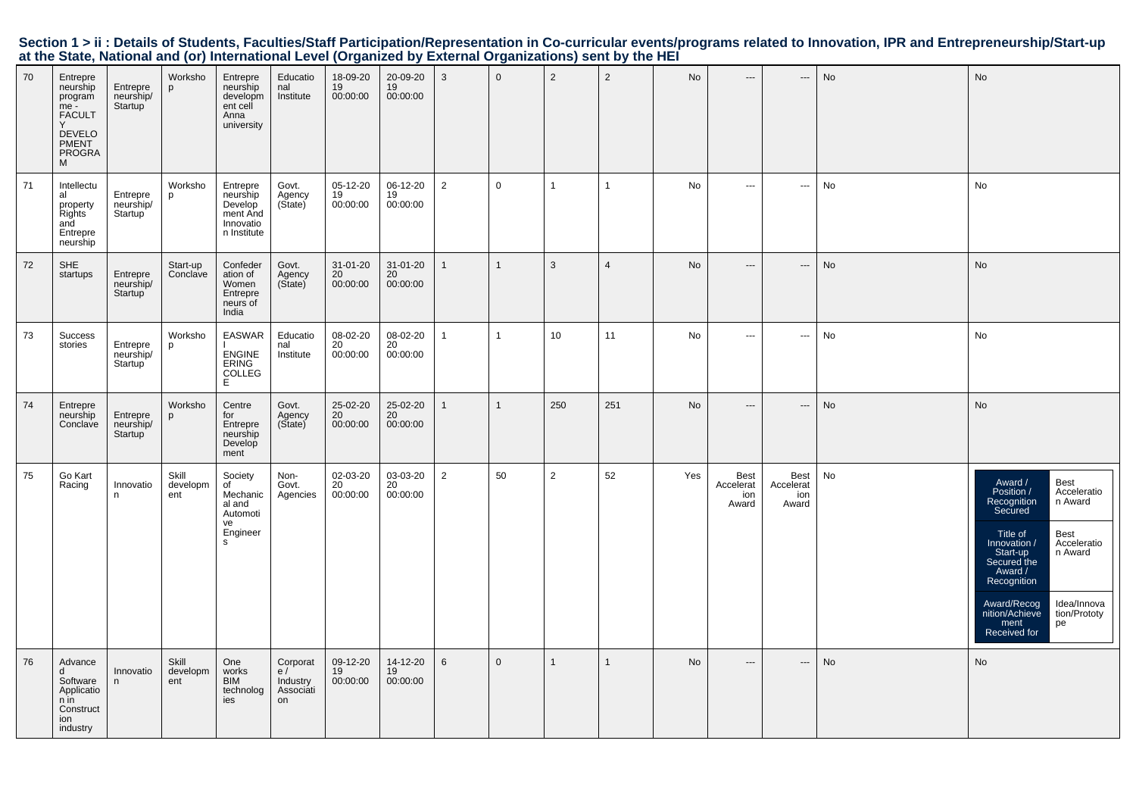| 70 | Entrepre<br>neurship<br>program<br>me -<br><b>FACULT</b><br><b>DEVELO</b><br>PMENT<br><b>PROGRA</b><br>M | Entrepre<br>neurship/<br>Startup | Worksho<br>p             | Entrepre<br>neurship<br>developm<br>ent cell<br>Anna<br>university      | Educatio<br>nal<br>Institute                  | 18-09-20<br>19<br>00:00:00 | 20-09-20<br>19<br>00:00:00 | 3              | $\mathbf 0$    | $\overline{2}$  | $\overline{2}$ | No  | $\qquad \qquad -\qquad$                  | $\hspace{0.05cm} \cdots$          | No | No                                                                                                                                                                                                                                                                                                 |
|----|----------------------------------------------------------------------------------------------------------|----------------------------------|--------------------------|-------------------------------------------------------------------------|-----------------------------------------------|----------------------------|----------------------------|----------------|----------------|-----------------|----------------|-----|------------------------------------------|-----------------------------------|----|----------------------------------------------------------------------------------------------------------------------------------------------------------------------------------------------------------------------------------------------------------------------------------------------------|
| 71 | Intellectu<br>al<br>property<br>Rights<br>and<br>Entrepre<br>neurship                                    | Entrepre<br>neurship/<br>Startup | Worksho<br>p             | Entrepre<br>neurship<br>Develop<br>ment And<br>Innovatio<br>n Institute | Govt.<br>Agency<br>(Sitate)                   | 05-12-20<br>19<br>00:00:00 | 06-12-20<br>19<br>00:00:00 | $\overline{2}$ | $\mathbf 0$    | $\overline{1}$  | $\mathbf{1}$   | No  | $\sim$                                   | $\hspace{0.05cm} \cdots$          | No | No                                                                                                                                                                                                                                                                                                 |
| 72 | <b>SHE</b><br>startups                                                                                   | Entrepre<br>neurship/<br>Startup | Start-up<br>Conclave     | Confeder<br>ation of<br>Women<br>Entrepre<br>neurs of<br>India          | Govt.<br>Agency<br>(Sitate)                   | 31-01-20<br>20<br>00:00:00 | 31-01-20<br>20<br>00:00:00 | $\mathbf{1}$   | $\mathbf{1}$   | $\mathbf{3}$    | $\overline{4}$ | No  | $\qquad \qquad -\qquad$                  | $\qquad \qquad \cdots$            | No | <b>No</b>                                                                                                                                                                                                                                                                                          |
| 73 | Success<br>stories                                                                                       | Entrepre<br>neurship/<br>Startup | Worksho<br>p             | <b>EASWAR</b><br><b>ENGINE</b><br><b>ERING</b><br><b>COLLEG</b><br>E    | Educatio<br>nal<br>Institute                  | 08-02-20<br>20<br>00:00:00 | 08-02-20<br>20<br>00:00:00 | $\overline{1}$ | $\overline{1}$ | 10 <sup>1</sup> | 11             | No  | $\sim$ $\sim$                            | $\sim$                            | No | No                                                                                                                                                                                                                                                                                                 |
| 74 | Entrepre<br>neurship<br>Conclave                                                                         | Entrepre<br>neurship/<br>Startup | Worksho<br>p             | Centre<br>for<br>Entrepre<br>neurship<br>Develop<br>ment                | Govt.<br>Agency<br>(Sitate)                   | 25-02-20<br>20<br>00:00:00 | 25-02-20<br>20<br>00:00:00 | $\mathbf{1}$   | $\mathbf{1}$   | 250             | 251            | No  | $\overline{a}$                           | $\hspace{0.05cm} \cdots$          | No | No                                                                                                                                                                                                                                                                                                 |
| 75 | Go Kart<br>Racing                                                                                        | Innovatio<br>n.                  | Skill<br>developm<br>ent | Society<br>of<br>Mechanic<br>al and<br>Automoti<br>ve<br>Engineer<br>s  | Non-<br>Govt.<br>Agencies                     | 02-03-20<br>20<br>00:00:00 | 03-03-20<br>20<br>00:00:00 | $\overline{2}$ | 50             | $\overline{2}$  | 52             | Yes | <b>Best</b><br>Accelerat<br>ion<br>Award | Best<br>Accelerat<br>ion<br>Award | No | Best<br>Award /<br>Position /<br>Acceleratio<br>n Award<br>Recognition<br>Secured<br>Best<br>Title of<br>Innovation /<br>Acceleratio<br>Start-up<br>n Award<br>Secured the<br>Award /<br>Recognition<br>Award/Recog<br>Idea/Innova<br>nition/Achieve<br>tion/Prototy<br>ment<br>pe<br>Received for |
| 76 | Advance<br>d<br>Software<br>Applicatio<br>n in<br>Construct<br>ion<br>industry                           | Innovatio<br>n                   | Skill<br>developm<br>ent | One<br>works<br><b>BIM</b><br>technolog<br>ies                          | Corporat<br>e/<br>Industry<br>Associati<br>on | 09-12-20<br>19<br>00:00:00 | 14-12-20<br>19<br>00:00:00 | 6              | $\mathbf{0}$   |                 | $\mathbf{1}$   | No  | $\hspace{0.05cm} \cdots$                 | $\hspace{0.05cm} \cdots$          | No | <b>No</b>                                                                                                                                                                                                                                                                                          |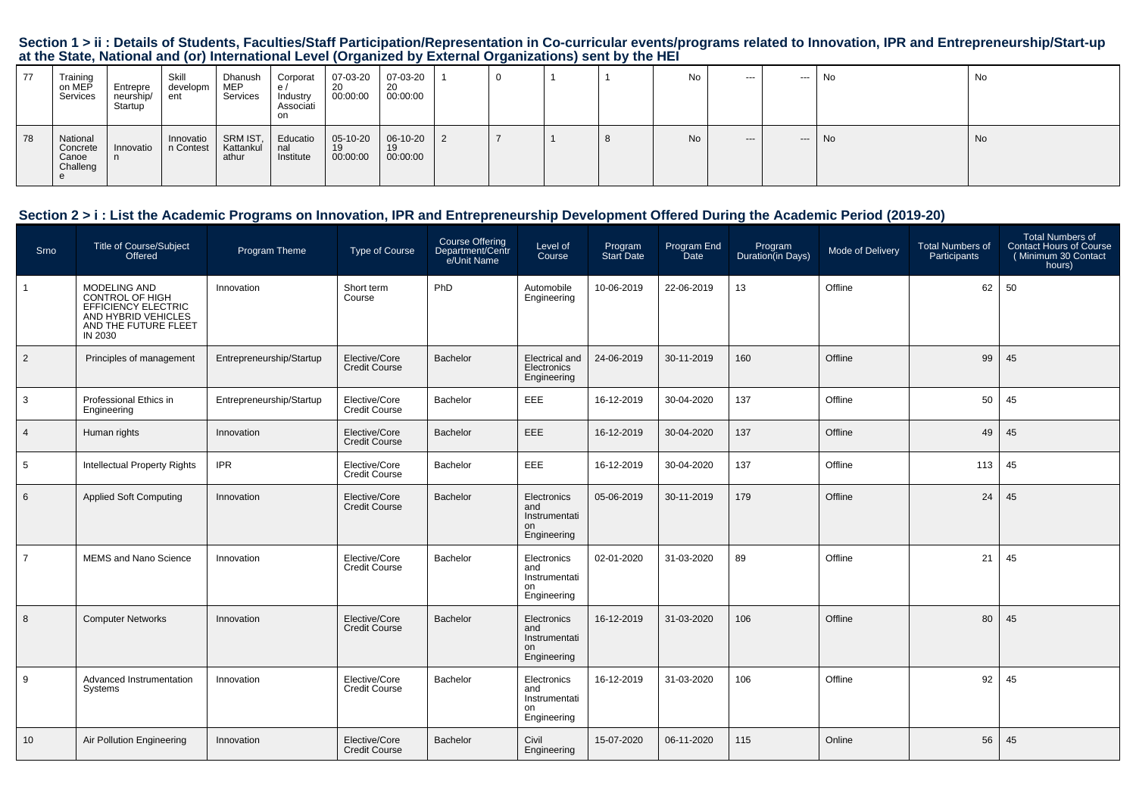| 77 | Training<br>on MEP<br>Services            | Entrepre<br>neurship/<br>Startup | Skill<br>developm<br>ent | Dhanush<br><b>MEP</b><br>Services | Corporat<br>e/<br>Industry<br>Associati<br>on | 07-03-20<br>-20<br>00:00:00 | 07-03-20<br>20<br>00:00:00 |  |          | No        | $--$ | ---   | No  | No. |
|----|-------------------------------------------|----------------------------------|--------------------------|-----------------------------------|-----------------------------------------------|-----------------------------|----------------------------|--|----------|-----------|------|-------|-----|-----|
| 78 | National<br>Concrete<br>Canoe<br>Challeng | Innovatio                        | Innovatio<br>n Contest   | SRM IST,<br>Kattankul<br>athur    | Educatio   05-10-20<br>nal<br>Institute       | 19<br>00:00:00              | 06-10-20<br>19<br>00:00:00 |  | $\Omega$ | <b>No</b> | $--$ | $---$ | No. | No. |

### **Section 2 > i : List the Academic Programs on Innovation, IPR and Entrepreneurship Development Offered During the Academic Period (2019-20)**

| Srno            | <b>Title of Course/Subject</b><br>Offered                                                                                      | Program Theme            | <b>Type of Course</b>                 | Course Offering<br>Department/Centr<br>e/Unit Name | Level of<br>Course                                       | Program<br>Start Date | Program End<br>Date | Program<br>Duration(in Days) | Mode of Delivery | <b>Total Numbers of</b><br>Participants | <b>Total Numbers of</b><br><b>Contact Hours of Course</b><br>(Minimum 30 Contact<br>hours) |
|-----------------|--------------------------------------------------------------------------------------------------------------------------------|--------------------------|---------------------------------------|----------------------------------------------------|----------------------------------------------------------|-----------------------|---------------------|------------------------------|------------------|-----------------------------------------|--------------------------------------------------------------------------------------------|
|                 | MODELING AND<br><b>CONTROL OF HIGH</b><br><b>EFFICIENCY ELECTRIC</b><br>AND HYBRID VEHICLES<br>AND THE FUTURE FLEET<br>IN 2030 | Innovation               | Short term<br>Course                  | PhD                                                | Automobile<br>Engineering                                | 10-06-2019            | 22-06-2019          | 13                           | Offline          | 62                                      | 50                                                                                         |
| $\overline{2}$  | Principles of management                                                                                                       | Entrepreneurship/Startup | Elective/Core<br><b>Credit Course</b> | Bachelor                                           | <b>Electrical</b> and<br>Electronics<br>Engineering      | 24-06-2019            | 30-11-2019          | 160                          | Offline          | 99                                      | 45                                                                                         |
| 3               | Professional Ethics in<br>Engineering                                                                                          | Entrepreneurship/Startup | Elective/Core<br><b>Credit Course</b> | Bachelor                                           | EEE                                                      | 16-12-2019            | 30-04-2020          | 137                          | Offline          | 50                                      | 45                                                                                         |
| $\overline{4}$  | Human rights                                                                                                                   | Innovation               | Elective/Core<br><b>Credit Course</b> | Bachelor                                           | EEE                                                      | 16-12-2019            | 30-04-2020          | 137                          | Offline          | 49                                      | 45                                                                                         |
| 5               | <b>Intellectual Property Rights</b>                                                                                            | <b>IPR</b>               | Elective/Core<br><b>Credit Course</b> | Bachelor                                           | EEE                                                      | 16-12-2019            | 30-04-2020          | 137                          | Offline          | 113                                     | 45                                                                                         |
| 6               | <b>Applied Soft Computing</b>                                                                                                  | Innovation               | Elective/Core<br><b>Credit Course</b> | Bachelor                                           | Electronics<br>and<br>Instrumentati<br>on<br>Engineering | 05-06-2019            | 30-11-2019          | 179                          | Offline          | 24                                      | 45                                                                                         |
| $\overline{7}$  | MEMS and Nano Science                                                                                                          | Innovation               | Elective/Core<br>Credit Course        | Bachelor                                           | Electronics<br>and<br>Instrumentati<br>on<br>Engineering | 02-01-2020            | 31-03-2020          | 89                           | Offline          | 21                                      | 45                                                                                         |
| 8               | <b>Computer Networks</b>                                                                                                       | Innovation               | Elective/Core<br><b>Credit Course</b> | Bachelor                                           | Electronics<br>and<br>Instrumentati<br>on<br>Engineering | 16-12-2019            | 31-03-2020          | 106                          | Offline          | 80                                      | 45                                                                                         |
| 9               | Advanced Instrumentation<br>Systems                                                                                            | Innovation               | Elective/Core<br><b>Credit Course</b> | Bachelor                                           | Electronics<br>and<br>Instrumentati<br>on<br>Engineering | 16-12-2019            | 31-03-2020          | 106                          | Offline          | 92                                      | 45                                                                                         |
| 10 <sup>1</sup> | Air Pollution Engineering                                                                                                      | Innovation               | Elective/Core<br><b>Credit Course</b> | Bachelor                                           | Civil<br>Engineering                                     | 15-07-2020            | 06-11-2020          | 115                          | Online           | 56                                      | 45                                                                                         |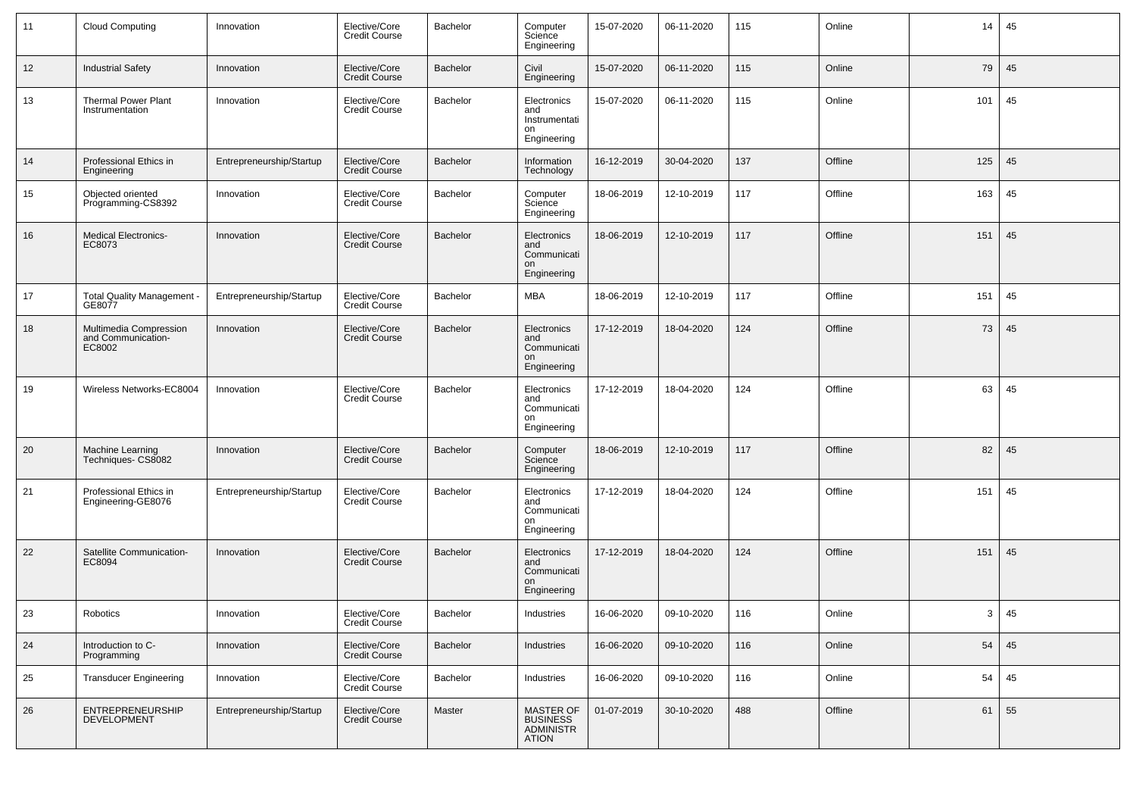| 11 | <b>Cloud Computing</b>                                 | Innovation               | Elective/Core<br>Credit Course        | Bachelor        | Computer<br>Science<br>Engineering                       | 15-07-2020 | 06-11-2020 | 115 | Online  | 14  | 45 |
|----|--------------------------------------------------------|--------------------------|---------------------------------------|-----------------|----------------------------------------------------------|------------|------------|-----|---------|-----|----|
| 12 | <b>Industrial Safety</b>                               | Innovation               | Elective/Core<br><b>Credit Course</b> | <b>Bachelor</b> | Civil<br>Engineering                                     | 15-07-2020 | 06-11-2020 | 115 | Online  | 79  | 45 |
| 13 | <b>Thermal Power Plant</b><br>Instrumentation          | Innovation               | Elective/Core<br><b>Credit Course</b> | Bachelor        | Electronics<br>and<br>Instrumentati<br>on<br>Engineering | 15-07-2020 | 06-11-2020 | 115 | Online  | 101 | 45 |
| 14 | Professional Ethics in<br>Engineering                  | Entrepreneurship/Startup | Elective/Core<br><b>Credit Course</b> | Bachelor        | Information<br>Technology                                | 16-12-2019 | 30-04-2020 | 137 | Offline | 125 | 45 |
| 15 | Objected oriented<br>Programming-CS8392                | Innovation               | Elective/Core<br><b>Credit Course</b> | Bachelor        | Computer<br>Science<br>Engineering                       | 18-06-2019 | 12-10-2019 | 117 | Offline | 163 | 45 |
| 16 | <b>Medical Electronics-</b><br>EC8073                  | Innovation               | Elective/Core<br><b>Credit Course</b> | Bachelor        | Electronics<br>and<br>Communicati<br>on<br>Engineering   | 18-06-2019 | 12-10-2019 | 117 | Offline | 151 | 45 |
| 17 | <b>Total Quality Management</b><br>GE8077              | Entrepreneurship/Startup | Elective/Core<br><b>Credit Course</b> | Bachelor        | <b>MBA</b>                                               | 18-06-2019 | 12-10-2019 | 117 | Offline | 151 | 45 |
| 18 | Multimedia Compression<br>and Communication-<br>EC8002 | Innovation               | Elective/Core<br><b>Credit Course</b> | Bachelor        | Electronics<br>and<br>Communicati<br>on<br>Engineering   | 17-12-2019 | 18-04-2020 | 124 | Offline | 73  | 45 |
| 19 | Wireless Networks-EC8004                               | Innovation               | Elective/Core<br><b>Credit Course</b> | Bachelor        | Electronics<br>and<br>Communicati<br>on<br>Engineering   | 17-12-2019 | 18-04-2020 | 124 | Offline | 63  | 45 |
| 20 | <b>Machine Learning</b><br>Techniques- CS8082          | Innovation               | Elective/Core<br><b>Credit Course</b> | Bachelor        | Computer<br>Science<br>Engineering                       | 18-06-2019 | 12-10-2019 | 117 | Offline | 82  | 45 |
| 21 | Professional Ethics in<br>Engineering-GE8076           | Entrepreneurship/Startup | Elective/Core<br><b>Credit Course</b> | Bachelor        | Electronics<br>and<br>Communicati<br>on<br>Engineering   | 17-12-2019 | 18-04-2020 | 124 | Offline | 151 | 45 |
| 22 | Satellite Communication-<br>EC8094                     | Innovation               | Elective/Core<br><b>Credit Course</b> | Bachelor        | Electronics<br>and<br>Communicati<br>on<br>Engineering   | 17-12-2019 | 18-04-2020 | 124 | Offline | 151 | 45 |
| 23 | Robotics                                               | Innovation               | Elective/Core<br>Credit Course        | Bachelor        | Industries                                               | 16-06-2020 | 09-10-2020 | 116 | Online  | 3   | 45 |
| 24 | Introduction to C-<br>Programming                      | Innovation               | Elective/Core<br>Credit Course        | <b>Bachelor</b> | Industries                                               | 16-06-2020 | 09-10-2020 | 116 | Online  | 54  | 45 |
| 25 | <b>Transducer Engineering</b>                          | Innovation               | Elective/Core<br>Credit Course        | <b>Bachelor</b> | Industries                                               | 16-06-2020 | 09-10-2020 | 116 | Online  | 54  | 45 |
| 26 | ENTREPRENEURSHIP<br>DEVELOPMENT                        | Entrepreneurship/Startup | Elective/Core<br><b>Credit Course</b> | Master          | MASTER OF<br>BUSINESS<br>ADMINISTR<br><b>ATION</b>       | 01-07-2019 | 30-10-2020 | 488 | Offline | 61  | 55 |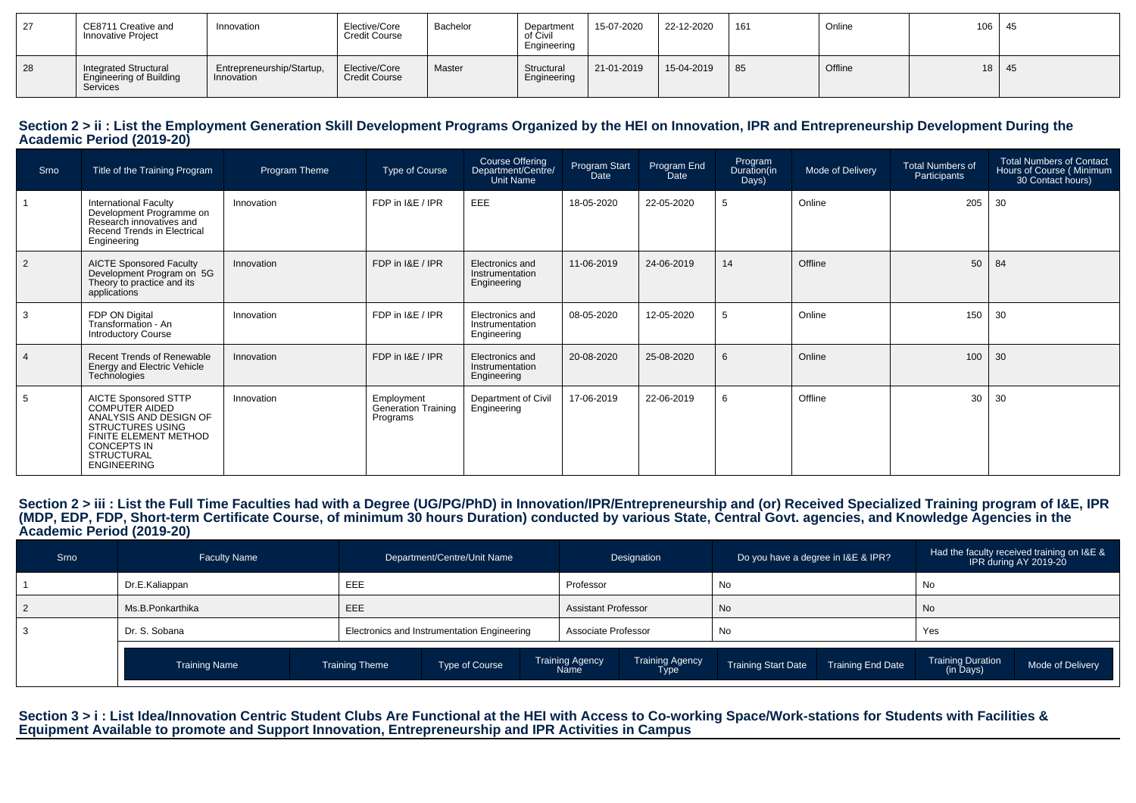| 27 | CE8711 Creative and<br>Innovative Project                                         | Innovation                              | Elective/Core<br><b>Credit Course</b> | Bachelor | Department<br>of Civil<br>Engineering | 15-07-2020 | 22-12-2020 | 161 | Online  | 106 <sub>1</sub> | - 45 |
|----|-----------------------------------------------------------------------------------|-----------------------------------------|---------------------------------------|----------|---------------------------------------|------------|------------|-----|---------|------------------|------|
| 28 | <b>Integrated Structural</b><br><b>Engineering of Building</b><br><b>Services</b> | Entrepreneurship/Startup,<br>Innovation | Elective/Core<br><b>Credit Course</b> | Master   | Structural<br>Engineering             | 21-01-2019 | 15-04-2019 | 85  | Offline | 18               | 45   |

#### Section 2 > ii : List the Employment Generation Skill Development Programs Organized by the HEI on Innovation, IPR and Entrepreneurship Development During the **Academic Period (2019-20)**

| Srno           | Title of the Training Program                                                                                                                                                         | Program Theme | Type of Course                                       | Course Offering<br>Department/Centre/<br><b>Unit Name</b> | Program Start<br>Date | Program End<br>Date | Program<br>Duration(in<br>Days) | Mode of Delivery | <b>Total Numbers of</b><br>Participants | <b>Total Numbers of Contact</b><br>Hours of Course (Minimum<br>30 Contact hours) |
|----------------|---------------------------------------------------------------------------------------------------------------------------------------------------------------------------------------|---------------|------------------------------------------------------|-----------------------------------------------------------|-----------------------|---------------------|---------------------------------|------------------|-----------------------------------------|----------------------------------------------------------------------------------|
|                | <b>International Faculty</b><br>Development Programme on<br>Research innovatives and<br>Recend Trends in Electrical<br>Engineering                                                    | Innovation    | FDP in I&E / IPR                                     | EEE                                                       | 18-05-2020            | 22-05-2020          | 5                               | Online           | 205                                     | 30                                                                               |
| $\overline{2}$ | <b>AICTE Sponsored Faculty</b><br>Development Program on 5G<br>Theory to practice and its<br>applications                                                                             | Innovation    | FDP in I&E / IPR                                     | Electronics and<br>Instrumentation<br>Engineering         | 11-06-2019            | 24-06-2019          | 14                              | Offline          | 50                                      | 84                                                                               |
| 3              | FDP ON Digital<br>Transformation - An<br><b>Introductory Course</b>                                                                                                                   | Innovation    | FDP in I&E / IPR                                     | Electronics and<br>Instrumentation<br>Engineering         | 08-05-2020            | 12-05-2020          | -5                              | Online           | 150                                     | 30                                                                               |
| $\overline{4}$ | <b>Recent Trends of Renewable</b><br>Energy and Electric Vehicle<br>Technologies                                                                                                      | Innovation    | FDP in I&E / IPR                                     | Electronics and<br>Instrumentation<br>Engineering         | 20-08-2020            | 25-08-2020          | 6                               | Online           | 100                                     | 30                                                                               |
| -5             | <b>AICTE Sponsored STTP</b><br>COMPUTER AIDED<br>ANALYSIS AND DESIGN OF<br>STRUCTURES USING<br>FINITE ELEMENT METHOD<br><b>CONCEPTS IN</b><br><b>STRUCTURAL</b><br><b>ENGINEERING</b> | Innovation    | Employment<br><b>Generation Training</b><br>Programs | Department of Civil<br>Engineering                        | 17-06-2019            | 22-06-2019          | 6                               | Offline          | 30                                      | 30                                                                               |

Section 2 > iii : List the Full Time Faculties had with a Degree (UG/PG/PhD) in Innovation/IPR/Entrepreneurship and (or) Received Specialized Training program of I&E, IPR<br>(MDP, EDP, FDP, Short-term Certificate Course, of m **Academic Period (2019-20)**

| Srno | <b>Faculty Name</b>  |                       | Department/Centre/Unit Name                 |                                | Designation             | Do you have a degree in I&E & IPR? |                          |                                       | Had the faculty received training on I&E &<br>IPR during AY 2019-20 |
|------|----------------------|-----------------------|---------------------------------------------|--------------------------------|-------------------------|------------------------------------|--------------------------|---------------------------------------|---------------------------------------------------------------------|
|      | Dr.E.Kaliappan       | EEE                   |                                             | Professor                      |                         | No                                 |                          | No                                    |                                                                     |
|      | Ms.B.Ponkarthika     | EEE                   |                                             | Assistant Professor            |                         | No                                 |                          | No                                    |                                                                     |
|      | Dr. S. Sobana        |                       | Electronics and Instrumentation Engineering | Associate Professor            |                         | No                                 |                          | Yes                                   |                                                                     |
|      | <b>Training Name</b> | <b>Training Theme</b> | Type of Course                              | <b>Training Agency</b><br>Name | Training Agency<br>Type | <b>Training Start Date</b>         | <b>Training End Date</b> | <b>Training Duration</b><br>(in Days) | Mode of Delivery                                                    |

Section 3 > i : List Idea/Innovation Centric Student Clubs Are Functional at the HEI with Access to Co-working Space/Work-stations for Students with Facilities &<br>Equipment Available to promote and Support Innovation, Entre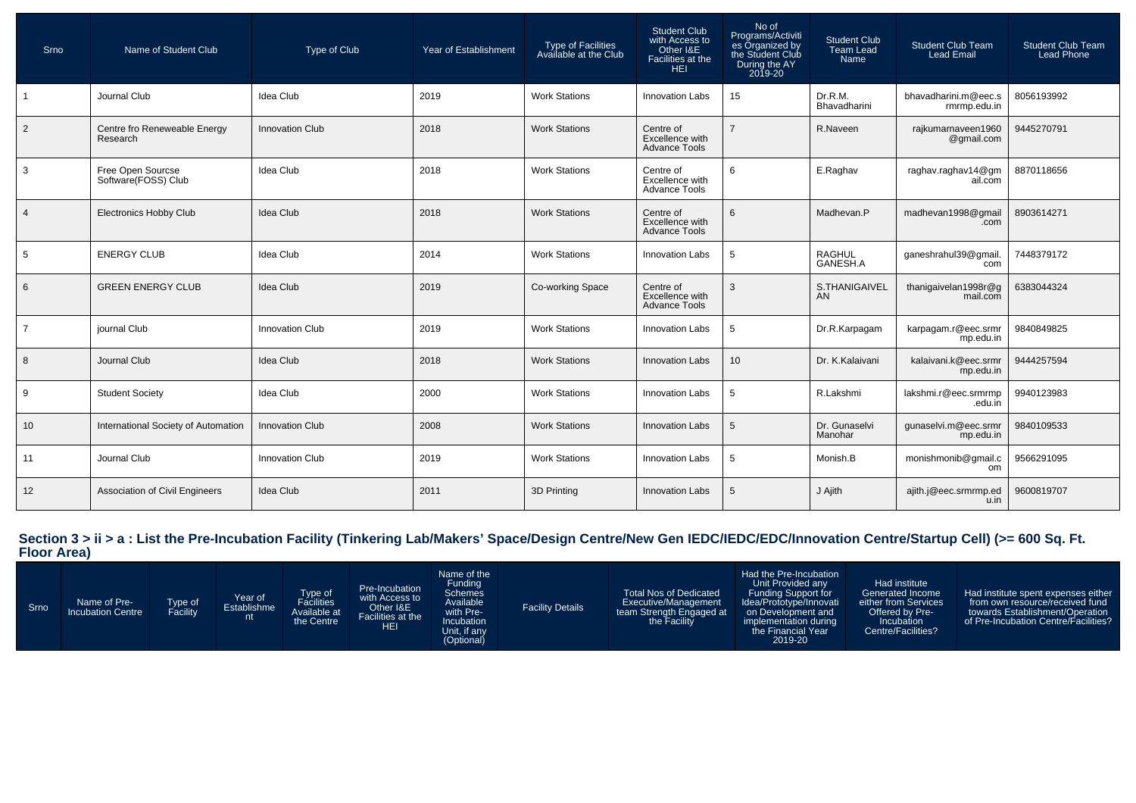| Srno           | Name of Student Club                     | Type of Club           | Year of Establishment | Type of Facilities<br>Available at the Club | <b>Student Club</b><br>with Access to<br>Other I&E<br>Facilities at the<br><b>HEI</b> | No of<br>Programs/Activiti<br>es Organized by<br>the Student Club<br>During the AY<br>2019-20 | <b>Student Club</b><br><b>Team Lead</b><br><b>Name</b> | <b>Student Club Team</b><br><b>Lead Email</b> | <b>Student Club Team</b><br><b>Lead Phone</b> |
|----------------|------------------------------------------|------------------------|-----------------------|---------------------------------------------|---------------------------------------------------------------------------------------|-----------------------------------------------------------------------------------------------|--------------------------------------------------------|-----------------------------------------------|-----------------------------------------------|
|                | Journal Club                             | Idea Club              | 2019                  | <b>Work Stations</b>                        | <b>Innovation Labs</b>                                                                | 15                                                                                            | Dr.R.M.<br>Bhavadharini                                | bhavadharini.m@eec.s<br>rmrmp.edu.in          | 8056193992                                    |
| $\overline{2}$ | Centre fro Reneweable Energy<br>Research | <b>Innovation Club</b> | 2018                  | <b>Work Stations</b>                        | Centre of<br>Excellence with<br><b>Advance Tools</b>                                  |                                                                                               | R.Naveen                                               | rajkumarnaveen1960<br>@gmail.com              | 9445270791                                    |
| $\mathbf{3}$   | Free Open Sourcse<br>Software(FOSS) Club | Idea Club              | 2018                  | <b>Work Stations</b>                        | Centre of<br>Excellence with<br><b>Advance Tools</b>                                  | 6                                                                                             | E.Raghav                                               | raghav.raghav14@gm<br>ail.com                 | 8870118656                                    |
| $\overline{4}$ | <b>Electronics Hobby Club</b>            | <b>Idea Club</b>       | 2018                  | <b>Work Stations</b>                        | Centre of<br>Excellence with<br><b>Advance Tools</b>                                  | 6                                                                                             | Madhevan.P                                             | madhevan1998@gmail<br>.com                    | 8903614271                                    |
| 5              | <b>ENERGY CLUB</b>                       | Idea Club              | 2014                  | <b>Work Stations</b>                        | <b>Innovation Labs</b>                                                                | 5                                                                                             | <b>RAGHUL</b><br>GANESH.A                              | ganeshrahul39@gmail<br>com                    | 7448379172                                    |
| 6              | <b>GREEN ENERGY CLUB</b>                 | Idea Club              | 2019                  | Co-working Space                            | Centre of<br>Excellence with<br><b>Advance Tools</b>                                  | 3                                                                                             | S.THANIGAIVEL<br>AN                                    | thanigaivelan1998r@g<br>mail.com              | 6383044324                                    |
| $\overline{7}$ | journal Club                             | <b>Innovation Club</b> | 2019                  | <b>Work Stations</b>                        | Innovation Labs                                                                       | 5                                                                                             | Dr.R.Karpagam                                          | karpagam.r@eec.srmr<br>mp.edu.in              | 9840849825                                    |
| 8              | Journal Club                             | <b>Idea Club</b>       | 2018                  | <b>Work Stations</b>                        | <b>Innovation Labs</b>                                                                | 10                                                                                            | Dr. K.Kalaivani                                        | kalaivani.k@eec.srmr<br>mp.edu.in             | 9444257594                                    |
| 9              | <b>Student Society</b>                   | Idea Club              | 2000                  | <b>Work Stations</b>                        | <b>Innovation Labs</b>                                                                | 5                                                                                             | R.Lakshmi                                              | lakshmi.r@eec.srmrmp<br>.edu.in               | 9940123983                                    |
| 10             | International Society of Automation      | <b>Innovation Club</b> | 2008                  | <b>Work Stations</b>                        | <b>Innovation Labs</b>                                                                | 5                                                                                             | Dr. Gunaselvi<br>Manohar                               | qunaselvi.m@eec.srmr<br>mp.edu.in             | 9840109533                                    |
| 11             | Journal Club                             | Innovation Club        | 2019                  | <b>Work Stations</b>                        | Innovation Labs                                                                       | 5                                                                                             | Monish.B                                               | monishmonib@gmail.c<br>om                     | 9566291095                                    |
| 12             | Association of Civil Engineers           | <b>Idea Club</b>       | 2011                  | 3D Printing                                 | <b>Innovation Labs</b>                                                                | 5                                                                                             | J Ajith                                                | ajith.j@eec.srmrmp.ed<br>u.in                 | 9600819707                                    |

**Section 3 > ii > a : List the Pre-Incubation Facility (Tinkering Lab/Makers' Space/Design Centre/New Gen IEDC/IEDC/EDC/Innovation Centre/Startup Cell) (>= 600 Sq. Ft. Floor Area)**

| Srno | Name of Pre-<br><b>Incubation Centre</b> | Type of<br>Facility | Year of<br>Establishme<br>nt | Type of<br>Available at<br>the Centre | Pre-Incubation<br>with Access to<br>Other I&E<br>Facilities at the<br><b>HEI</b> | Name of the<br>Funding<br><b>Schemes</b><br>Available<br>with Pre-<br>Incubation<br>Unit, if any<br>(Optional) | <b>Facility Details</b> | <b>Total Nos of Dedicated</b><br>Executive/Management<br>team Strength Engaged at<br>the Facility | Had the Pre-Incubation<br>Unit Provided any<br>Funding Support for<br>Idea/Prototype/Innovati<br>on Development and<br>implementation during<br>the Financial Year<br>2019-20 | Had institute<br>Generated Income<br>either from Services<br>Offered by Pre-<br>Incubation<br>Centre/Facilities? | Had institute spent expenses either<br>from own resource/received fund<br>towards Establishment/Operation<br>of Pre-Incubation Centre/Facilities? |
|------|------------------------------------------|---------------------|------------------------------|---------------------------------------|----------------------------------------------------------------------------------|----------------------------------------------------------------------------------------------------------------|-------------------------|---------------------------------------------------------------------------------------------------|-------------------------------------------------------------------------------------------------------------------------------------------------------------------------------|------------------------------------------------------------------------------------------------------------------|---------------------------------------------------------------------------------------------------------------------------------------------------|
|------|------------------------------------------|---------------------|------------------------------|---------------------------------------|----------------------------------------------------------------------------------|----------------------------------------------------------------------------------------------------------------|-------------------------|---------------------------------------------------------------------------------------------------|-------------------------------------------------------------------------------------------------------------------------------------------------------------------------------|------------------------------------------------------------------------------------------------------------------|---------------------------------------------------------------------------------------------------------------------------------------------------|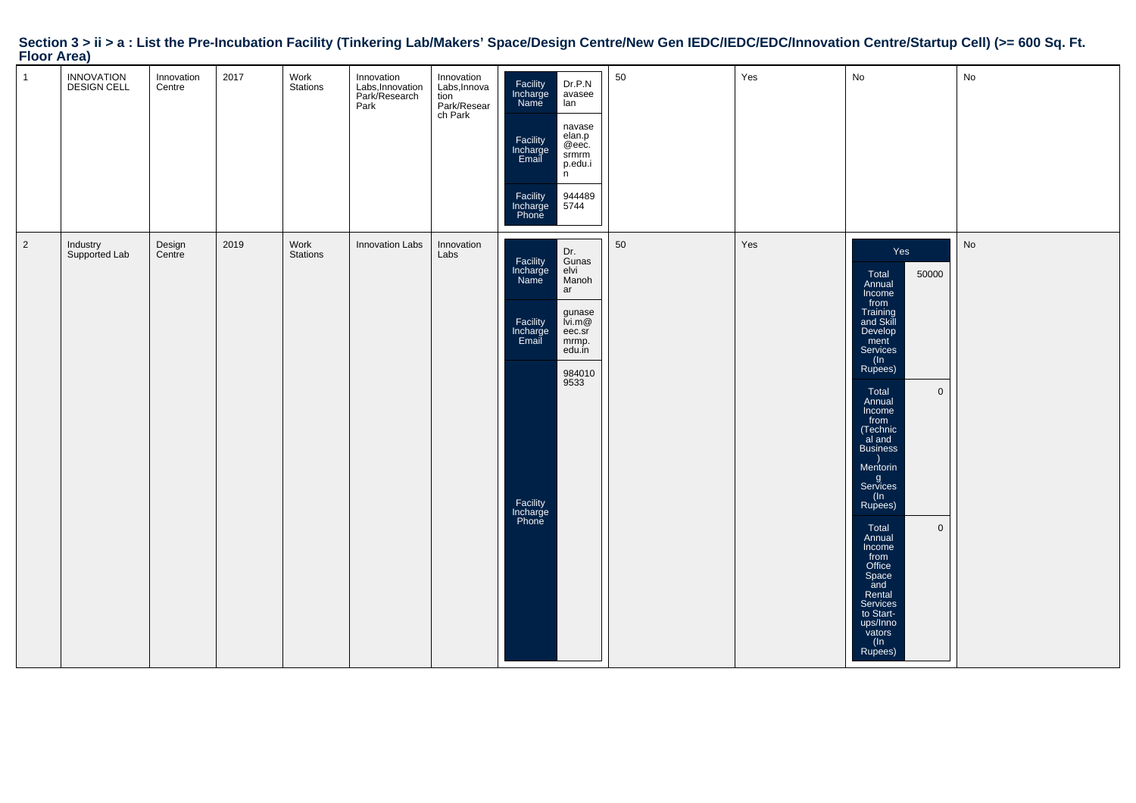# **Section 3 > ii > a : List the Pre-Incubation Facility (Tinkering Lab/Makers' Space/Design Centre/New Gen IEDC/IEDC/EDC/Innovation Centre/Startup Cell) (>= 600 Sq. Ft. Floor Area)**

| $\mathbf{1}$   | INNOVATION<br>DESIGN CELL | Innovation<br>Centre | 2017 | Work<br>Stations | Innovation<br>Labs, Innovation<br>Park/Research<br>Park | Innovation<br>Labs, Innova<br>case, mised<br>tion<br>Park/Resear<br>ch Park | Facility<br>Incharge<br>Dr.P.N<br>avasee<br>Name<br>lan<br>navase<br>elan.p<br>Facility<br>@eec.<br>Incharge<br>Email<br>srmrm<br>p.edu.i<br>n.<br>944489<br>5744<br>Facility<br>Incharge<br>Phone       | 50 | Yes | No                                                                                                                                                                                                                                                                                                                                                                                                                                  | No |
|----------------|---------------------------|----------------------|------|------------------|---------------------------------------------------------|-----------------------------------------------------------------------------|----------------------------------------------------------------------------------------------------------------------------------------------------------------------------------------------------------|----|-----|-------------------------------------------------------------------------------------------------------------------------------------------------------------------------------------------------------------------------------------------------------------------------------------------------------------------------------------------------------------------------------------------------------------------------------------|----|
| $\overline{2}$ | Industry<br>Supported Lab | Design<br>Centre     | 2019 | Work<br>Stations | Innovation Labs                                         | Innovation<br>Labs                                                          | Dr.<br>Gunas<br>Facility<br>Incharge<br>Name<br>elvi<br>Manoh<br>ar<br>gunase<br>lvi.m@<br>Facility<br>Incharge<br>Email<br>eec.sr<br>mrmp.<br>edu.in<br>984010<br>9533<br>Facility<br>Incharge<br>Phone | 50 | Yes | Yes<br>50000<br>Total<br>Annual<br>Income<br>from<br>Training<br>and Skill<br>Develop<br>ment<br>Services<br>(ln<br>Rupees)<br>$\mathbf 0$<br>Total<br>Annual<br>Income<br>from<br>(Technic<br>al and<br><b>Business</b><br>Mentorin<br>$gq$ Services<br>(ln<br>Rupees)<br>$\mathbf 0$<br>Total<br>Annual<br>Income<br>from<br>Office<br>Space<br>and<br>Rental<br>Services<br>to Start-<br>ups/Inno<br>vators<br>$(\ln$<br>Rupees) | No |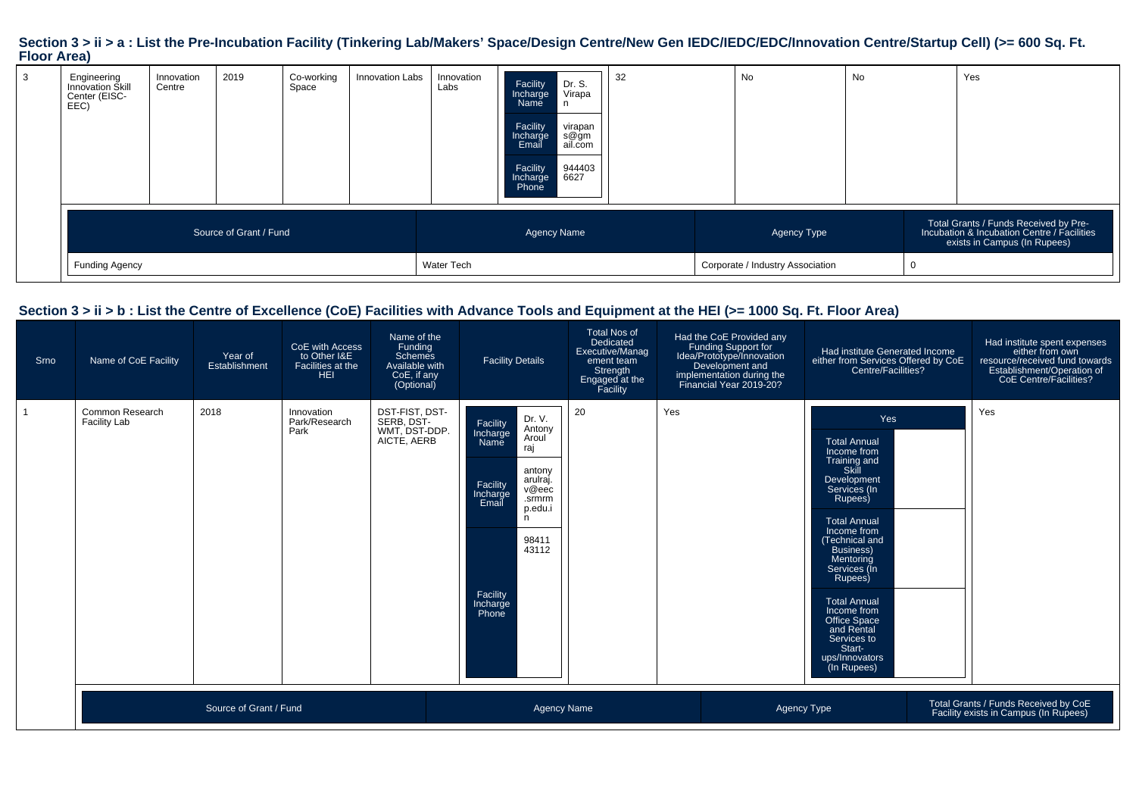# **Section 3 > ii > a : List the Pre-Incubation Facility (Tinkering Lab/Makers' Space/Design Centre/New Gen IEDC/IEDC/EDC/Innovation Centre/Startup Cell) (>= 600 Sq. Ft. Floor Area)**

| 3 | Engineering<br>Innovation Skill<br>Center (EISC-<br>EEC) | Innovation<br>Centre | 2019                   | Co-working<br>Space | Innovation Labs | Innovation<br>Labs | Dr. S.<br>Facility<br>Virapa<br>Incharge<br>Name<br>n<br>Facility<br>virapan<br>s@gm<br>ail.com<br>Incharge<br>Email<br>944403<br>6627<br>Facility<br>Incharge<br>Phone | 32 | No |                                                 | No | Yes                                                                                                                  |
|---|----------------------------------------------------------|----------------------|------------------------|---------------------|-----------------|--------------------|-------------------------------------------------------------------------------------------------------------------------------------------------------------------------|----|----|-------------------------------------------------|----|----------------------------------------------------------------------------------------------------------------------|
|   | <b>Funding Agency</b>                                    |                      | Source of Grant / Fund |                     |                 | Water Tech         | <b>Agency Name</b>                                                                                                                                                      |    |    | Agency Type<br>Corporate / Industry Association |    | Total Grants / Funds Received by Pre-<br>Incubation & Incubation Centre / Facilities<br>exists in Campus (In Rupees) |

### **Section 3 > ii > b : List the Centre of Excellence (CoE) Facilities with Advance Tools and Equipment at the HEI (>= 1000 Sq. Ft. Floor Area)**

| Srno | Name of CoE Facility                   | Year of<br>Establishment | CoE with Access<br>to Other I&E<br>Facilities at the<br>HEI | Name of the<br>Funding<br>Schemes<br>Available with<br>CoE, if any<br>(Optional) | <b>Facility Details</b>                                                                                                                                                                                       | <b>Total Nos of</b><br>Dedicated<br>Executive/Manag<br>ement team<br>Strength<br>Engaged at the<br>Facility | Had the CoE Provided any<br>Funding Support for<br>Idea/Prototype/Innovation<br>Development and<br>implementation during the<br>Financial Year 2019-20? | Had institute Generated Income<br>either from Services Offered by CoE<br>Centre/Facilities?                                                                                                                                                                                                                                                                           | Had institute spent expenses<br>either from own<br>resource/received fund towards<br>Establishment/Operation of<br>CoE Centre/Facilities? |
|------|----------------------------------------|--------------------------|-------------------------------------------------------------|----------------------------------------------------------------------------------|---------------------------------------------------------------------------------------------------------------------------------------------------------------------------------------------------------------|-------------------------------------------------------------------------------------------------------------|---------------------------------------------------------------------------------------------------------------------------------------------------------|-----------------------------------------------------------------------------------------------------------------------------------------------------------------------------------------------------------------------------------------------------------------------------------------------------------------------------------------------------------------------|-------------------------------------------------------------------------------------------------------------------------------------------|
|      | Common Research<br><b>Facility Lab</b> | 2018                     | Innovation<br>Park/Research<br>Park                         | DST-FIST, DST-<br>SERB, DST-<br>WMT, DST-DDP.<br>AICTE, AERB                     | Dr. V.<br>Facility<br>Antony<br>Incharge<br>Aroul<br>Name<br>raj<br>antony<br>arulraj.<br>Facility<br>v@eec<br>Incharge<br>.srmrm<br>Email<br>p.edu.i<br>n<br>98411<br>43112<br>Facility<br>Incharge<br>Phone | 20                                                                                                          | Yes                                                                                                                                                     | Yes<br><b>Total Annual</b><br>Income from<br>Training and<br>Skill<br>Development<br>Services (In<br>Rupees)<br><b>Total Annual</b><br>Income from<br>Technical and<br><b>Business</b> )<br><b>Mentoring</b><br>Services (In<br>Rupees)<br><b>Total Annual</b><br>Income from<br>Office Space<br>and Rental<br>Services to<br>Start-<br>ups/Innovators<br>(In Rupees) | Yes                                                                                                                                       |
|      |                                        | Source of Grant / Fund   |                                                             |                                                                                  | <b>Agency Name</b>                                                                                                                                                                                            |                                                                                                             |                                                                                                                                                         | Agency Type                                                                                                                                                                                                                                                                                                                                                           | Total Grants / Funds Received by CoE<br>Facility exists in Campus (In Rupees)                                                             |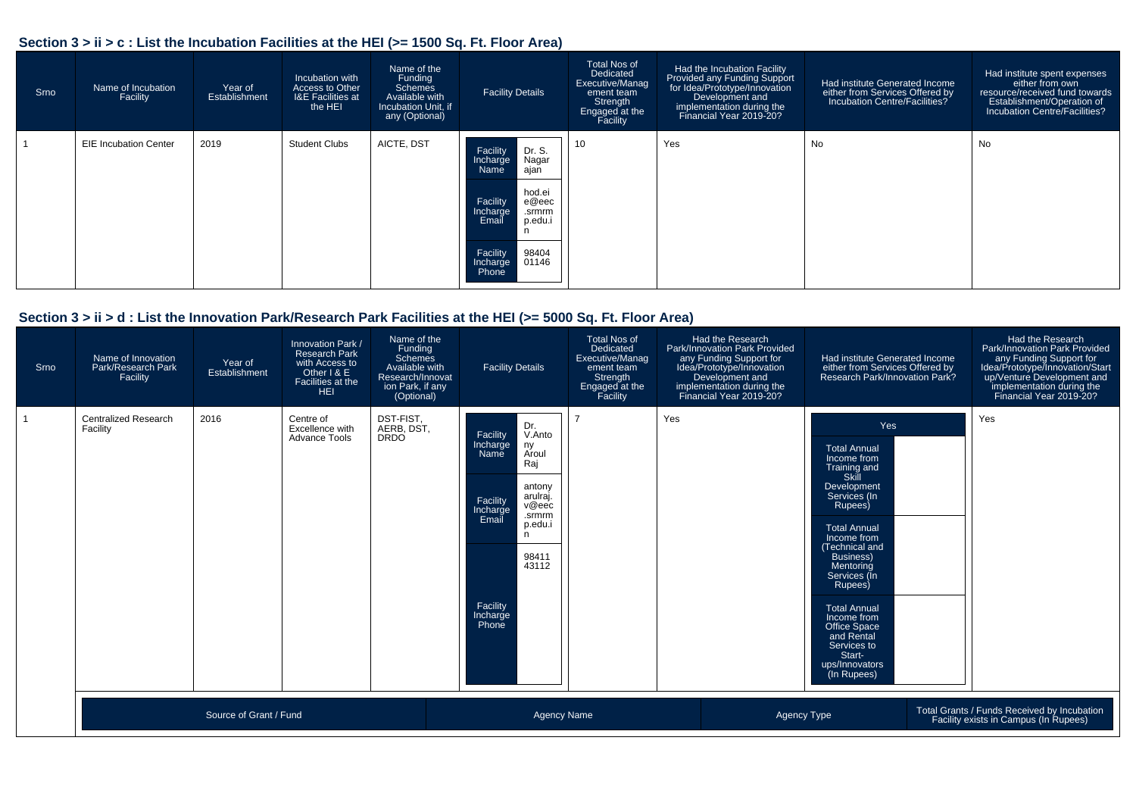### **Section 3 > ii > c : List the Incubation Facilities at the HEI (>= 1500 Sq. Ft. Floor Area)**

| Srno | Name of Incubation<br>Facility | Year of<br>Establishment | Incubation with<br>Access to Other<br><b>I&amp;E Facilities at</b><br>the HEI | Name of the<br>Funding<br>Schemes<br>Available with<br>Incubation Unit, if<br>any (Optional) | <b>Facility Details</b>                                                                                                                                                             | <b>Total Nos of</b><br>Dedicated<br>Executive/Manag<br>ement team<br>Strength<br>Engaged at the<br>Facility | Had the Incubation Facility<br>Provided any Funding Support<br>for Idea/Prototype/Innovation<br>Development and<br>implementation during the<br>Financial Year 2019-20? | Had institute Generated Income<br>either from Services Offered by<br>Incubation Centre/Facilities? | Had institute spent expenses<br>either from own<br>resource/received fund towards<br>Establishment/Operation of<br>Incubation Centre/Facilities? |
|------|--------------------------------|--------------------------|-------------------------------------------------------------------------------|----------------------------------------------------------------------------------------------|-------------------------------------------------------------------------------------------------------------------------------------------------------------------------------------|-------------------------------------------------------------------------------------------------------------|-------------------------------------------------------------------------------------------------------------------------------------------------------------------------|----------------------------------------------------------------------------------------------------|--------------------------------------------------------------------------------------------------------------------------------------------------|
|      | <b>EIE Incubation Center</b>   | 2019                     | <b>Student Clubs</b>                                                          | AICTE, DST                                                                                   | Dr. S.<br>Facility<br>Nagar<br>Incharge<br>ajañ<br>Name<br>hod.ei<br>e@eec<br>Facility<br>Incharge<br>.srmrm<br>Email<br>p.edu.i<br>Facility<br>98404<br>01146<br>Incharge<br>Phone | 10                                                                                                          | Yes                                                                                                                                                                     | No                                                                                                 | No                                                                                                                                               |

### **Section 3 > ii > d : List the Innovation Park/Research Park Facilities at the HEI (>= 5000 Sq. Ft. Floor Area)**

| Srno           | Name of Innovation<br>Park/Research Park<br>Facility | Year of<br>Establishment | Innovation Park /<br><b>Research Park</b><br>with Access to<br>Other I & E<br>Facilities at the<br><b>HEI</b> | Name of the<br>Funding<br>Schemes<br>Available with<br>Research/Innovat<br>ion Park, if any<br>(Optional) | <b>Facility Details</b>                                                                                                                                                                                          | <b>Total Nos of</b><br>Dedicated<br>Executive/Manag<br>ement team<br>Strength<br>Engaged at the<br>Facility | Had the Research<br>Park/Innovation Park Provided<br>any Funding Support for<br>Idea/Prototype/Innovation<br>Development and<br>implementation during the<br>Financial Year 2019-20? | Had institute Generated Income<br>either from Services Offered by<br>Research Park/Innovation Park?                                                                                                                                                                                                                                                    | Had the Research<br>Park/Innovation Park Provided<br>any Funding Support for<br>Idea/Prototype/Innovation/Start<br>up/Venture Development and<br>implementation during the<br>Financial Year 2019-20? |
|----------------|------------------------------------------------------|--------------------------|---------------------------------------------------------------------------------------------------------------|-----------------------------------------------------------------------------------------------------------|------------------------------------------------------------------------------------------------------------------------------------------------------------------------------------------------------------------|-------------------------------------------------------------------------------------------------------------|--------------------------------------------------------------------------------------------------------------------------------------------------------------------------------------|--------------------------------------------------------------------------------------------------------------------------------------------------------------------------------------------------------------------------------------------------------------------------------------------------------------------------------------------------------|-------------------------------------------------------------------------------------------------------------------------------------------------------------------------------------------------------|
| $\overline{1}$ | <b>Centralized Research</b><br>Facility              | 2016                     | Centre of<br>Excellence with<br>Advance Tools                                                                 | DST-FIST.<br>AERB. DST.<br><b>DRDO</b>                                                                    | Dr.<br>Facility<br>V.Anto<br>Incharge<br>Name<br>ny<br>Aroul<br>Raj<br>antony<br>arulraj.<br>Facility<br>v@eec<br>Incharge<br>Email<br>.srmrm<br>p.edu.i<br>n<br>98411<br>43112<br>Facility<br>Incharge<br>Phone |                                                                                                             | Yes                                                                                                                                                                                  | Yes<br><b>Total Annual</b><br>Income from<br>Training and<br>Skill<br>Development<br>Services (In<br>Rupees)<br><b>Total Annual</b><br>Income from<br>Technical and<br>Business)<br>Mentoring<br>Services (In<br>Rupees)<br><b>Total Annual</b><br>Income from<br>Office Space<br>and Rental<br>Services to<br>Start-<br>ups/Innovators<br>(In Rupees) | Yes                                                                                                                                                                                                   |
|                |                                                      | Source of Grant / Fund   |                                                                                                               |                                                                                                           | <b>Agency Name</b>                                                                                                                                                                                               |                                                                                                             | Agency Type                                                                                                                                                                          |                                                                                                                                                                                                                                                                                                                                                        | Total Grants / Funds Received by Incubation<br>Facility exists in Campus (In Rupees)                                                                                                                  |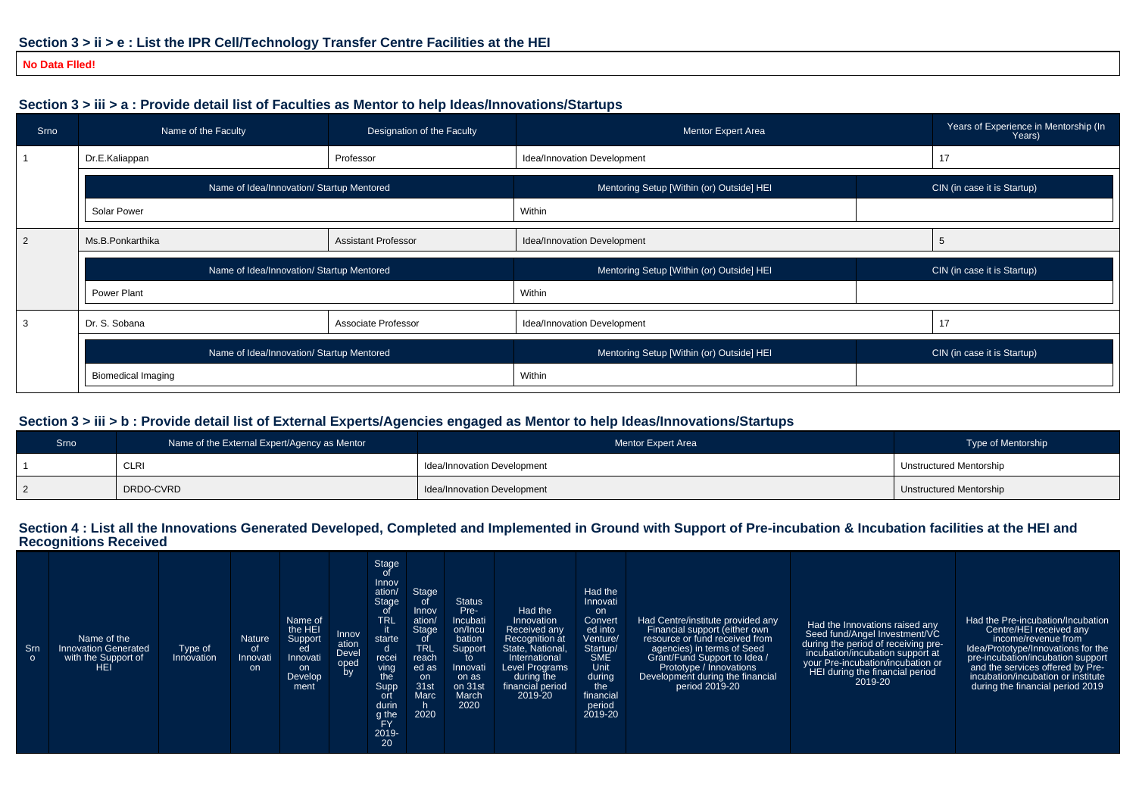#### **No Data Flled!**

### **Section 3 > iii > a : Provide detail list of Faculties as Mentor to help Ideas/Innovations/Startups**

| Srno           | Name of the Faculty                       | Designation of the Faculty | Mentor Expert Area                        |    | Years of Experience in Mentorship (In<br>Years) |
|----------------|-------------------------------------------|----------------------------|-------------------------------------------|----|-------------------------------------------------|
|                | Dr.E.Kaliappan                            | Professor                  | Idea/Innovation Development               |    |                                                 |
|                | Name of Idea/Innovation/ Startup Mentored |                            | Mentoring Setup [Within (or) Outside] HEI |    | CIN (in case it is Startup)                     |
|                | Solar Power                               |                            | Within                                    |    |                                                 |
| $\overline{2}$ | Ms.B.Ponkarthika                          | <b>Assistant Professor</b> | Idea/Innovation Development               | .b |                                                 |
|                | Name of Idea/Innovation/ Startup Mentored |                            | Mentoring Setup [Within (or) Outside] HEI |    | CIN (in case it is Startup)                     |
|                | Power Plant                               |                            |                                           |    |                                                 |
|                |                                           |                            | Within                                    |    |                                                 |
| -3             | Dr. S. Sobana                             | Associate Professor        | Idea/Innovation Development               | 17 |                                                 |
|                | Name of Idea/Innovation/ Startup Mentored |                            | Mentoring Setup [Within (or) Outside] HEI |    | CIN (in case it is Startup)                     |

#### **Section 3 > iii > b : Provide detail list of External Experts/Agencies engaged as Mentor to help Ideas/Innovations/Startups**

| Srno | Name of the External Expert/Agency as Mentor | Mentor Expert Area          | Type of Mentorship             |
|------|----------------------------------------------|-----------------------------|--------------------------------|
|      | <b>CLRI</b>                                  | Idea/Innovation Development | <b>Unstructured Mentorship</b> |
|      | DRDO-CVRD                                    | Idea/Innovation Development | Unstructured Mentorship        |

# **Section 4 : List all the Innovations Generated Developed, Completed and Implemented in Ground with Support of Pre-incubation & Incubation facilities at the HEI and Recognitions Received**

| Stage<br><b>Status</b><br><b>Innovati</b><br>Pre-<br>Had the<br>Innov<br>0t<br>on.<br>TRL<br>Incubati<br>Name of<br>Had the Pre-incubation/Incubation<br>Innovation<br>Had Centre/institute provided any<br>Convert<br>ation/<br>Had the Innovations raised any<br>the HEI<br>Stage<br>ed into<br>Centre/HEI received any<br>Financial support (either own<br>on/Incu<br>Received any<br>Innov<br>Seed fund/Angel Investment/VC<br>Name of the<br>Venture/<br>resource or fund received from<br>income/revenue from<br>Support<br>bation<br><b>Nature</b><br><b>Recognition at</b><br>starte<br>ation<br>during the period of receiving pre-<br><b>TRL</b><br>Srn<br><b>Innovation Generated</b><br>State, National,<br>agencies) in terms of Seed<br>Idea/Prototype/Innovations for the<br>Startup/<br>0f<br>Support<br>Type of<br>ed<br>d<br><b>Devel</b><br>incubation/incubation support at<br><b>SME</b><br>Grant/Fund Support to Idea /<br>with the Support of<br>Innovati<br>pre-incubation/incubation support<br>Innovation<br>Innovati<br>International<br>reach<br>to<br>recei<br>$\circ$<br>your Pre-incubation/incubation or<br>oped<br>by<br>Unit<br>HEI.<br>Level Programs<br>and the services offered by Pre-<br>Prototype / Innovations<br><b>on</b><br>Innovati<br>ed as<br>on.<br>ving<br>HEI during the financial period<br>during<br>incubation/incubation or institute<br>Development during the financial<br>Develop<br>during the<br>on as<br>on<br>the.<br>2019-20<br>31 <sub>st</sub><br>during the financial period 2019<br>on 31st<br>period 2019-20<br>Supp<br>the<br>financial period<br>ment<br>financial<br>Marc<br>March<br>2019-20<br>ort<br>durin<br>2020<br>period<br>2020<br>2019-20<br>g the<br><b>FY</b><br>2019-<br>20 |
|---------------------------------------------------------------------------------------------------------------------------------------------------------------------------------------------------------------------------------------------------------------------------------------------------------------------------------------------------------------------------------------------------------------------------------------------------------------------------------------------------------------------------------------------------------------------------------------------------------------------------------------------------------------------------------------------------------------------------------------------------------------------------------------------------------------------------------------------------------------------------------------------------------------------------------------------------------------------------------------------------------------------------------------------------------------------------------------------------------------------------------------------------------------------------------------------------------------------------------------------------------------------------------------------------------------------------------------------------------------------------------------------------------------------------------------------------------------------------------------------------------------------------------------------------------------------------------------------------------------------------------------------------------------------------------------------------------------------------------------------------------------|
|---------------------------------------------------------------------------------------------------------------------------------------------------------------------------------------------------------------------------------------------------------------------------------------------------------------------------------------------------------------------------------------------------------------------------------------------------------------------------------------------------------------------------------------------------------------------------------------------------------------------------------------------------------------------------------------------------------------------------------------------------------------------------------------------------------------------------------------------------------------------------------------------------------------------------------------------------------------------------------------------------------------------------------------------------------------------------------------------------------------------------------------------------------------------------------------------------------------------------------------------------------------------------------------------------------------------------------------------------------------------------------------------------------------------------------------------------------------------------------------------------------------------------------------------------------------------------------------------------------------------------------------------------------------------------------------------------------------------------------------------------------------|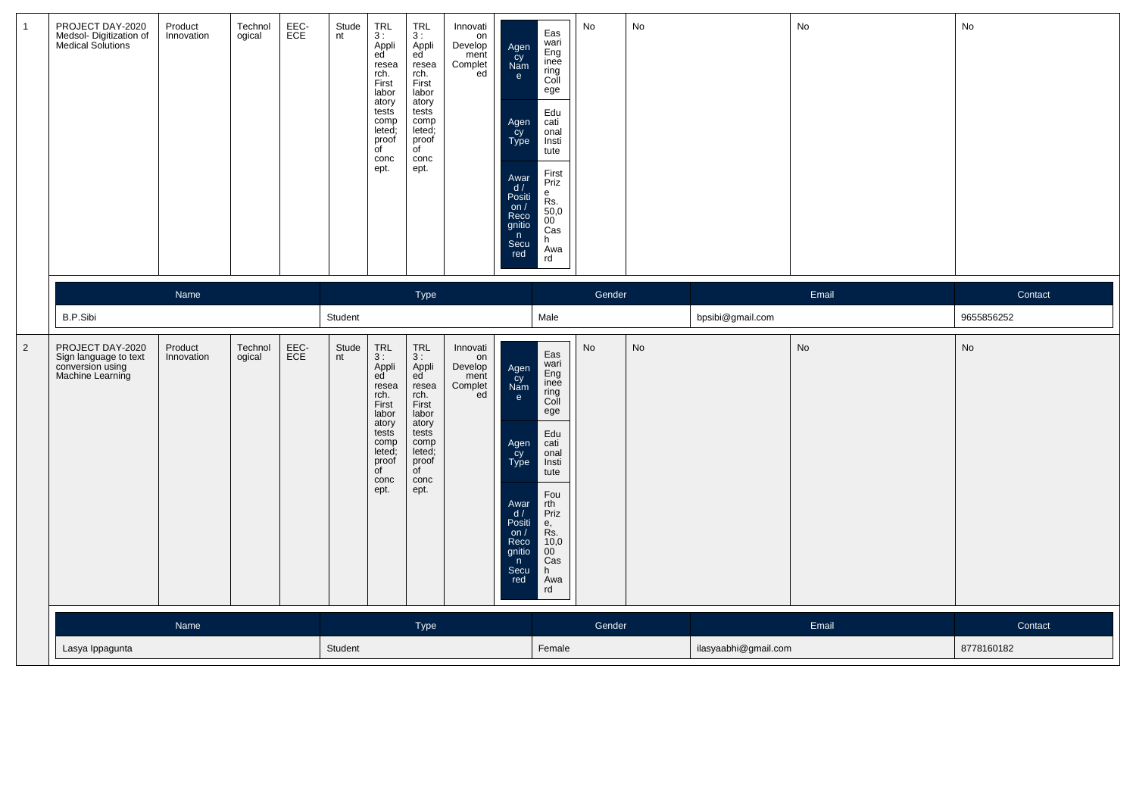| $\mathbf{1}$   | PROJECT DAY-2020<br>Medsol-Digitization of<br>Medical Solutions                   | Product<br>Innovation | Technol<br>ogical | EEC-<br>ECE | Stude<br>nt | <b>TRL</b><br>3:<br>Appli<br>ed<br>resea<br>rch.<br>First<br>labor<br>atory<br>tests<br>comp<br>leted;<br>proof<br>$\overline{C}$<br>conc<br>ept. | <b>TRL</b><br>3:<br>Appli<br>ed<br>resea<br>rch.<br>First<br>labor<br>atory<br>tests<br>comp<br>leted;<br>proof<br>of<br>conc<br>ept.      | Innovati<br>on<br>Develop<br>ment<br>Complet<br>ed | Agen<br>cy<br>Nam<br>e<br>Agen<br>cy<br>Type<br>Awar<br>d/<br>Positi<br>on $/$<br>Reco<br>gnitio<br>n<br>Secu<br>red            | Eas<br>wari<br>Eng<br>inee<br>ring<br>Coll<br>ege<br>Edu<br>cati<br>onal<br>Insti<br>tute<br>First<br>Priz<br>e<br>Rs.<br>$\frac{50,0}{00}$<br>Cas<br>h.<br>Awa<br>rd           | No     | No |                      | No    | No         |
|----------------|-----------------------------------------------------------------------------------|-----------------------|-------------------|-------------|-------------|---------------------------------------------------------------------------------------------------------------------------------------------------|--------------------------------------------------------------------------------------------------------------------------------------------|----------------------------------------------------|---------------------------------------------------------------------------------------------------------------------------------|---------------------------------------------------------------------------------------------------------------------------------------------------------------------------------|--------|----|----------------------|-------|------------|
|                |                                                                                   | Name                  |                   |             |             |                                                                                                                                                   | Type                                                                                                                                       |                                                    |                                                                                                                                 |                                                                                                                                                                                 | Gender |    |                      | Email | Contact    |
|                | B.P.Sibi                                                                          |                       |                   |             | Student     |                                                                                                                                                   |                                                                                                                                            |                                                    |                                                                                                                                 | Male                                                                                                                                                                            |        |    | bpsibi@gmail.com     |       | 9655856252 |
| $\overline{2}$ | PROJECT DAY-2020<br>Sign language to text<br>conversion using<br>Machine Learning | Product<br>Innovation | Technol<br>ogical | EEC-<br>ECE | Stude<br>nt | <b>TRL</b><br>3:<br>Appli<br>ed<br>resea<br>rch.<br>First<br>labor<br>atory<br>tests<br>comp<br>leted:<br>proof<br>$\overline{f}$<br>conc<br>ept. | TRL<br>3:<br>Appli<br>ed<br>resea<br>rch.<br>First<br>labor<br>atory<br>tests<br>comp<br>leted;<br>proof<br>$\overline{C}$<br>conc<br>ept. | Innovati<br>on<br>Develop<br>ment<br>Complet<br>ed | Agen<br>cy<br>Nam<br>$\mathbf{e}$<br>Agen<br>cy<br>Type<br>Awar<br>d/<br>Positi<br>on $/$<br>Reco<br>gnitio<br>n<br>Secu<br>red | Eas<br>wari<br>Eng<br>inee<br>ring<br>Coll<br>ege<br>Edu<br>cati<br>onal<br>Insti<br>tute<br>Fou<br>rth<br>Priz<br>е,<br>Rs.<br>10,0<br>$00^{\degree}$<br>Cas<br>h<br>Awa<br>rd | No     | No |                      | No    | No         |
|                |                                                                                   | Name                  |                   |             |             |                                                                                                                                                   | Type                                                                                                                                       |                                                    |                                                                                                                                 |                                                                                                                                                                                 | Gender |    |                      | Email | Contact    |
|                | Lasya Ippagunta                                                                   |                       |                   |             |             |                                                                                                                                                   |                                                                                                                                            |                                                    |                                                                                                                                 | Female                                                                                                                                                                          |        |    | ilasyaabhi@gmail.com |       | 8778160182 |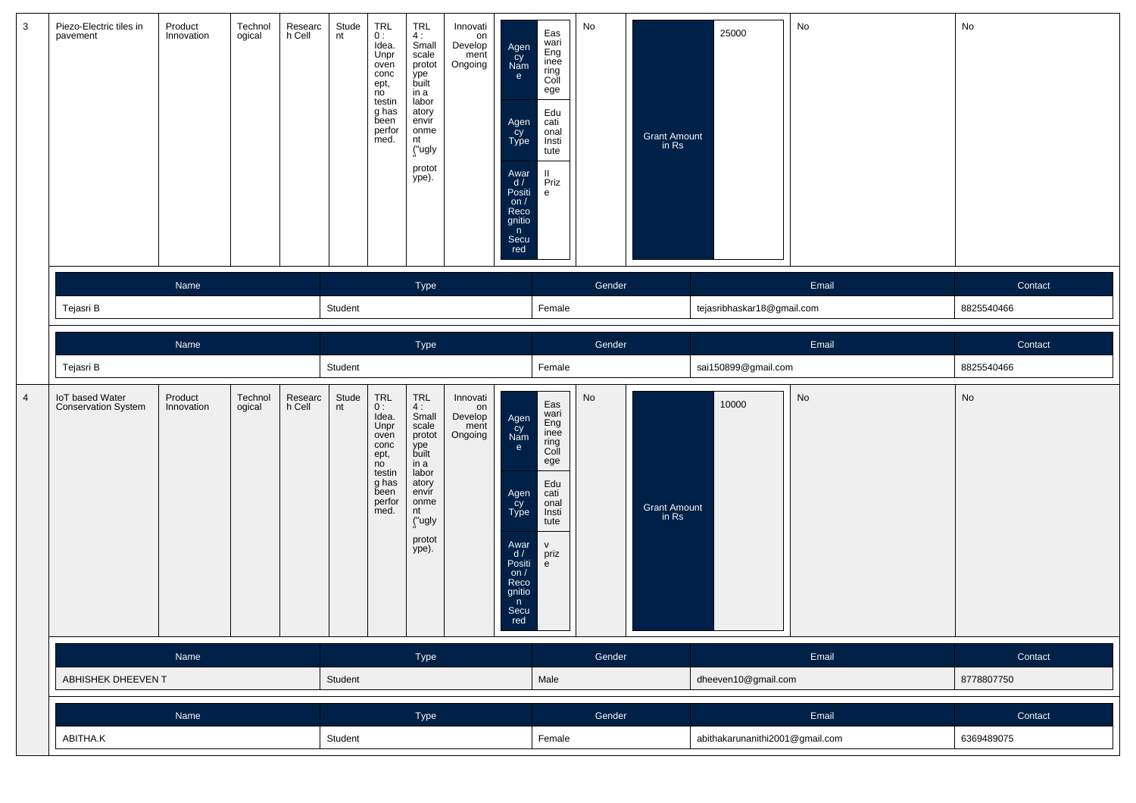| 3              | Piezo-Electric tiles in<br>pavement           | Product<br>Innovation | Technol<br>ogical | Researc<br>h Cell | Stude<br>nt | TRL<br>0:<br>Idea.<br>Unpr<br>oven<br>conc<br>ept,<br>no<br>testin<br>g has<br>been<br>perfor<br>med. | <b>TRL</b><br>4:<br>Small<br>scale<br>protot<br>ype<br>built<br>in a<br>labor<br>atory<br>envir<br>onme<br>nt<br>("ugly<br>protot<br>ype). | Innovati<br>on<br>Develop<br>ment<br>Ongoing | Agen<br>Cy<br>Nam<br>e<br>Agen<br>cy<br>Type<br>Awar<br>d /<br>Positi<br>on $/$<br>Reco<br>gnitio<br>n<br>Secu<br>red | Eas<br>wari<br>Eng<br>inee<br>ring<br>Coll<br>ege<br>Edu<br>cati<br>onal<br>Insti<br>tute<br>Ш.<br>Priz<br>$\mathsf{e}\,$ | No                              | <b>Grant Amount</b><br>in Rs | 25000                      | No      | No         |
|----------------|-----------------------------------------------|-----------------------|-------------------|-------------------|-------------|-------------------------------------------------------------------------------------------------------|--------------------------------------------------------------------------------------------------------------------------------------------|----------------------------------------------|-----------------------------------------------------------------------------------------------------------------------|---------------------------------------------------------------------------------------------------------------------------|---------------------------------|------------------------------|----------------------------|---------|------------|
|                |                                               | Name                  |                   |                   |             |                                                                                                       | Type                                                                                                                                       |                                              |                                                                                                                       |                                                                                                                           | Gender                          |                              |                            | Email   | Contact    |
|                | Tejasri B                                     |                       |                   |                   | Student     |                                                                                                       |                                                                                                                                            |                                              |                                                                                                                       | Female                                                                                                                    |                                 |                              | tejasribhaskar18@gmail.com |         | 8825540466 |
|                |                                               | Name                  |                   |                   |             |                                                                                                       | Type                                                                                                                                       |                                              |                                                                                                                       |                                                                                                                           | Gender                          |                              |                            | Email   | Contact    |
|                | Tejasri B                                     |                       |                   |                   | Student     |                                                                                                       |                                                                                                                                            |                                              |                                                                                                                       | Female                                                                                                                    |                                 |                              | sai150899@gmail.com        |         | 8825540466 |
| $\overline{4}$ | IoT based Water<br><b>Conservation System</b> | Product<br>Innovation | Technol<br>ogical | Researc<br>h Cell | Stude<br>nt | TRL<br>0:<br>Idea.<br>Unpr<br>oven<br>conc<br>ept,<br>no<br>testin<br>g has<br>been<br>perfor<br>med. | TRL<br>4:<br>Small<br>scale<br>protot<br>ype<br>built<br>in a<br>labor<br>atory<br>envir<br>onme<br>nt<br>("ugly<br>protot<br>ype).        | Innovati<br>on<br>Develop<br>ment<br>Ongoing | Agen<br>Cy<br>Nam<br>e<br>Agen<br>cy<br>Type<br>Awar<br>d /<br>Positi<br>on $/$<br>Reco<br>gnitio<br>n<br>Secu<br>rea | Eas<br>wari<br>Eng<br>inee<br>ring<br>Coll<br>ege<br>Edu<br>cati<br>onal<br>Insti<br>tute<br>$\mathsf{V}^-$<br>priz<br>e  | $\operatorname{\mathsf{No}}$    | <b>Grant Amount</b><br>in Rs | 10000                      | No      | No         |
|                |                                               | Name                  |                   |                   |             |                                                                                                       | Type                                                                                                                                       |                                              |                                                                                                                       |                                                                                                                           | Gender                          |                              |                            | Email   | Contact    |
|                | ABHISHEK DHEEVEN T                            |                       |                   |                   | Student     |                                                                                                       |                                                                                                                                            |                                              |                                                                                                                       | Male                                                                                                                      |                                 |                              | dheeven10@gmail.com        |         | 8778807750 |
|                | Name                                          |                       |                   |                   | Type        |                                                                                                       |                                                                                                                                            |                                              |                                                                                                                       | Gender                                                                                                                    |                                 |                              | Email                      | Contact |            |
|                | ABITHA.K                                      |                       | Student           |                   |             |                                                                                                       |                                                                                                                                            | Female                                       |                                                                                                                       |                                                                                                                           | abithakarunanithi2001@gmail.com |                              | 6369489075                 |         |            |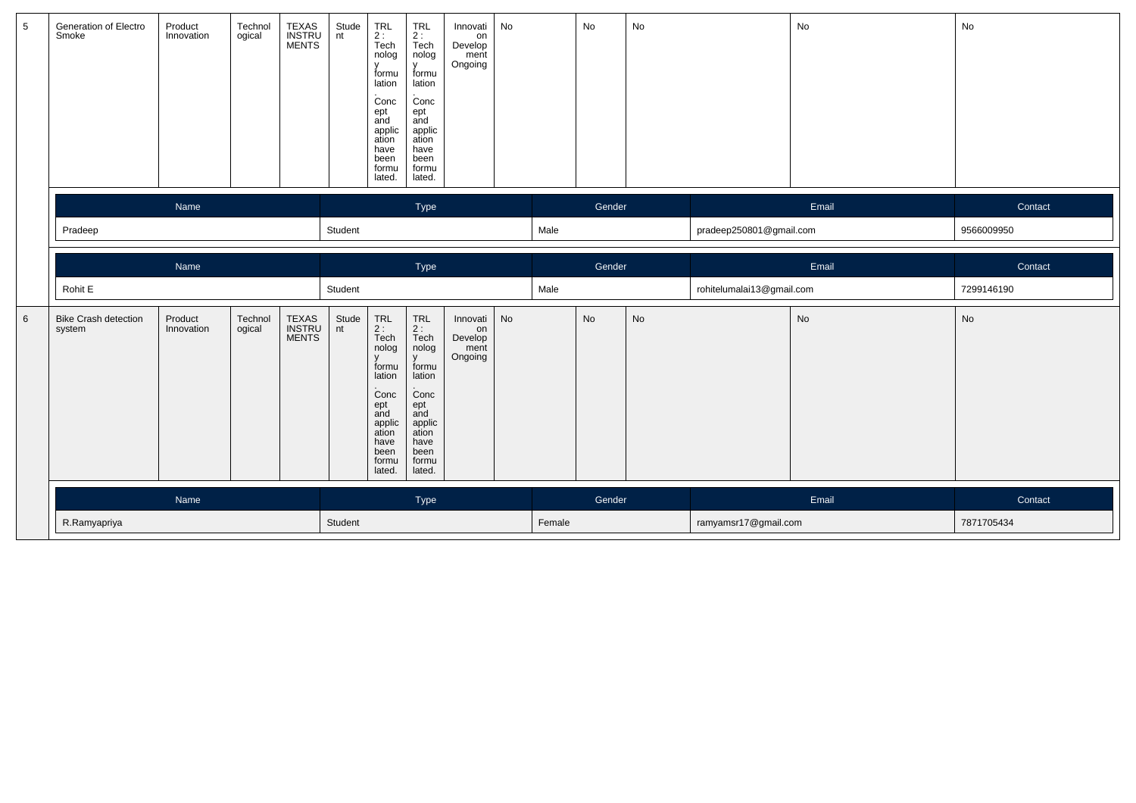| $5\phantom{.0}$ | Generation of Electro<br>Smoke        | Product<br>Innovation | Technol<br>ogical | TEXAS<br>INSTRU<br>MENTS | Stude<br>nt | TRL<br>2 :<br>Tech<br>nolog<br>$\mathsf{v}$<br>formu<br>lation<br>.<br>Conc<br>ept<br>and<br>applic<br>ation<br>have<br>been<br>formu<br>lated. | <b>TRL</b><br>$rac{2}{1}$<br>Tech<br>nolog<br>y<br>formu<br>lation<br>Conc<br>ept<br>and<br>applic<br>ation<br>have<br>been<br>formu<br>lated.    | Innovati<br>on<br>Develop<br>ment<br>Ongoing | No |      | No        | No |                           | No    | No         |
|-----------------|---------------------------------------|-----------------------|-------------------|--------------------------|-------------|-------------------------------------------------------------------------------------------------------------------------------------------------|---------------------------------------------------------------------------------------------------------------------------------------------------|----------------------------------------------|----|------|-----------|----|---------------------------|-------|------------|
|                 |                                       | Name                  |                   |                          |             |                                                                                                                                                 | Type                                                                                                                                              |                                              |    |      | Gender    |    |                           | Email | Contact    |
|                 | Pradeep                               |                       |                   |                          | Student     |                                                                                                                                                 |                                                                                                                                                   |                                              |    | Male |           |    | pradeep250801@gmail.com   |       | 9566009950 |
|                 |                                       | Name                  |                   |                          |             |                                                                                                                                                 | Type                                                                                                                                              |                                              |    |      | Gender    |    |                           | Email | Contact    |
|                 | Rohit E                               |                       |                   |                          | Student     |                                                                                                                                                 |                                                                                                                                                   |                                              |    | Male |           |    | rohitelumalai13@gmail.com |       | 7299146190 |
| $6\phantom{1}$  | <b>Bike Crash detection</b><br>system | Product<br>Innovation | Technol<br>ogical | TEXAS<br>INSTRU<br>MENTS | Stude<br>nt | TRL<br>$2:$ Tech<br>nolog<br>$\mathbf{V}$<br>formu<br>lation<br>Conc<br>ept<br>and<br>applic<br>ation<br>have<br>been<br>formu<br>lated.        | <b>TRL</b><br>2 :<br>Tech<br>nolog<br>$\mathbf{v}$<br>formu<br>lation<br>Conc<br>ept<br>and<br>applic<br>ation<br>have<br>been<br>formu<br>lated. | Innovati<br>on<br>Develop<br>ment<br>Ongoing | No |      | <b>No</b> | No |                           | No    | No         |
|                 |                                       |                       |                   |                          |             |                                                                                                                                                 |                                                                                                                                                   |                                              |    |      |           |    |                           |       |            |
|                 |                                       | Name                  |                   |                          |             |                                                                                                                                                 | Type                                                                                                                                              |                                              |    |      | Gender    |    |                           | Email | Contact    |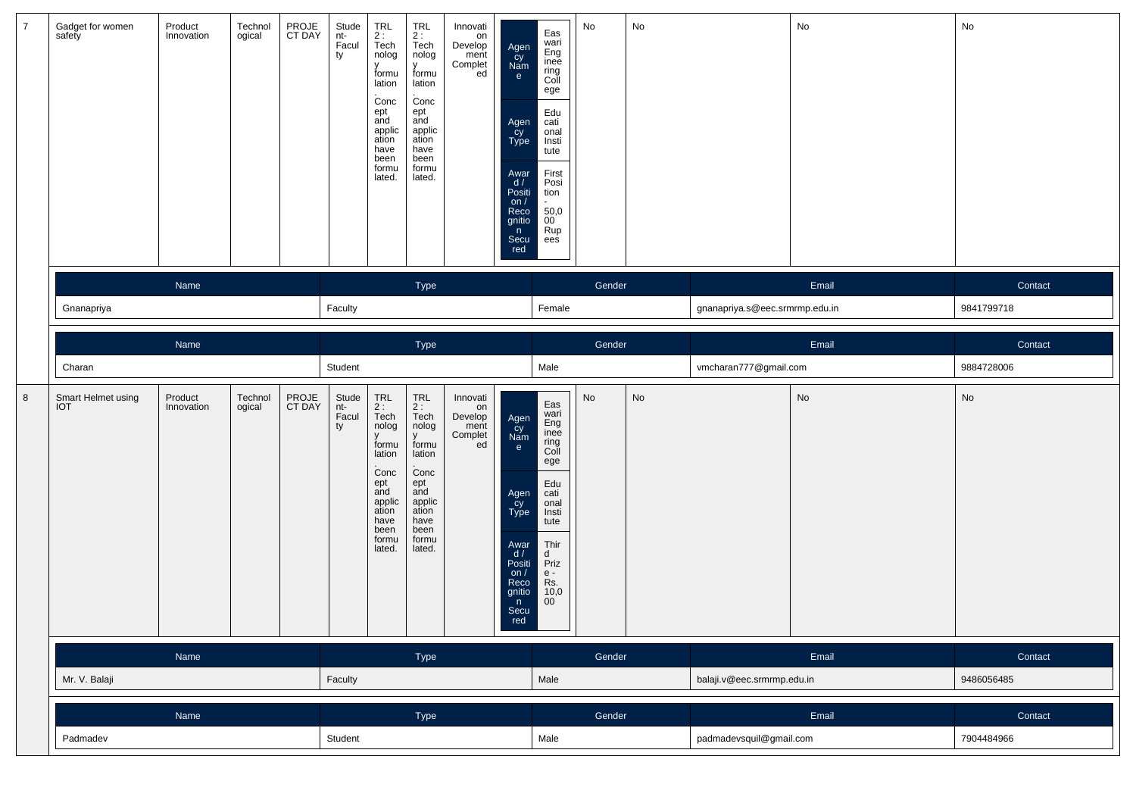| $\overline{7}$ | Gadget for women<br>safety       | Product<br>Innovation | Technol<br>ogical | PROJE<br>CT DAY | Stude<br>nt-<br>Facul<br>ty | $TRL$<br>2:<br>$\bar{T}$ ech<br>nolog<br>v<br>formu<br>lation<br>Conc<br>ept<br>and<br>applic<br>ation<br>have<br>been<br>formu<br>lated. | TRL<br>2 :<br>Tech<br>nolog<br>v<br>formu<br>lation<br>Conc<br>ept<br>and<br>applic<br>ation<br>have<br>been<br>formu<br>lated. | Innovati<br>on<br>Develop<br>ment<br>Complet<br>ed | Agen<br>cy<br>Nam<br>e<br>Agen<br>cy<br>Type<br>Awar<br>d /<br>Positi<br>on $/$<br>Reco<br>gnitio<br>n<br>Secu<br>red | Eas<br>wari<br>Eng<br>inee<br>ring<br>Coll<br>ege<br>Edu<br>cati<br>onal<br>Insti<br>tute<br>First<br>Posi<br>tion<br>50,0<br>$\overline{00}$<br>Rup<br>ees | No     | No            |                                | No      | No         |
|----------------|----------------------------------|-----------------------|-------------------|-----------------|-----------------------------|-------------------------------------------------------------------------------------------------------------------------------------------|---------------------------------------------------------------------------------------------------------------------------------|----------------------------------------------------|-----------------------------------------------------------------------------------------------------------------------|-------------------------------------------------------------------------------------------------------------------------------------------------------------|--------|---------------|--------------------------------|---------|------------|
|                | Name                             |                       |                   |                 | Type                        |                                                                                                                                           |                                                                                                                                 |                                                    |                                                                                                                       |                                                                                                                                                             | Gender |               |                                | Email   | Contact    |
|                | Gnanapriya                       |                       |                   |                 | Faculty                     |                                                                                                                                           |                                                                                                                                 |                                                    |                                                                                                                       | Female                                                                                                                                                      |        |               | gnanapriya.s@eec.srmrmp.edu.in |         | 9841799718 |
|                |                                  | Name                  |                   |                 |                             |                                                                                                                                           | Type                                                                                                                            |                                                    |                                                                                                                       |                                                                                                                                                             | Gender |               |                                | Email   | Contact    |
|                | Charan                           |                       |                   |                 | Student                     |                                                                                                                                           |                                                                                                                                 |                                                    |                                                                                                                       | Male                                                                                                                                                        |        |               | vmcharan777@gmail.com          |         | 9884728006 |
| 8              | Smart Helmet using<br><b>IOT</b> | Product<br>Innovation | Technol<br>ogical | PROJE<br>CT DAY | Stude<br>nt-<br>Facul<br>ty | TRL<br>$2:$ Tech<br>nolog<br>formu<br>lation<br>Conc<br>ept<br>and<br>applic<br>ation<br>have<br>been<br>formu<br>lated.                  | TRL<br>$2:$<br>Tech<br>nolog<br>formu<br>lation<br>Conc<br>ept<br>and<br>applic<br>ation<br>have<br>been<br>formu<br>lated.     | Innovati<br>on<br>Develop<br>ment<br>Complet<br>ed | Agen<br>Cy<br>Nam<br>e<br>Agen<br>Cy<br>Type<br>Awar<br>d /<br>Positi<br>on $/$<br>Reco<br>gnitio<br>n<br>Secu<br>red | Eas<br>wari<br>Eng<br>inee<br>ring<br>Coll<br>ege<br>Edu<br>cati<br>onal<br>Insti<br>tute<br>Thir<br>d<br>Priz<br>$e -$<br>Rs.<br>10,0<br>$00\,$            | No     | $\mathsf{No}$ |                                | No      | No         |
|                |                                  | Name                  |                   |                 |                             |                                                                                                                                           | Type                                                                                                                            |                                                    |                                                                                                                       |                                                                                                                                                             | Gender |               |                                | Email   | Contact    |
|                | Mr. V. Balaji                    |                       |                   |                 | Faculty                     |                                                                                                                                           |                                                                                                                                 |                                                    |                                                                                                                       | Male                                                                                                                                                        |        |               | balaji.v@eec.srmrmp.edu.in     |         | 9486056485 |
|                | Name                             |                       |                   |                 | Type                        |                                                                                                                                           |                                                                                                                                 |                                                    |                                                                                                                       | Gender                                                                                                                                                      |        |               | Email                          | Contact |            |
|                | Padmadev                         |                       |                   |                 | Student                     |                                                                                                                                           |                                                                                                                                 |                                                    |                                                                                                                       | Male                                                                                                                                                        |        |               | padmadevsquil@gmail.com        |         | 7904484966 |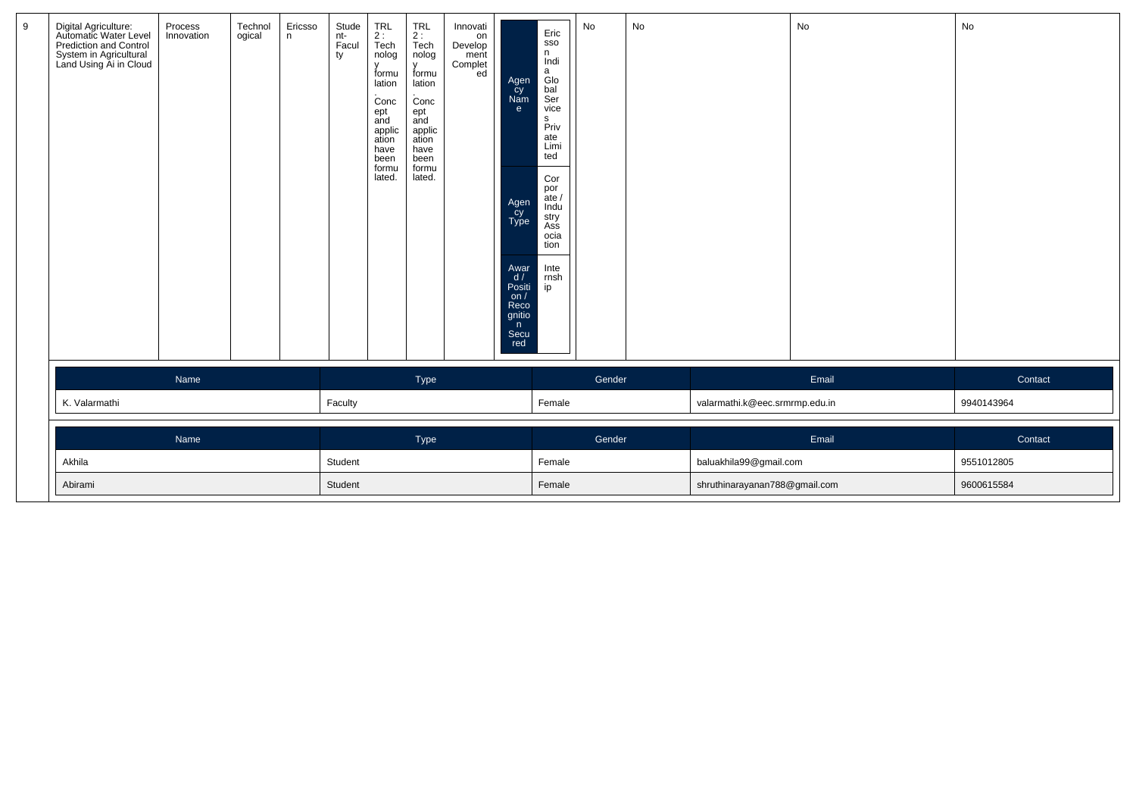| Digital Agriculture:<br>Automatic Water Level<br>Prediction and Control<br>System in Agricultural<br>Land Using Ai in Cloud | Process<br>Innovation | Technol<br>ogical | Ericsso<br>n | Stude<br>nt-<br>Facul<br>ty | TRL<br>2 :<br>Tech<br>nolog<br>formu<br>lation<br>Conc<br>ept<br>and<br>applic<br>ation<br>have<br>been<br>formu<br>lated. | TRL<br>2 :<br>Tech<br>nolog<br>formu<br>lation<br>Conc<br>ept<br>and<br>applic<br>ation<br>have<br>been<br>formu<br>lated. | Innovati<br>on<br>Develop<br>ment<br>Complet<br>ed | Agen<br>cy<br>Nam<br>e<br>Agen<br>Cy<br>Type<br>Awar<br>d/<br>Positi<br>on/<br>Reco<br>gnitio<br>n<br>Secu<br>red | Eric<br>SSO<br>n<br>Indi<br>a<br>Glo<br>bal<br>Ser<br>vice<br>$\mathbb S$<br>Priv<br>ate<br>Limi<br>ted<br>Cor<br>por<br>ate /<br>Indu<br>stry<br>Ass<br>ocia<br>tion<br>Inte<br>rnsh<br>ip | No     | $\operatorname{\mathsf{No}}$ |                                | No    | No         |
|-----------------------------------------------------------------------------------------------------------------------------|-----------------------|-------------------|--------------|-----------------------------|----------------------------------------------------------------------------------------------------------------------------|----------------------------------------------------------------------------------------------------------------------------|----------------------------------------------------|-------------------------------------------------------------------------------------------------------------------|---------------------------------------------------------------------------------------------------------------------------------------------------------------------------------------------|--------|------------------------------|--------------------------------|-------|------------|
|                                                                                                                             | <b>Name</b>           |                   |              |                             |                                                                                                                            | Type                                                                                                                       |                                                    |                                                                                                                   |                                                                                                                                                                                             | Gender |                              |                                | Email | Contact    |
| K. Valarmathi                                                                                                               |                       |                   |              | Faculty                     |                                                                                                                            |                                                                                                                            |                                                    |                                                                                                                   | Female                                                                                                                                                                                      |        |                              | valarmathi.k@eec.srmrmp.edu.in |       | 9940143964 |
|                                                                                                                             | Name                  |                   |              |                             |                                                                                                                            | Type                                                                                                                       |                                                    |                                                                                                                   |                                                                                                                                                                                             | Gender |                              |                                | Email | Contact    |
| Akhila                                                                                                                      |                       |                   |              | Student                     |                                                                                                                            |                                                                                                                            |                                                    |                                                                                                                   | Female                                                                                                                                                                                      |        |                              | baluakhila99@gmail.com         |       | 9551012805 |
| Abirami                                                                                                                     |                       |                   |              | Student                     |                                                                                                                            |                                                                                                                            |                                                    |                                                                                                                   | Female                                                                                                                                                                                      |        |                              | shruthinarayanan788@gmail.com  |       | 9600615584 |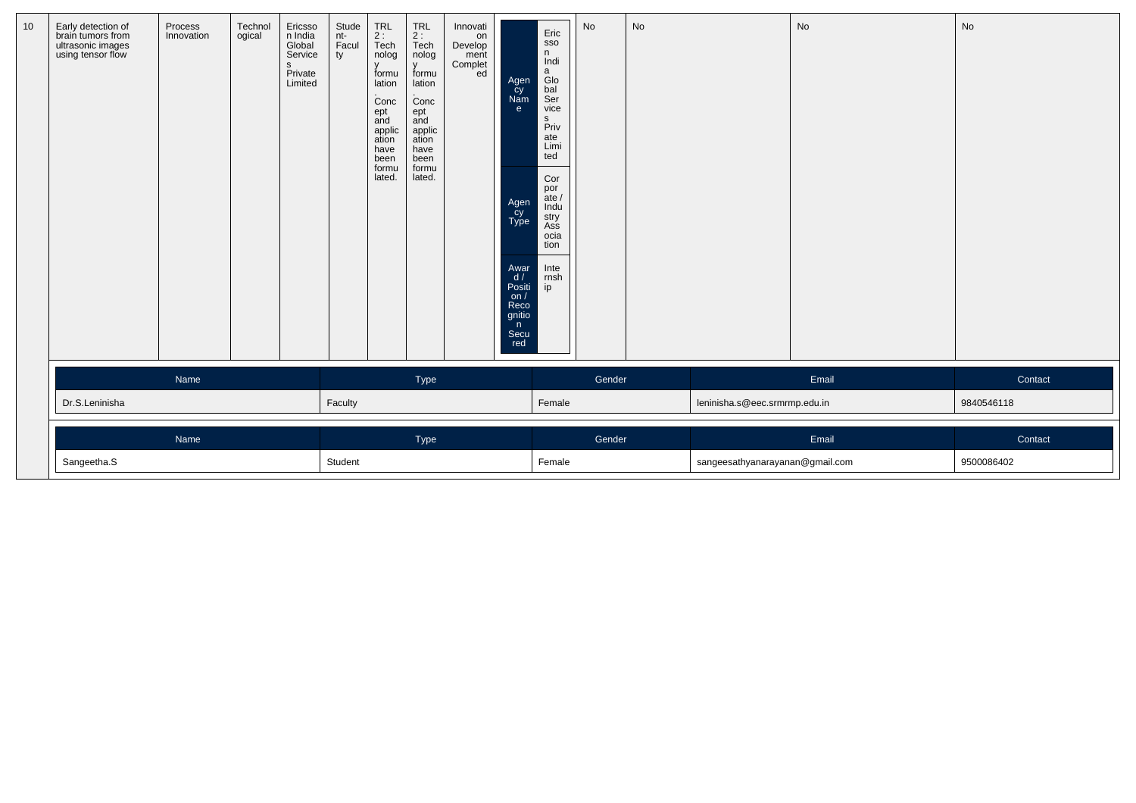| 10 | Early detection of<br>brain tumors from<br>ultrasonic images<br>using tensor flow | Process<br>Innovation | Technol<br>ogical | Ericsso<br>n India<br>Global<br>Service<br>s<br>Private<br>Limited | Stude<br>nt-<br>Facul<br>ty | $\begin{array}{c} \mathsf{TRL} \\ \mathsf{2}: \end{array}$<br>Tech<br>nolog<br>$\mathbf{v}$<br>formu<br>lation<br>Conc<br>ept<br>and<br>applic<br>ation<br>have<br>been<br>formu<br>lated. | $TRL$<br>2 :<br>Tech<br>nolog<br>formu<br>lation<br>Conc<br>ept<br>and<br>applic<br>ation<br>have<br>been<br>formu<br>lated. | Innovati<br>on<br>Develop<br>ment<br>Complet<br>ed | Agen<br>cy<br>Nam<br>e.<br>Agen<br>Type<br>Awar<br>d/<br>Positi<br>on/<br>Reco<br>gnitio<br>$\mathsf{n}$<br>Secu<br>red | Eric<br>SSO<br>n<br>Indi<br>a<br>Glo<br>bal<br>Ser<br>vice<br>$\mathsf{s}$<br>Priv<br>ate<br>Limi<br>ted<br>Cor<br>por<br>ate /<br>Indu<br>stry<br>Ass<br>ocia<br>tion<br>Inte<br>rnsh<br>ip | No     | No |                                 | No    | No         |
|----|-----------------------------------------------------------------------------------|-----------------------|-------------------|--------------------------------------------------------------------|-----------------------------|--------------------------------------------------------------------------------------------------------------------------------------------------------------------------------------------|------------------------------------------------------------------------------------------------------------------------------|----------------------------------------------------|-------------------------------------------------------------------------------------------------------------------------|----------------------------------------------------------------------------------------------------------------------------------------------------------------------------------------------|--------|----|---------------------------------|-------|------------|
|    |                                                                                   | Name                  |                   |                                                                    |                             |                                                                                                                                                                                            | <b>Type</b>                                                                                                                  |                                                    |                                                                                                                         |                                                                                                                                                                                              | Gender |    |                                 | Email | Contact    |
|    | Dr.S.Leninisha                                                                    |                       |                   |                                                                    | Faculty                     |                                                                                                                                                                                            |                                                                                                                              |                                                    |                                                                                                                         | Female                                                                                                                                                                                       |        |    | leninisha.s@eec.srmrmp.edu.in   |       | 9840546118 |
|    |                                                                                   | Name                  |                   |                                                                    |                             |                                                                                                                                                                                            | Type                                                                                                                         |                                                    |                                                                                                                         |                                                                                                                                                                                              | Gender |    |                                 | Email | Contact    |
|    | Sangeetha.S                                                                       |                       |                   |                                                                    | Student                     |                                                                                                                                                                                            |                                                                                                                              |                                                    |                                                                                                                         | Female                                                                                                                                                                                       |        |    | sangeesathyanarayanan@gmail.com |       | 9500086402 |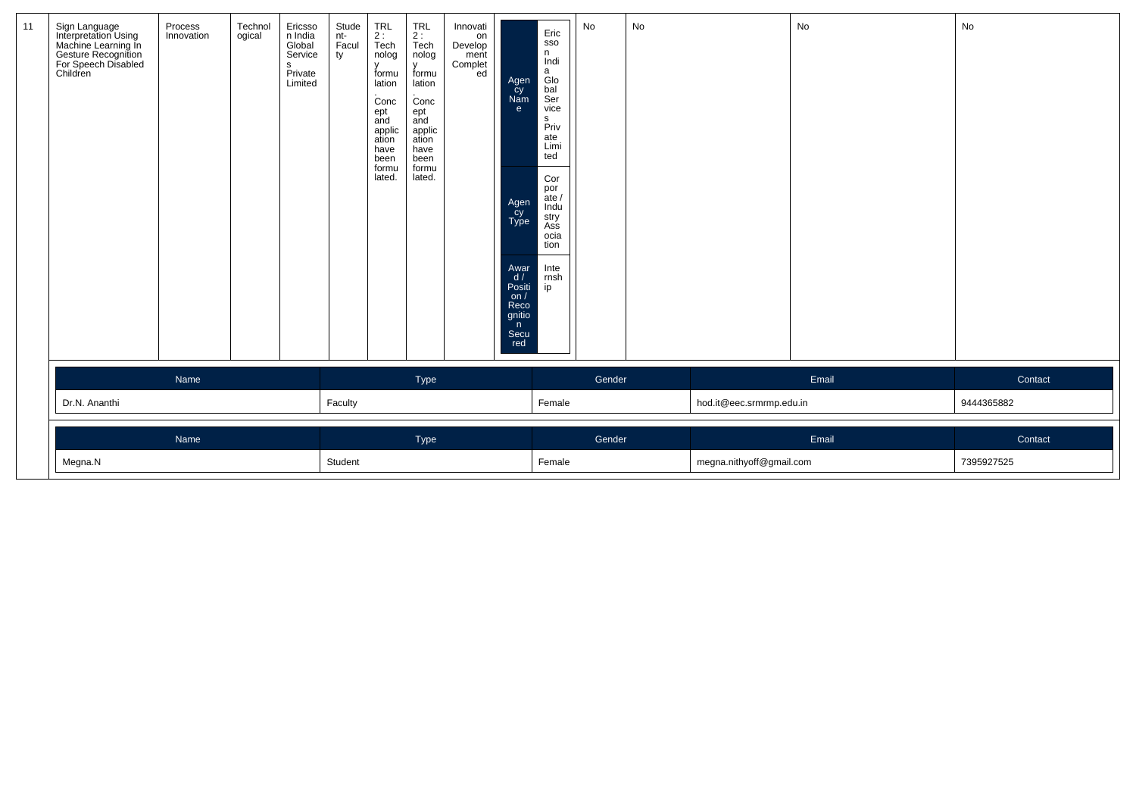| 11 | Sign Language<br>Interpretation Using<br>machine Learning In<br>Gesture Recognition<br>For Speech Disabled<br>Children | Process<br>Innovation | Technol<br>ogical | Ericsso<br>n India<br>Global<br>Service<br>s<br>Private<br>Limited | Stude<br>nt-<br>Facul<br>ty | TRL<br>2 :<br>Tech<br>nolog<br>$\mathbf{v}$<br>formu<br>lation<br>Conc<br>ept<br>and<br>applic<br>ation<br>have<br>been<br>formu<br>lated. | TRL<br>2 :<br>Tech<br>nolog<br>$\mathbf{v}$<br>formu<br>lation<br>Conc<br>ept<br>and<br>applic<br>ation<br>have<br>been<br>formu<br>lated. | Innovati<br>on<br>Develop<br>ment<br>Complet<br>ed | Agen<br>cy<br>Nam<br>e.<br>Agen<br>Cy<br>Type<br>Awar<br>d/<br>Positi<br>on /<br>Reco<br>gnitio<br>n<br>Secu<br>red | Eric<br>SSO<br>n.<br>Indi<br>a<br>Glo<br>bal<br>Ser<br>vice<br>s<br>Priv<br>ate<br>Limi<br>ted<br>Cor<br>por<br>ate /<br>Indu<br>stry<br>Ass<br>ocia<br>tion<br>Inte<br>rnsh<br>ip | No     | No |                          | No    | No         |
|----|------------------------------------------------------------------------------------------------------------------------|-----------------------|-------------------|--------------------------------------------------------------------|-----------------------------|--------------------------------------------------------------------------------------------------------------------------------------------|--------------------------------------------------------------------------------------------------------------------------------------------|----------------------------------------------------|---------------------------------------------------------------------------------------------------------------------|------------------------------------------------------------------------------------------------------------------------------------------------------------------------------------|--------|----|--------------------------|-------|------------|
|    |                                                                                                                        | Name                  |                   |                                                                    |                             |                                                                                                                                            | Type                                                                                                                                       |                                                    |                                                                                                                     |                                                                                                                                                                                    | Gender |    |                          | Email | Contact    |
|    | Dr.N. Ananthi                                                                                                          |                       |                   |                                                                    | Faculty                     |                                                                                                                                            |                                                                                                                                            |                                                    |                                                                                                                     | Female                                                                                                                                                                             |        |    | hod.it@eec.srmrmp.edu.in |       | 9444365882 |
|    |                                                                                                                        | Name                  |                   |                                                                    |                             |                                                                                                                                            | Type                                                                                                                                       |                                                    |                                                                                                                     |                                                                                                                                                                                    | Gender |    |                          | Email | Contact    |
|    | Megna.N                                                                                                                |                       |                   |                                                                    | Student                     |                                                                                                                                            |                                                                                                                                            |                                                    |                                                                                                                     | Female                                                                                                                                                                             |        |    | megna.nithyoff@gmail.com |       | 7395927525 |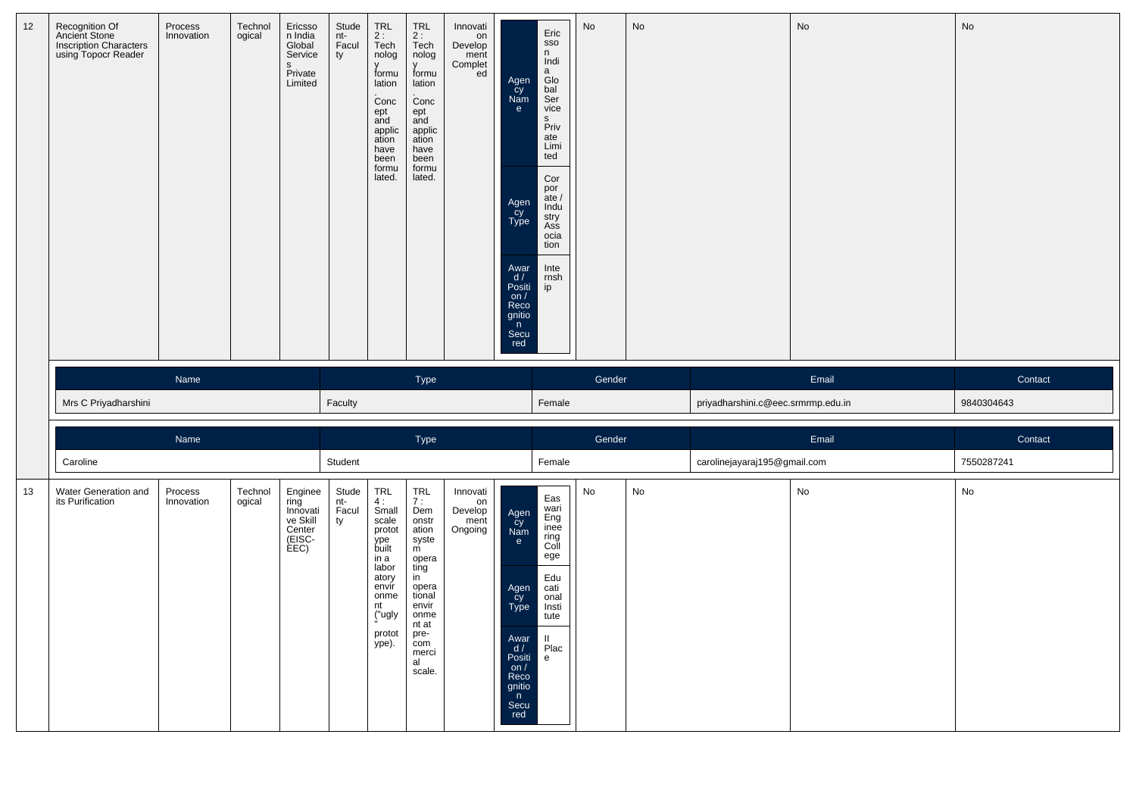| 12 | Recognition Of<br>Ancient Stone<br>Inscription Characters<br>using Topocr Reader | Process<br>Innovation | Technol<br>ogical | Ericsso<br>n India<br>Global<br>Service<br>$\mathbf{s}$<br>Private<br>Limited | Stude<br>nt-<br>Facul<br>ty | TRL<br>$\frac{2}{2}$ :<br>Tech<br>nolog<br>formu<br>lation<br>Conc<br>ept<br>and<br>applic<br>ation<br>have<br>been<br>formu<br>lated. | TRL<br>2:<br>Tech<br>nolog<br>$\mathsf{V}$<br>formu<br>lation<br>Conc<br>ept<br>and<br>applic<br>ation<br>have<br>been<br>formu<br>lated. | Innovati<br>on<br>Develop<br>ment<br>Complet<br>ed | Agen<br>Cy<br>Nam<br>e<br>Agen<br>Cy<br>Type<br>Awar<br>$\frac{d}{dx}$<br>on $/$<br>Reco<br>gnitio<br>n<br>Secu<br>red | Eric<br>SSO<br>n<br>Indi<br>$\mathsf{a}$<br>Glo<br>bal<br>Ser<br>vice<br>s<br>Priv<br>ate<br>Limi<br>ted<br>Cor<br>por<br>$\frac{1}{2}$ ate /<br>Indu<br>stry<br>Ass<br>ocia<br>tion<br>Inte<br>rnsh<br>ip | No     | No |                                    | No    | No         |
|----|----------------------------------------------------------------------------------|-----------------------|-------------------|-------------------------------------------------------------------------------|-----------------------------|----------------------------------------------------------------------------------------------------------------------------------------|-------------------------------------------------------------------------------------------------------------------------------------------|----------------------------------------------------|------------------------------------------------------------------------------------------------------------------------|------------------------------------------------------------------------------------------------------------------------------------------------------------------------------------------------------------|--------|----|------------------------------------|-------|------------|
|    |                                                                                  | Name                  |                   |                                                                               |                             |                                                                                                                                        | Type                                                                                                                                      |                                                    |                                                                                                                        |                                                                                                                                                                                                            | Gender |    |                                    | Email | Contact    |
|    | Mrs C Priyadharshini                                                             |                       |                   |                                                                               | Faculty                     |                                                                                                                                        |                                                                                                                                           |                                                    |                                                                                                                        | Female                                                                                                                                                                                                     |        |    | priyadharshini.c@eec.srmrmp.edu.in |       | 9840304643 |
|    |                                                                                  | Name                  |                   |                                                                               |                             |                                                                                                                                        | Type                                                                                                                                      |                                                    |                                                                                                                        |                                                                                                                                                                                                            | Gender |    |                                    | Email | Contact    |
|    | Caroline                                                                         |                       |                   |                                                                               | Student                     |                                                                                                                                        |                                                                                                                                           |                                                    |                                                                                                                        | Female                                                                                                                                                                                                     |        |    |                                    |       |            |
| 13 | Water Generation and<br>its Purification                                         | Process<br>Innovation | Technol           | Enginee                                                                       |                             |                                                                                                                                        |                                                                                                                                           |                                                    |                                                                                                                        |                                                                                                                                                                                                            |        |    | carolinejayaraj195@gmail.com       |       | 7550287241 |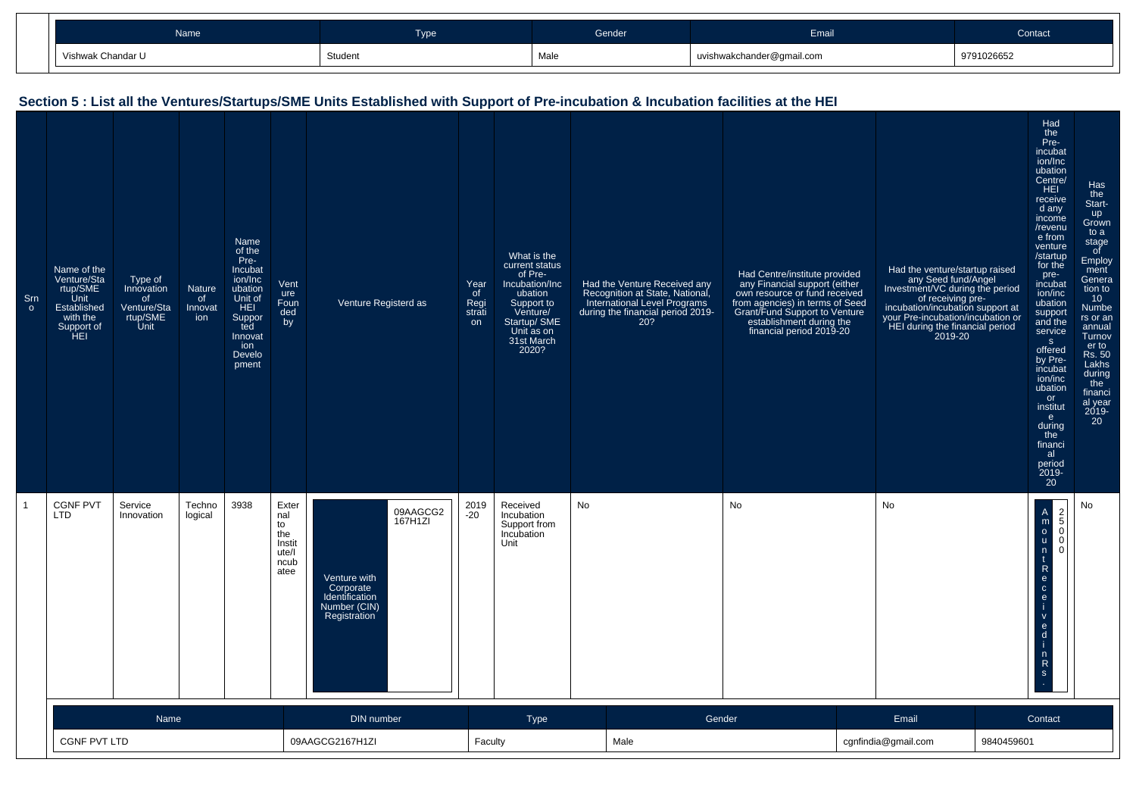| Name              | <b>Type</b> | Gender, | Email                     | Contact    |
|-------------------|-------------|---------|---------------------------|------------|
| Vishwak Chandar U | Student     | Male    | uvishwakchander@gmail.com | 9791026652 |

#### **Section 5 : List all the Ventures/Startups/SME Units Established with Support of Pre-incubation & Incubation facilities at the HEI**Srn oName of the Venture/Sta rtup/SME Unit Established with the Support of HEIType of Innovationof Venture/Sta rtup/SME Unit**Nature** of InnovationName of the Pre-Incubat ion/Inc ubation Unit of HEI Supported Innovation Develo pmentVent ure Foun ded byVenture Registerd asYear of Regi strati onWhat is the current statusof Pre-Incubation/Incubation Support to Venture/ Startup/ SME Unit as on 31st March2020?Had the Venture Received any Recognition at State, National, International Level Programs during the financial period 2019-20?Had Centre/institute provided any Financial support (either own resource or fund received from agencies) in terms of Seed Grant/Fund Support to Ventureestablishment during the financial period 2019-20Had the venture/startup raisedany Seed fund/Angel Investment/VC during the periodof receiving preincubation/incubation support at your Pre-incubation/incubation or HEI during the financial period2019-20Had the Preincubat ion/Inc ubation Centre/**HEI**  receive d any income /revenu e from venture /startup for the preincubat ion/inc ubation support and the service offered by Preincubat ion/inc ubationor institute during the financial period 2019- 20Has the Startup Grown to a stage of Employ ment Genera tion to 10 Numbe rs or an annual Turnov er to Rs. 50 Lakhs during the financi al year 2019-201 CGNF PVT LTDService InnovationTechno logical3938 Exter nal to the Instit ute/I ncub atee Venture with Corporate Identification Number (CIN) Registration09AAGCG2 167H1ZI2019 -20Received Incubation Support fromIncubation UnitNo No No <sup>A</sup> m o u nt R e c ei v e din R2 5 0 0No

| Name                | DIN number      | <b>Type</b> | Gender | Email          | Contact    |
|---------------------|-----------------|-------------|--------|----------------|------------|
| <b>CGNF PVT LTD</b> | 09AAGCG2167H1ZI | Faculty     | Male   | ndia@gmail.com | 9840459601 |

s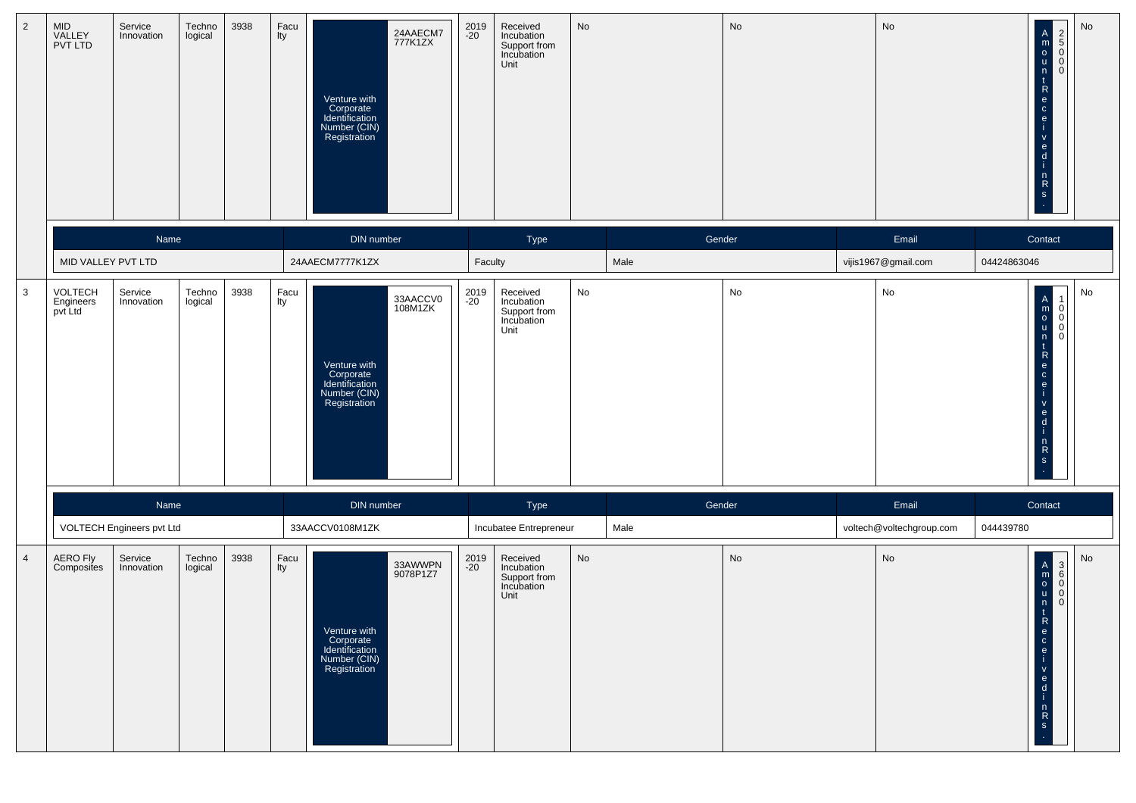| $\overline{2}$ | MID<br>VALLEY<br>PVT LTD        | Service<br>Innovation             | Techno<br>logical | 3938 | Facu<br>lty   | 24AAECM7<br>777K1ZX<br>Venture with<br>Corporate<br>Identification<br>Number (CIN)<br>Registration | 2019<br>-20   | Received<br>Incubation<br>Support from<br>Incubation<br>Unit                           | No |                | No | No                             | No<br>centrick<br>$\begin{array}{c}\n2 \\ 0 \\ 0\n\end{array}$<br>$\mathbf{e}$<br>$\mathsf{V}$<br>$\mathbf{e}$<br>$\mathsf{d}$<br>$\mathsf{n}$<br>$\frac{R}{s}$ |
|----------------|---------------------------------|-----------------------------------|-------------------|------|---------------|----------------------------------------------------------------------------------------------------|---------------|----------------------------------------------------------------------------------------|----|----------------|----|--------------------------------|-----------------------------------------------------------------------------------------------------------------------------------------------------------------|
|                | MID VALLEY PVT LTD              | Name                              |                   |      |               | DIN number<br>24AAECM7777K1ZX                                                                      |               | Type<br>Faculty                                                                        |    | Gender<br>Male |    | Email<br>vijis1967@gmail.com   | Contact<br>04424863046                                                                                                                                          |
| $\mathbf{3}$   | VOLTECH<br>Engineers<br>pvt Ltd | Service<br>Innovation             | Techno<br>logical | 3938 | Facu<br>lty   | 33AACCV0<br>108M1ZK<br>Venture with<br>Corporate<br>Identification<br>Number (CIN)<br>Registration | 2019<br>-20   | Received<br>Incubation<br>Support from<br>Incubation<br>Unit                           | No |                | No | No                             | No<br>$\begin{bmatrix} 0 \\ 0 \\ 0 \end{bmatrix}$<br>$\overline{0}$<br>$\mathsf{v}$<br>$\frac{e}{d}$<br>$\frac{n}{R}$<br>$\mathbf{s}$                           |
|                |                                 | Name<br>VOLTECH Engineers pvt Ltd |                   |      |               | DIN number<br>33AACCV0108M1ZK                                                                      |               | Type                                                                                   |    | Gender<br>Male |    | Email                          | Contact<br>044439780                                                                                                                                            |
| $\overline{4}$ | AERO Fly<br>Composites          | Service<br>Innovation             | Techno<br>logical | 3938 | $Facu$<br>Ity | 33AWWPN<br>9078P1Z7<br>Venture with<br>Corporate<br>Identification<br>Number (CIN)<br>Registration | 2019<br>$-20$ | Incubatee Entrepreneur<br>Received<br>Incubation<br>Support from<br>Incubation<br>Unit | No |                | No | voltech@voltechgroup.com<br>No | No<br>$\mathbf{e}$<br>$\mathbf c$<br>e<br>$\mathbf{v}$<br>e<br>d<br>n<br>$\mathsf{R}$<br><b>S</b>                                                               |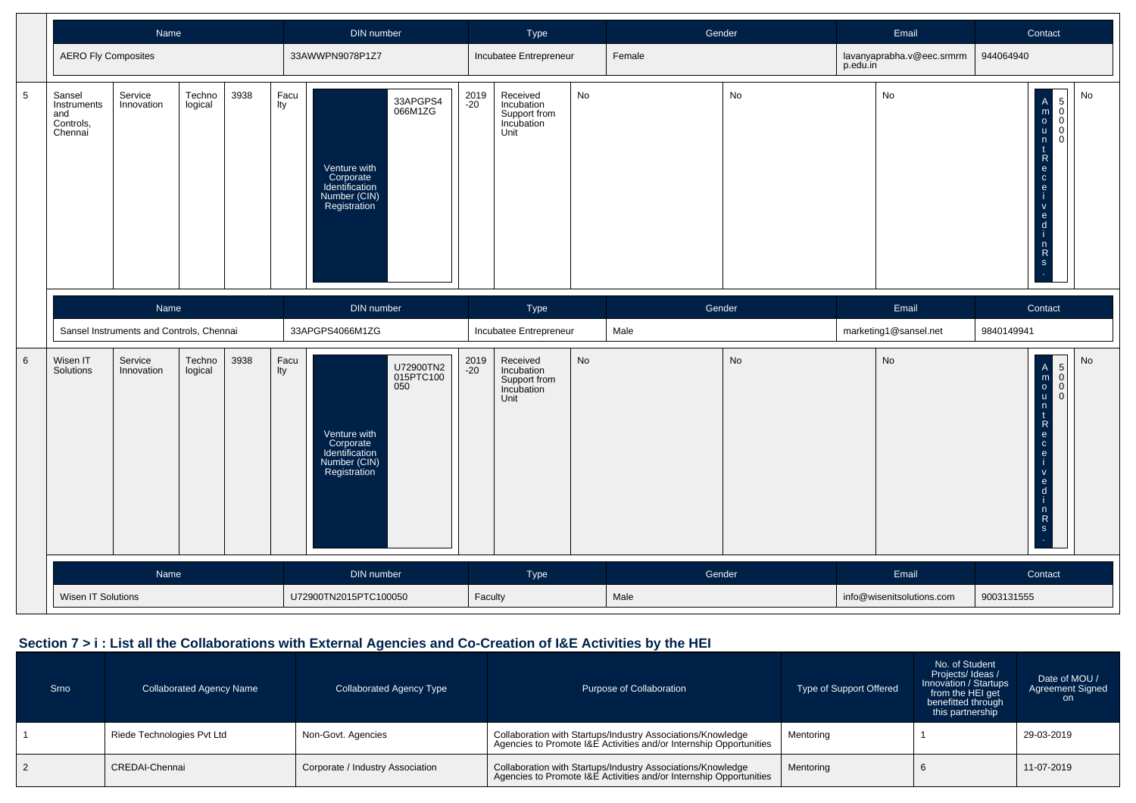|                 |                                                                                                                    | Name                                     |                   |                                                                             |                     | DIN number                                                                  |                                                              |               | Type                                                         |    | Gender                    |           |                                                                                                                                                                             | Email                     | Contact                                              |
|-----------------|--------------------------------------------------------------------------------------------------------------------|------------------------------------------|-------------------|-----------------------------------------------------------------------------|---------------------|-----------------------------------------------------------------------------|--------------------------------------------------------------|---------------|--------------------------------------------------------------|----|---------------------------|-----------|-----------------------------------------------------------------------------------------------------------------------------------------------------------------------------|---------------------------|------------------------------------------------------|
|                 | <b>AERO Fly Composites</b>                                                                                         |                                          |                   |                                                                             |                     | 33AWWPN9078P1Z7                                                             |                                                              |               | Incubatee Entrepreneur                                       |    | Female                    |           | p.edu.in                                                                                                                                                                    | lavanyaprabha.v@eec.srmrm | 944064940                                            |
| $\sqrt{5}$      | Service<br>Techno<br>3938<br>Sansel<br>Instruments<br>Innovation<br>logical<br>and<br>Controls,<br>Chennai<br>Name |                                          | Facu<br>Ity       | Venture with<br>Corporate<br>Identification<br>Number (CIN)<br>Registration | 33APGPS4<br>066M1ZG | 2019<br>-20                                                                 | Received<br>Incubation<br>Support from<br>Incubation<br>Unit | No            |                                                              |    |                           | No        | No<br>$\begin{bmatrix} 5 \\ 0 \\ 0 \end{bmatrix}$<br>A<br>m<br>o<br>u<br>n<br>c<br>e<br>c<br>e<br>c<br>e<br>i<br>$\overline{0}$<br>$\Omega$<br>$rac{6}{1}$<br>$\frac{n}{s}$ |                           |                                                      |
|                 |                                                                                                                    |                                          |                   |                                                                             |                     | DIN number                                                                  |                                                              |               | Type                                                         |    | Gender                    |           |                                                                                                                                                                             | Email                     | Contact                                              |
|                 |                                                                                                                    | Sansel Instruments and Controls, Chennai |                   |                                                                             |                     | 33APGPS4066M1ZG                                                             |                                                              |               | Incubatee Entrepreneur                                       |    | Male                      |           |                                                                                                                                                                             | marketing1@sansel.net     | 9840149941                                           |
| $6\phantom{1}6$ | Wisen IT<br>Solutions                                                                                              | Service<br>Innovation                    | Techno<br>logical | 3938                                                                        | Facu<br>Ity         | Venture with<br>Corporate<br>Identification<br>Number (CIN)<br>Registration | U72900TN2<br>015PTC100<br>050                                | 2019<br>$-20$ | Received<br>Incubation<br>Support from<br>Incubation<br>Unit | No |                           | <b>No</b> |                                                                                                                                                                             | No                        | No<br>$\mathsf{v}$<br>$\frac{e}{1}$<br>$\frac{n}{s}$ |
|                 |                                                                                                                    | Name                                     |                   |                                                                             |                     | DIN number                                                                  |                                                              |               | Type                                                         |    | Gender                    |           | Email                                                                                                                                                                       |                           | Contact                                              |
|                 | Wisen IT Solutions                                                                                                 |                                          |                   | U72900TN2015PTC100050                                                       |                     |                                                                             | Faculty                                                      |               | Male                                                         |    | info@wisenitsolutions.com |           | 9003131555                                                                                                                                                                  |                           |                                                      |

### **Section 7 > i : List all the Collaborations with External Agencies and Co-Creation of I&E Activities by the HEI**

| Srno | <b>Collaborated Agency Name</b> | Collaborated Agency Type         | Purpose of Collaboration                                                                                                          | <b>Type of Support Offered</b> | No. of Student<br>Projects/Ideas/<br>Innovation / Startups<br>from the HEI get<br>benefitted through<br>this partnership | Date of MOU /<br><b>Agreement Signed</b><br>on. |
|------|---------------------------------|----------------------------------|-----------------------------------------------------------------------------------------------------------------------------------|--------------------------------|--------------------------------------------------------------------------------------------------------------------------|-------------------------------------------------|
|      | Riede Technologies Pvt Ltd      | Non-Govt. Agencies               | Collaboration with Startups/Industry Associations/Knowledge<br>Agencies to Promote I&E Activities and/or Internship Opportunities | Mentoring                      |                                                                                                                          | 29-03-2019                                      |
|      | CREDAI-Chennai                  | Corporate / Industry Association | Collaboration with Startups/Industry Associations/Knowledge<br>Agencies to Promote I&E Activities and/or Internship Opportunities | Mentoring                      |                                                                                                                          | 11-07-2019                                      |